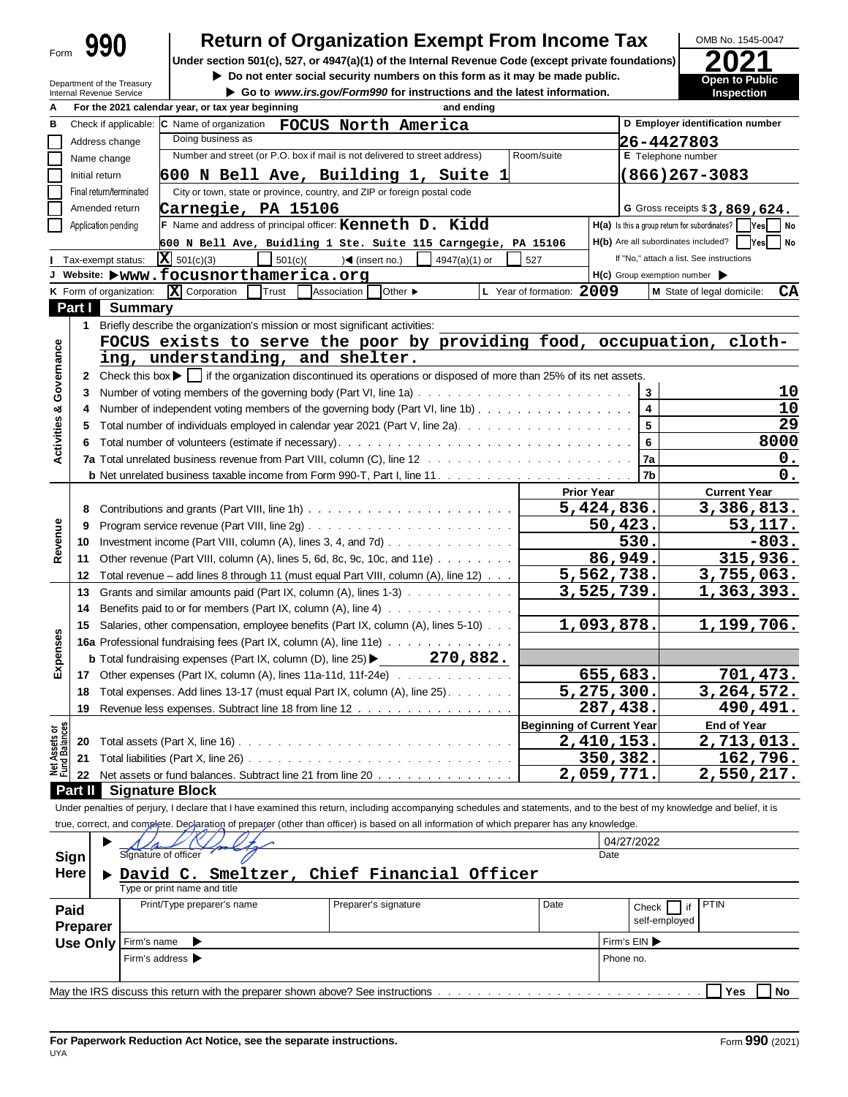| 990<br>Form                          | <b>Return of Organization Exempt From Income Tax</b>                                                                                                                       |                                  |                    | OMB No. 1545-0047                                          |
|--------------------------------------|----------------------------------------------------------------------------------------------------------------------------------------------------------------------------|----------------------------------|--------------------|------------------------------------------------------------|
|                                      | Under section 501(c), 527, or 4947(a)(1) of the Internal Revenue Code (except private foundations)                                                                         |                                  |                    |                                                            |
| Department of the Treasury           | Do not enter social security numbers on this form as it may be made public.                                                                                                |                                  |                    | <b>Open to Public</b>                                      |
| Internal Revenue Service             | Go to www.irs.gov/Form990 for instructions and the latest information.                                                                                                     |                                  |                    | <b>Inspection</b>                                          |
|                                      | For the 2021 calendar year, or tax year beginning<br>and ending                                                                                                            |                                  |                    |                                                            |
|                                      | Check if applicable: C Name of organization<br>FOCUS North America                                                                                                         |                                  |                    | D Employer identification number                           |
| Address change                       | Doing business as                                                                                                                                                          |                                  | 26-4427803         |                                                            |
| Name change                          | Number and street (or P.O. box if mail is not delivered to street address)                                                                                                 | Room/suite                       | E Telephone number |                                                            |
| Initial return                       | 600 N Bell Ave, Building 1, Suite 1                                                                                                                                        |                                  |                    | (866)267-3083                                              |
| Final return/terminated              | City or town, state or province, country, and ZIP or foreign postal code                                                                                                   |                                  |                    |                                                            |
| Amended return                       | Carnegie, PA 15106                                                                                                                                                         |                                  |                    | G Gross receipts \$3,869,624.                              |
| Application pending                  | F Name and address of principal officer: Kenneth D. Kidd                                                                                                                   |                                  |                    | H(a) Is this a group return for subordinates?<br>No<br>Yes |
|                                      | 600 N Bell Ave, Buidling 1 Ste. Suite 115 Carngegie, PA 15106                                                                                                              |                                  |                    | H(b) Are all subordinates included?<br><b>IYes</b><br>No   |
| Tax-exempt status:                   | $\bar{x}$ 501(c)(3)<br>501(c)<br>)◀ (insert no.)<br>4947(a)(1) or                                                                                                          | 527                              |                    | If "No," attach a list. See instructions                   |
|                                      | Website: bwww.focusnorthamerica.org                                                                                                                                        |                                  |                    | $H(c)$ Group exemption number                              |
| K Form of organization:              | $\overline{\mathbf{X}}$ Corporation<br>Trust<br>Other ▶<br>Association                                                                                                     | L Year of formation: 2009        |                    | M State of legal domicile:<br>C <sub>A</sub>               |
| <b>Part I</b> Summary                |                                                                                                                                                                            |                                  |                    |                                                            |
| 1                                    | Briefly describe the organization's mission or most significant activities:                                                                                                |                                  |                    |                                                            |
| Governance                           | FOCUS exists to serve the poor by providing food, occupuation, cloth-                                                                                                      |                                  |                    |                                                            |
|                                      | ing, understanding, and shelter.                                                                                                                                           |                                  |                    |                                                            |
| 2                                    | Check this box $\blacktriangleright$   if the organization discontinued its operations or disposed of more than 25% of its net assets.                                     |                                  |                    |                                                            |
| 3                                    |                                                                                                                                                                            |                                  | 3                  | 10                                                         |
|                                      | Number of independent voting members of the governing body (Part VI, line 1b)                                                                                              |                                  | 4                  | 10                                                         |
| 5                                    |                                                                                                                                                                            |                                  | 5                  | 29                                                         |
| 6                                    |                                                                                                                                                                            |                                  | 6                  | 8000                                                       |
|                                      |                                                                                                                                                                            |                                  | 7a                 | 0.                                                         |
|                                      |                                                                                                                                                                            |                                  | 7b                 | $\mathbf 0$ .                                              |
|                                      |                                                                                                                                                                            | <b>Prior Year</b>                |                    | <b>Current Year</b>                                        |
| 8                                    |                                                                                                                                                                            | 5,424,836.                       |                    | 3,386,813.                                                 |
| 9                                    |                                                                                                                                                                            |                                  | 50,423.            | 53,117.                                                    |
| 10                                   | Investment income (Part VIII, column (A), lines 3, 4, and 7d) $\ldots$                                                                                                     |                                  | 530.               | $-803.$                                                    |
| 11                                   | Other revenue (Part VIII, column (A), lines 5, 6d, 8c, 9c, 10c, and 11e)                                                                                                   |                                  | 86,949.            | 315,936.                                                   |
| 12                                   | Total revenue – add lines 8 through 11 (must equal Part VIII, column (A), line 12)                                                                                         | 5,562,738.                       |                    | 3,755,063.                                                 |
| 13                                   | Grants and similar amounts paid (Part IX, column $(A)$ , lines 1-3) $\ldots$                                                                                               | 3,525,739.                       |                    | 1,363,393.                                                 |
| 14                                   | Benefits paid to or for members (Part IX, column $(A)$ , line $A$ ) $\ldots$                                                                                               |                                  |                    |                                                            |
| 15                                   | Salaries, other compensation, employee benefits (Part IX, column (A), lines 5-10)                                                                                          | 1,093,878.                       |                    | 1,199,706.                                                 |
|                                      | <b>16a</b> Professional fundraising fees (Part IX, column (A), line 11e)                                                                                                   |                                  |                    |                                                            |
|                                      | 270,882.<br><b>b</b> Total fundraising expenses (Part IX, column (D), line $25$ )                                                                                          |                                  |                    |                                                            |
| 17                                   | Other expenses (Part IX, column (A), lines 11a-11d, 11f-24e)                                                                                                               | 655,683.                         |                    | <u>701,473.</u>                                            |
| 18                                   | Total expenses. Add lines 13-17 (must equal Part IX, column (A), line 25).                                                                                                 | 5,275,300.                       |                    | 3, 264, 572.                                               |
| 19                                   | Revenue less expenses. Subtract line 18 from line 12                                                                                                                       | 287,438.                         |                    | 490,491.                                                   |
|                                      |                                                                                                                                                                            | <b>Beginning of Current Year</b> |                    | <b>End of Year</b>                                         |
| Net Assets or<br>Fund Balances<br>20 |                                                                                                                                                                            | 2,410,153.                       |                    | 2,713,013.                                                 |
| 21                                   |                                                                                                                                                                            | 350,382.                         |                    | 162,796.                                                   |
| 22                                   | Net assets or fund balances. Subtract line 21 from line 20                                                                                                                 | 2,059,771.                       |                    | 2,550,217.                                                 |
| Part II                              | <b>Signature Block</b>                                                                                                                                                     |                                  |                    |                                                            |
|                                      | Under penalties of perjury, I declare that I have examined this return, including accompanying schedules and statements, and to the best of my knowledge and belief, it is |                                  |                    |                                                            |
|                                      | true, correct, and complete. Deglaration of preparer (other than officer) is based on all information of which preparer has any knowledge.                                 |                                  |                    |                                                            |
|                                      |                                                                                                                                                                            |                                  | 04/27/2022         |                                                            |
| Sign                                 | Signature of officer                                                                                                                                                       | Date                             |                    |                                                            |
| Here                                 | David C. Smeltzer, Chief Financial Officer                                                                                                                                 |                                  |                    |                                                            |

|                  | Type or print name and title         |                      |      |           |                              |             |
|------------------|--------------------------------------|----------------------|------|-----------|------------------------------|-------------|
| Paid<br>Preparer | Print/Type preparer's name           | Preparer's signature | Date |           | if<br>Check<br>self-employed | <b>PTIN</b> |
|                  | Use Only Firm's name                 |                      |      |           | Firm's EIN ▶                 |             |
|                  | Firm's address $\blacktriangleright$ |                      |      | Phone no. |                              |             |
|                  |                                      |                      |      |           |                              |             |
|                  |                                      |                      |      |           |                              | Yes<br>No   |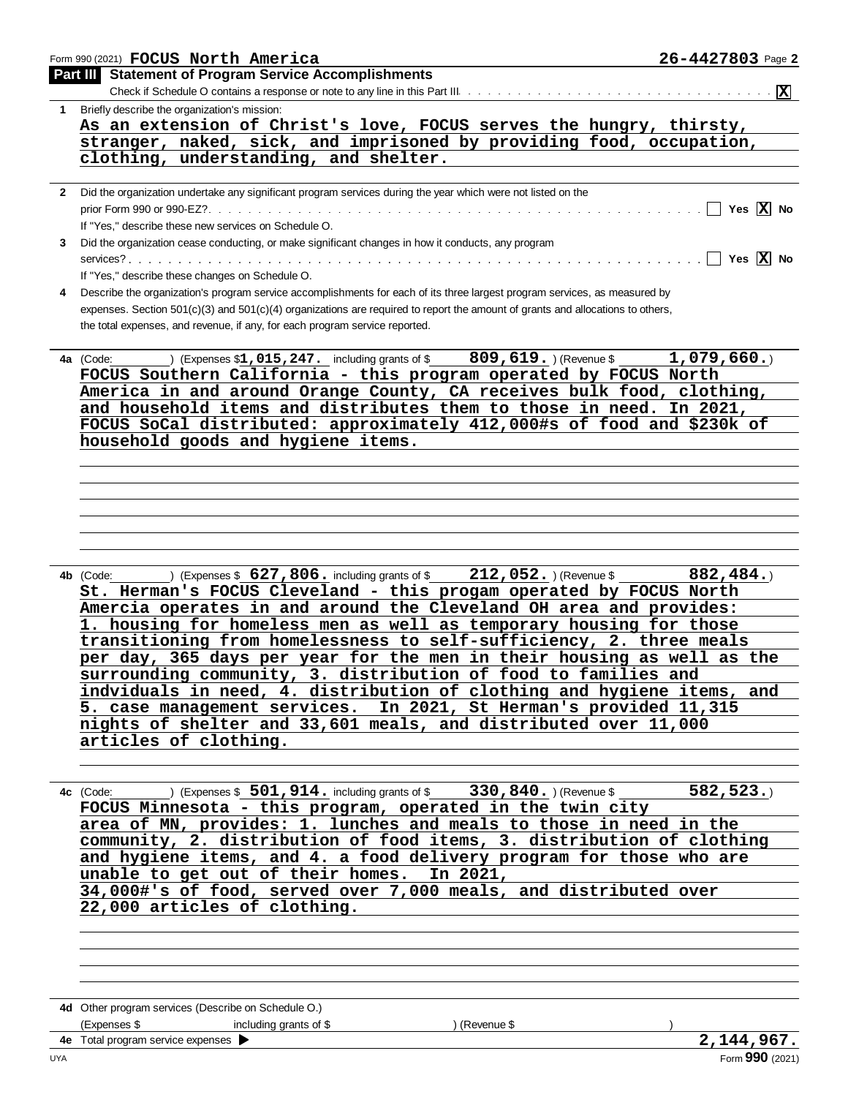|    | Form 990 (2021) FOCUS North America<br>26-4427803 Page 2                                                                           |
|----|------------------------------------------------------------------------------------------------------------------------------------|
|    | Part III Statement of Program Service Accomplishments                                                                              |
|    |                                                                                                                                    |
| 1. | Briefly describe the organization's mission:                                                                                       |
|    | As an extension of Christ's love, FOCUS serves the hungry, thirsty,                                                                |
|    | stranger, naked, sick, and imprisoned by providing food, occupation,                                                               |
|    | clothing, understanding, and shelter.                                                                                              |
|    |                                                                                                                                    |
|    | 2 Did the organization undertake any significant program services during the year which were not listed on the                     |
|    | Yes $ X $ No                                                                                                                       |
|    | If "Yes," describe these new services on Schedule O.                                                                               |
|    | Did the organization cease conducting, or make significant changes in how it conducts, any program                                 |
|    | $\Box$ Yes $\overline{X}$ No                                                                                                       |
|    | If "Yes," describe these changes on Schedule O.                                                                                    |
|    | Describe the organization's program service accomplishments for each of its three largest program services, as measured by         |
|    | expenses. Section $501(c)(3)$ and $501(c)(4)$ organizations are required to report the amount of grants and allocations to others, |
|    | the total expenses, and revenue, if any, for each program service reported.                                                        |
|    |                                                                                                                                    |
|    | ) (Expenses \$1,015,247. including grants of \$809,619.) (Revenue \$1,079,660.)<br>4a (Code:                                       |
|    | FOCUS Southern California - this program operated by FOCUS North                                                                   |
|    | America in and around Orange County, CA receives bulk food, clothing,                                                              |
|    | and household items and distributes them to those in need. In 2021,                                                                |
|    | FOCUS SoCal distributed: approximately 412,000#s of food and \$230k of                                                             |
|    | household goods and hygiene items.                                                                                                 |
|    |                                                                                                                                    |
|    |                                                                                                                                    |
|    |                                                                                                                                    |
|    |                                                                                                                                    |
|    |                                                                                                                                    |
|    |                                                                                                                                    |
|    |                                                                                                                                    |
|    |                                                                                                                                    |
|    | ) (Expenses \$ $627$ , $806$ on including grants of \$ 212, 052. ) (Revenue \$<br>882,484.<br>4b (Code:                            |
|    | St. Herman's FOCUS Cleveland - this progam operated by FOCUS North                                                                 |
|    | Amercia operates in and around the Cleveland OH area and provides:                                                                 |
|    | 1. housing for homeless men as well as temporary housing for those                                                                 |
|    | transitioning from homelessness to self-sufficiency, 2. three meals                                                                |
|    | per day, 365 days per year for the men in their housing as well as the                                                             |
|    | surrounding community, 3. distribution of food to families and                                                                     |
|    | indviduals in need, 4. distribution of clothing and hygiene items, and                                                             |
|    | 5. case management services. In 2021, St Herman's provided 11,315                                                                  |
|    | nights of shelter and 33,601 meals, and distributed over 11,000                                                                    |
|    | articles of clothing.                                                                                                              |
|    |                                                                                                                                    |
|    |                                                                                                                                    |
|    |                                                                                                                                    |
|    | 4c (Code: ) (Expenses $$501, 914$ , including grants of $$330, 840$ , ) (Revenue $$582, 523$ ,                                     |
|    | FOCUS Minnesota - this program, operated in the twin city                                                                          |
|    | area of MN, provides: 1. lunches and meals to those in need in the                                                                 |
|    | community, 2. distribution of food items, 3. distribution of clothing                                                              |
|    | and hygiene items, and 4. a food delivery program for those who are                                                                |
|    | unable to get out of their homes. In 2021,                                                                                         |
|    | 34,000#'s of food, served over 7,000 meals, and distributed over<br>22,000 articles of clothing.                                   |

**4d** Other program services (Describe on Schedule O.) **4e** Total program service expenses Other program services (Describe on Schedule O.)<br>(Expenses \$ including grants of \$ ) (Revenue \$ ) )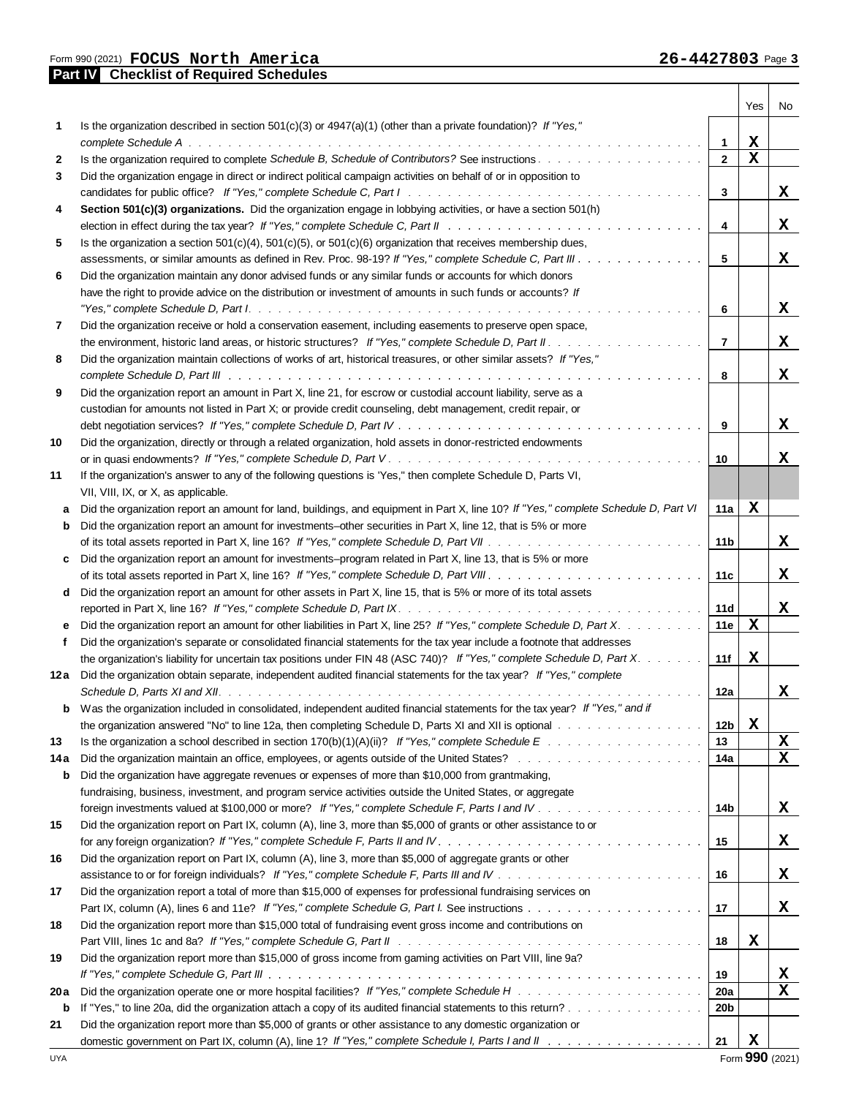Form 990 (2021) **Part IV Part I Checklist of Required Schedules FOCUS North America 26-4427803**

|      | oncomot or negan ca concadic                                                                                                                                                                                                   |                |             |    |
|------|--------------------------------------------------------------------------------------------------------------------------------------------------------------------------------------------------------------------------------|----------------|-------------|----|
|      |                                                                                                                                                                                                                                |                | Yes         | No |
| 1    | Is the organization described in section $501(c)(3)$ or $4947(a)(1)$ (other than a private foundation)? If "Yes,"                                                                                                              |                |             |    |
|      |                                                                                                                                                                                                                                | 1              | $\mathbf x$ |    |
| 2    |                                                                                                                                                                                                                                | $\overline{2}$ | $\mathbf x$ |    |
| 3    | Did the organization engage in direct or indirect political campaign activities on behalf of or in opposition to                                                                                                               |                |             |    |
|      |                                                                                                                                                                                                                                | 3              |             | X  |
| 4    | Section 501(c)(3) organizations. Did the organization engage in lobbying activities, or have a section 501(h)                                                                                                                  |                |             |    |
|      |                                                                                                                                                                                                                                | 4              |             | X  |
| 5    | Is the organization a section $501(c)(4)$ , $501(c)(5)$ , or $501(c)(6)$ organization that receives membership dues,                                                                                                           |                |             |    |
|      | assessments, or similar amounts as defined in Rev. Proc. 98-19? If "Yes," complete Schedule C, Part III.                                                                                                                       | 5              |             | X  |
| 6    | Did the organization maintain any donor advised funds or any similar funds or accounts for which donors                                                                                                                        |                |             |    |
|      | have the right to provide advice on the distribution or investment of amounts in such funds or accounts? If                                                                                                                    |                |             |    |
|      |                                                                                                                                                                                                                                | 6              |             | X  |
| 7    | Did the organization receive or hold a conservation easement, including easements to preserve open space,                                                                                                                      |                |             |    |
|      |                                                                                                                                                                                                                                | $\overline{7}$ |             | X  |
| 8    | Did the organization maintain collections of works of art, historical treasures, or other similar assets? If "Yes,"                                                                                                            |                |             |    |
|      |                                                                                                                                                                                                                                | 8              |             | X  |
| 9    | Did the organization report an amount in Part X, line 21, for escrow or custodial account liability, serve as a                                                                                                                |                |             |    |
|      | custodian for amounts not listed in Part X; or provide credit counseling, debt management, credit repair, or                                                                                                                   |                |             |    |
|      |                                                                                                                                                                                                                                | 9              |             | X  |
| 10   | Did the organization, directly or through a related organization, hold assets in donor-restricted endowments                                                                                                                   |                |             |    |
|      |                                                                                                                                                                                                                                | 10             |             | х  |
| 11   | If the organization's answer to any of the following questions is 'Yes," then complete Schedule D, Parts VI,                                                                                                                   |                |             |    |
|      | VII, VIII, IX, or X, as applicable.                                                                                                                                                                                            |                |             |    |
| a    | Did the organization report an amount for land, buildings, and equipment in Part X, line 10? If "Yes," complete Schedule D, Part VI                                                                                            | 11a            | x           |    |
| b    | Did the organization report an amount for investments-other securities in Part X, line 12, that is 5% or more                                                                                                                  |                |             |    |
|      |                                                                                                                                                                                                                                | 11b            |             | X  |
|      | Did the organization report an amount for investments–program related in Part X, line 13, that is 5% or more                                                                                                                   |                |             |    |
|      |                                                                                                                                                                                                                                | 11c            |             | X  |
| d    | Did the organization report an amount for other assets in Part X, line 15, that is 5% or more of its total assets                                                                                                              |                |             |    |
|      |                                                                                                                                                                                                                                | 11d            |             | X  |
|      | Did the organization report an amount for other liabilities in Part X, line 25? If "Yes," complete Schedule D, Part X.                                                                                                         | 11e            | X           |    |
| f    | Did the organization's separate or consolidated financial statements for the tax year include a footnote that addresses                                                                                                        |                |             |    |
|      | the organization's liability for uncertain tax positions under FIN 48 (ASC 740)? If "Yes," complete Schedule D, Part X.                                                                                                        | 11f            | X           |    |
| 12a  | Did the organization obtain separate, independent audited financial statements for the tax year? If "Yes," complete                                                                                                            |                |             |    |
|      |                                                                                                                                                                                                                                | 12a            |             | х  |
| b    | Was the organization included in consolidated, independent audited financial statements for the tax year? If "Yes," and if                                                                                                     |                |             |    |
|      | the organization answered "No" to line 12a, then completing Schedule D, Parts XI and XII is optional with an analyzaminal with an analyzamin and with an analyzaminal metal of the organization and with an analyzaminal metal | 12b            | X           |    |
| 13   |                                                                                                                                                                                                                                | 13             |             | X  |
| 14a  |                                                                                                                                                                                                                                | 14a            |             | X  |
| b    | Did the organization have aggregate revenues or expenses of more than \$10,000 from grantmaking,                                                                                                                               |                |             |    |
|      | fundraising, business, investment, and program service activities outside the United States, or aggregate                                                                                                                      |                |             |    |
|      |                                                                                                                                                                                                                                | 14b            |             | X  |
| 15   | Did the organization report on Part IX, column (A), line 3, more than \$5,000 of grants or other assistance to or                                                                                                              |                |             |    |
|      | for any foreign organization? If "Yes," complete Schedule F, Parts II and IV.                                                                                                                                                  | 15             |             | X  |
| 16   | Did the organization report on Part IX, column (A), line 3, more than \$5,000 of aggregate grants or other                                                                                                                     |                |             |    |
|      |                                                                                                                                                                                                                                | 16             |             | X  |
| 17   | Did the organization report a total of more than \$15,000 of expenses for professional fundraising services on                                                                                                                 |                |             |    |
|      |                                                                                                                                                                                                                                | 17             |             | X  |
| 18   | Did the organization report more than \$15,000 total of fundraising event gross income and contributions on                                                                                                                    |                |             |    |
|      |                                                                                                                                                                                                                                | 18             | $\mathbf x$ |    |
| 19   | Did the organization report more than \$15,000 of gross income from gaming activities on Part VIII, line 9a?                                                                                                                   |                |             |    |
|      |                                                                                                                                                                                                                                | 19             |             | x  |
| 20 a |                                                                                                                                                                                                                                | 20a            |             | x  |
| b    |                                                                                                                                                                                                                                | 20b            |             |    |
| 21   | Did the organization report more than \$5,000 of grants or other assistance to any domestic organization or                                                                                                                    |                |             |    |
|      |                                                                                                                                                                                                                                | 21             | X           |    |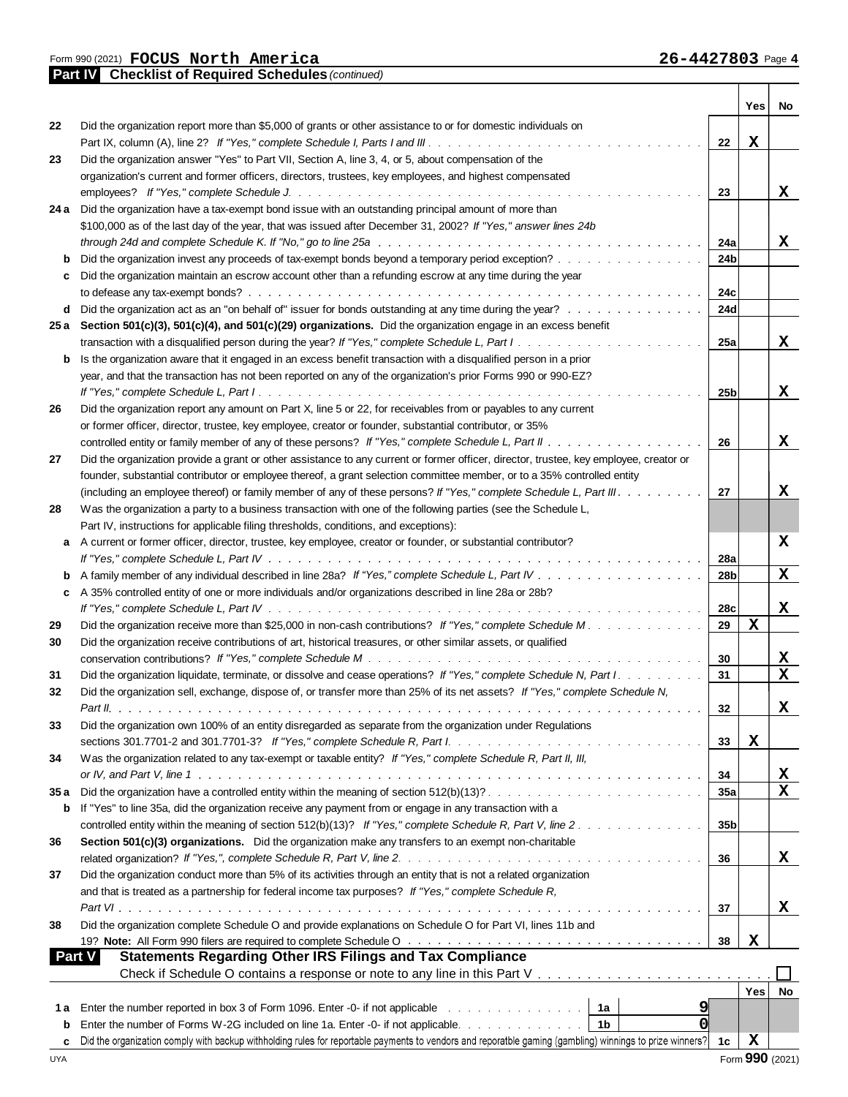Form 990 (2021) **FOCUS North America 26-4427803**

**Part IV Checklist of Required Schedules** *(continued)*

Т

Т

|      |                                                                                                                                                                                                                                  |                 | <b>Yes</b>      | No           |
|------|----------------------------------------------------------------------------------------------------------------------------------------------------------------------------------------------------------------------------------|-----------------|-----------------|--------------|
| 22   | Did the organization report more than \$5,000 of grants or other assistance to or for domestic individuals on                                                                                                                    |                 |                 |              |
|      |                                                                                                                                                                                                                                  | 22              | х               |              |
| 23   | Did the organization answer "Yes" to Part VII, Section A, line 3, 4, or 5, about compensation of the                                                                                                                             |                 |                 |              |
|      | organization's current and former officers, directors, trustees, key employees, and highest compensated                                                                                                                          |                 |                 |              |
|      |                                                                                                                                                                                                                                  | 23              |                 | X            |
| 24 a | Did the organization have a tax-exempt bond issue with an outstanding principal amount of more than                                                                                                                              |                 |                 |              |
|      | \$100,000 as of the last day of the year, that was issued after December 31, 2002? If "Yes," answer lines 24b                                                                                                                    |                 |                 |              |
|      |                                                                                                                                                                                                                                  | 24a             |                 | X            |
| b    | Did the organization invest any proceeds of tax-exempt bonds beyond a temporary period exception?                                                                                                                                | 24b             |                 |              |
| c    | Did the organization maintain an escrow account other than a refunding escrow at any time during the year                                                                                                                        |                 |                 |              |
|      |                                                                                                                                                                                                                                  | 24c             |                 |              |
| d    | Did the organization act as an "on behalf of" issuer for bonds outstanding at any time during the year?                                                                                                                          | 24d             |                 |              |
| 25 a | Section 501(c)(3), 501(c)(4), and 501(c)(29) organizations. Did the organization engage in an excess benefit                                                                                                                     |                 |                 |              |
|      |                                                                                                                                                                                                                                  | 25a             |                 | X            |
| b    | Is the organization aware that it engaged in an excess benefit transaction with a disqualified person in a prior<br>year, and that the transaction has not been reported on any of the organization's prior Forms 990 or 990-EZ? |                 |                 |              |
|      |                                                                                                                                                                                                                                  | 25 <sub>b</sub> |                 | X            |
|      |                                                                                                                                                                                                                                  |                 |                 |              |
| 26   | Did the organization report any amount on Part X, line 5 or 22, for receivables from or payables to any current<br>or former officer, director, trustee, key employee, creator or founder, substantial contributor, or 35%       |                 |                 |              |
|      |                                                                                                                                                                                                                                  | 26              |                 | X            |
| 27   | Did the organization provide a grant or other assistance to any current or former officer, director, trustee, key employee, creator or                                                                                           |                 |                 |              |
|      | founder, substantial contributor or employee thereof, a grant selection committee member, or to a 35% controlled entity                                                                                                          |                 |                 |              |
|      | (including an employee thereof) or family member of any of these persons? If "Yes," complete Schedule L, Part III.                                                                                                               | 27              |                 | х            |
| 28   | Was the organization a party to a business transaction with one of the following parties (see the Schedule L,                                                                                                                    |                 |                 |              |
|      | Part IV, instructions for applicable filing thresholds, conditions, and exceptions):                                                                                                                                             |                 |                 |              |
| a    | A current or former officer, director, trustee, key employee, creator or founder, or substantial contributor?                                                                                                                    |                 |                 | x            |
|      |                                                                                                                                                                                                                                  |                 |                 |              |
| b    |                                                                                                                                                                                                                                  | 28a<br>28b      |                 | $\mathbf{x}$ |
|      | A 35% controlled entity of one or more individuals and/or organizations described in line 28a or 28b?                                                                                                                            |                 |                 |              |
| c    |                                                                                                                                                                                                                                  | 28c             |                 | X            |
| 29   | Did the organization receive more than \$25,000 in non-cash contributions? If "Yes," complete Schedule M.                                                                                                                        | 29              | X               |              |
| 30   | Did the organization receive contributions of art, historical treasures, or other similar assets, or qualified                                                                                                                   |                 |                 |              |
|      |                                                                                                                                                                                                                                  | 30              |                 | X            |
| 31   | Did the organization liquidate, terminate, or dissolve and cease operations? If "Yes," complete Schedule N, Part I.                                                                                                              | 31              |                 | $\mathbf x$  |
| 32   | Did the organization sell, exchange, dispose of, or transfer more than 25% of its net assets? If "Yes," complete Schedule N,                                                                                                     |                 |                 |              |
|      |                                                                                                                                                                                                                                  | 32              |                 | X            |
| 33   | Did the organization own 100% of an entity disregarded as separate from the organization under Regulations                                                                                                                       |                 |                 |              |
|      |                                                                                                                                                                                                                                  | 33              | X               |              |
| 34   | Was the organization related to any tax-exempt or taxable entity? If "Yes," complete Schedule R, Part II, III,                                                                                                                   |                 |                 |              |
|      |                                                                                                                                                                                                                                  | 34              |                 | X            |
| 35 a |                                                                                                                                                                                                                                  | <b>35a</b>      |                 | $\mathbf{x}$ |
| b    | If "Yes" to line 35a, did the organization receive any payment from or engage in any transaction with a                                                                                                                          |                 |                 |              |
|      | controlled entity within the meaning of section 512(b)(13)? If "Yes," complete Schedule R, Part V, line 2.                                                                                                                       | 35b             |                 |              |
| 36   | Section 501(c)(3) organizations. Did the organization make any transfers to an exempt non-charitable                                                                                                                             |                 |                 |              |
|      |                                                                                                                                                                                                                                  | 36              |                 | X            |
| 37   | Did the organization conduct more than 5% of its activities through an entity that is not a related organization                                                                                                                 |                 |                 |              |
|      | and that is treated as a partnership for federal income tax purposes? If "Yes," complete Schedule R,                                                                                                                             |                 |                 |              |
|      |                                                                                                                                                                                                                                  | 37              |                 | X            |
| 38   | Did the organization complete Schedule O and provide explanations on Schedule O for Part VI, lines 11b and                                                                                                                       |                 |                 |              |
|      |                                                                                                                                                                                                                                  | 38              | X               |              |
|      | <b>Statements Regarding Other IRS Filings and Tax Compliance</b><br><b>Part V</b>                                                                                                                                                |                 |                 |              |
|      |                                                                                                                                                                                                                                  |                 |                 |              |
|      |                                                                                                                                                                                                                                  |                 | Yes             | No           |
|      | 9                                                                                                                                                                                                                                |                 |                 |              |
| 1 a  | Enter the number reported in box 3 of Form 1096. Enter -0- if not applicable<br>1a<br>O                                                                                                                                          |                 |                 |              |
| b    | Enter the number of Forms W-2G included on line 1a. Enter -0- if not applicable.<br>1 <sub>b</sub>                                                                                                                               |                 |                 |              |
| c    | Did the organization comply with backup withholding rules for reportable payments to vendors and reporatble gaming (gambling) winnings to prize winners?                                                                         | 1 <sub>c</sub>  | X               |              |
| UYA  |                                                                                                                                                                                                                                  |                 | Form 990 (2021) |              |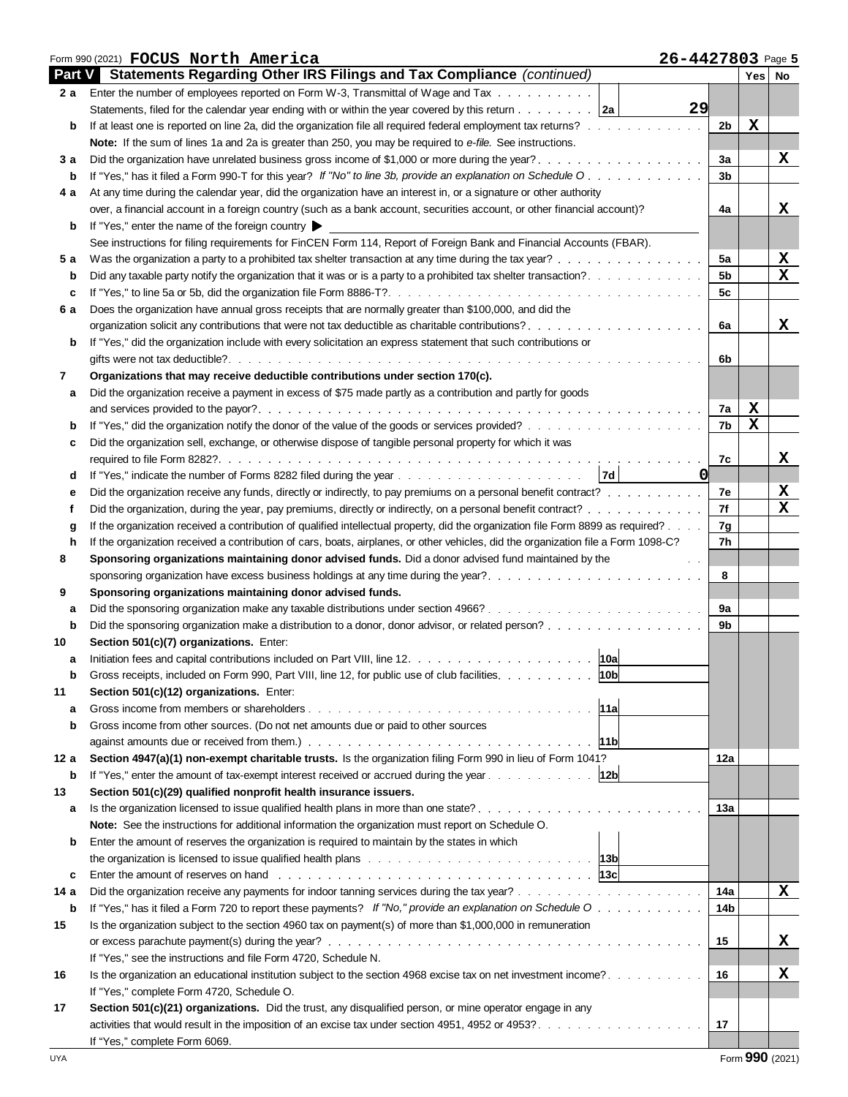|               | 26-4427803 Page 5<br>Form 990 (2021) FOCUS North America                                                                                              |                |             |                 |
|---------------|-------------------------------------------------------------------------------------------------------------------------------------------------------|----------------|-------------|-----------------|
| <b>Part V</b> | Statements Regarding Other IRS Filings and Tax Compliance (continued)                                                                                 |                | Yes   No    |                 |
| 2 a           | Enter the number of employees reported on Form W-3, Transmittal of Wage and Tax                                                                       |                |             |                 |
|               | 29<br>Statements, filed for the calendar year ending with or within the year covered by this return $\ldots \ldots \ldots$                            |                |             |                 |
| b             | If at least one is reported on line 2a, did the organization file all required federal employment tax returns?                                        | 2b             | $\mathbf x$ |                 |
|               | Note: If the sum of lines 1a and 2a is greater than 250, you may be required to e-file. See instructions.                                             |                |             |                 |
| За            |                                                                                                                                                       | За             |             | X               |
| b             | If "Yes," has it filed a Form 990-T for this year? If "No" to line 3b, provide an explanation on Schedule O.                                          | 3b             |             |                 |
| 4а            | At any time during the calendar year, did the organization have an interest in, or a signature or other authority                                     |                |             |                 |
|               | over, a financial account in a foreign country (such as a bank account, securities account, or other financial account)?                              | 4a             |             | x               |
| b             | If "Yes," enter the name of the foreign country ▶                                                                                                     |                |             |                 |
|               | See instructions for filing requirements for FinCEN Form 114, Report of Foreign Bank and Financial Accounts (FBAR).                                   |                |             |                 |
|               |                                                                                                                                                       |                |             | X               |
| 5а            | Was the organization a party to a prohibited tax shelter transaction at any time during the tax year?                                                 | 5a             |             |                 |
| b             |                                                                                                                                                       | 5 <sub>b</sub> |             | X               |
| c             |                                                                                                                                                       | 5c             |             |                 |
| 6а            | Does the organization have annual gross receipts that are normally greater than \$100,000, and did the                                                |                |             |                 |
|               |                                                                                                                                                       | 6a             |             | x               |
| b             | If "Yes," did the organization include with every solicitation an express statement that such contributions or                                        |                |             |                 |
|               |                                                                                                                                                       | 6b             |             |                 |
| 7             | Organizations that may receive deductible contributions under section 170(c).                                                                         |                |             |                 |
| а             | Did the organization receive a payment in excess of \$75 made partly as a contribution and partly for goods                                           |                |             |                 |
|               |                                                                                                                                                       | 7a             | X           |                 |
| b             |                                                                                                                                                       | 7b             | X           |                 |
| c             | Did the organization sell, exchange, or otherwise dispose of tangible personal property for which it was                                              |                |             |                 |
|               |                                                                                                                                                       | 7c             |             | X               |
| d             | 0<br> 7d                                                                                                                                              |                |             |                 |
| е             | Did the organization receive any funds, directly or indirectly, to pay premiums on a personal benefit contract?                                       | 7e             |             | $\mathbf x$     |
| f             | Did the organization, during the year, pay premiums, directly or indirectly, on a personal benefit contract?                                          | 7f             |             | $\mathbf x$     |
| g             | If the organization received a contribution of qualified intellectual property, did the organization file Form 8899 as required?                      | 7g             |             |                 |
| h             | If the organization received a contribution of cars, boats, airplanes, or other vehicles, did the organization file a Form 1098-C?                    | 7h             |             |                 |
| 8             | Sponsoring organizations maintaining donor advised funds. Did a donor advised fund maintained by the                                                  |                |             |                 |
|               |                                                                                                                                                       | 8              |             |                 |
|               | sponsoring organization have excess business holdings at any time during the year?                                                                    |                |             |                 |
| 9             | Sponsoring organizations maintaining donor advised funds.                                                                                             |                |             |                 |
| а             |                                                                                                                                                       | 9a             |             |                 |
| b             |                                                                                                                                                       | 9b             |             |                 |
| 10            | Section 501(c)(7) organizations. Enter:                                                                                                               |                |             |                 |
| а             | 10a                                                                                                                                                   |                |             |                 |
| b             | Gross receipts, included on Form 990, Part VIII, line 12, for public use of club facilities.<br> 10b                                                  |                |             |                 |
| 11            | Section 501(c)(12) organizations. Enter:                                                                                                              |                |             |                 |
| a             | 11a                                                                                                                                                   |                |             |                 |
| b             | Gross income from other sources. (Do not net amounts due or paid to other sources                                                                     |                |             |                 |
|               | 11b                                                                                                                                                   |                |             |                 |
| 12 a          | Section 4947(a)(1) non-exempt charitable trusts. Is the organization filing Form 990 in lieu of Form 1041?                                            | 12a            |             |                 |
| b             | If "Yes," enter the amount of tax-exempt interest received or accrued during the year<br> 12b                                                         |                |             |                 |
| 13            | Section 501(c)(29) qualified nonprofit health insurance issuers.                                                                                      |                |             |                 |
| a             | Is the organization licensed to issue qualified health plans in more than one state?                                                                  | 13а            |             |                 |
|               | Note: See the instructions for additional information the organization must report on Schedule O.                                                     |                |             |                 |
| b             | Enter the amount of reserves the organization is required to maintain by the states in which                                                          |                |             |                 |
|               | the organization is licensed to issue qualified health plans $\ldots$ , $\ldots$ , $\ldots$ , $\ldots$ , $\ldots$ , $\ldots$ , $\ldots$ , $\ket{13b}$ |                |             |                 |
| c             |                                                                                                                                                       |                |             |                 |
|               |                                                                                                                                                       |                |             | X               |
| 14 a          |                                                                                                                                                       | 14a            |             |                 |
| b             | If "Yes," has it filed a Form 720 to report these payments? If "No," provide an explanation on Schedule O                                             | 14b            |             |                 |
| 15            | Is the organization subject to the section 4960 tax on payment(s) of more than \$1,000,000 in remuneration                                            |                |             |                 |
|               |                                                                                                                                                       | 15             |             | X               |
|               | If "Yes," see the instructions and file Form 4720, Schedule N.                                                                                        |                |             |                 |
| 16            |                                                                                                                                                       | 16             |             | х               |
|               | If "Yes," complete Form 4720, Schedule O.                                                                                                             |                |             |                 |
| 17            | Section 501(c)(21) organizations. Did the trust, any disqualified person, or mine operator engage in any                                              |                |             |                 |
|               |                                                                                                                                                       | 17             |             |                 |
|               | If "Yes," complete Form 6069.                                                                                                                         |                |             |                 |
| <b>UYA</b>    |                                                                                                                                                       |                |             | Form 990 (2021) |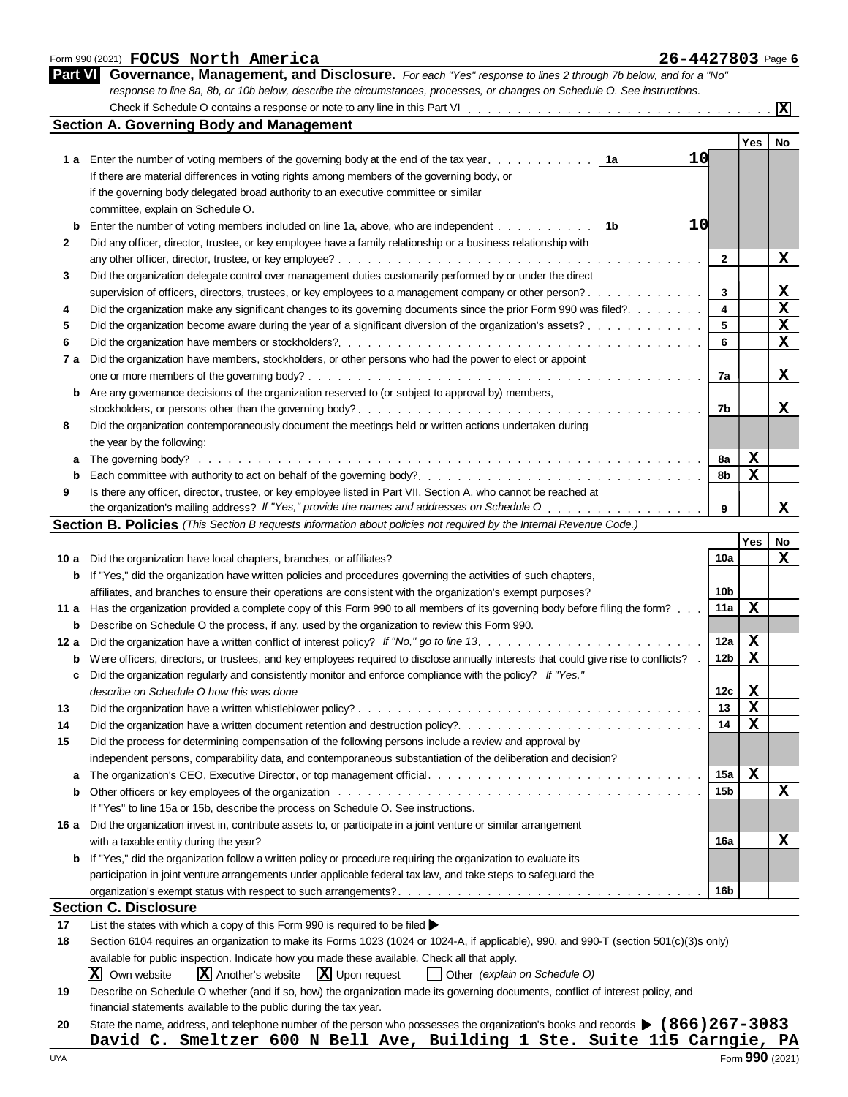# Form 990 (2021) **FOCUS North America 26-4427803**

**Part VI** Governance, Management, and Disclosure. For each "Yes" response to lines 2 through 7b below, and for a "No" *response to line 8a, 8b, or 10b below, describe the circumstances, processes, or changes on Schedule O. See instructions.*

Check if Schedule O contains a response or note to any line in this Part VI **with a contain a contained a contained a** 

|                |                                                                                                                                                                                                                                |                 | Yes         | No          |
|----------------|--------------------------------------------------------------------------------------------------------------------------------------------------------------------------------------------------------------------------------|-----------------|-------------|-------------|
|                | 10<br><b>1 a</b> Enter the number of voting members of the governing body at the end of the tax year<br>1a                                                                                                                     |                 |             |             |
|                | If there are material differences in voting rights among members of the governing body, or                                                                                                                                     |                 |             |             |
|                | if the governing body delegated broad authority to an executive committee or similar                                                                                                                                           |                 |             |             |
|                | committee, explain on Schedule O.                                                                                                                                                                                              |                 |             |             |
| b              | 10<br>1b<br>Enter the number of voting members included on line 1a, above, who are independent                                                                                                                                 |                 |             |             |
| 2              | Did any officer, director, trustee, or key employee have a family relationship or a business relationship with                                                                                                                 |                 |             |             |
|                |                                                                                                                                                                                                                                | $\mathbf{2}$    |             | x           |
| 3              | Did the organization delegate control over management duties customarily performed by or under the direct                                                                                                                      |                 |             |             |
|                | supervision of officers, directors, trustees, or key employees to a management company or other person?                                                                                                                        | 3               |             | X           |
| 4              | Did the organization make any significant changes to its governing documents since the prior Form 990 was filed?                                                                                                               | 4               |             | $\mathbf X$ |
| 5              | Did the organization become aware during the year of a significant diversion of the organization's assets?                                                                                                                     | 5               |             | X           |
| 6              |                                                                                                                                                                                                                                | 6               |             | X           |
| 7 а            | Did the organization have members, stockholders, or other persons who had the power to elect or appoint                                                                                                                        |                 |             |             |
|                |                                                                                                                                                                                                                                |                 |             |             |
|                |                                                                                                                                                                                                                                | 7a              |             | x           |
| b              | Are any governance decisions of the organization reserved to (or subject to approval by) members,                                                                                                                              |                 |             |             |
|                |                                                                                                                                                                                                                                | 7b              |             | х           |
| 8              | Did the organization contemporaneously document the meetings held or written actions undertaken during                                                                                                                         |                 |             |             |
|                | the year by the following:                                                                                                                                                                                                     |                 |             |             |
| а              | The governing body? $\ldots$ $\ldots$                                                                                                                                                                                          | 8а              | X           |             |
| b              |                                                                                                                                                                                                                                | 8b              | X           |             |
| 9              | Is there any officer, director, trustee, or key employee listed in Part VII, Section A, who cannot be reached at                                                                                                               |                 |             |             |
|                |                                                                                                                                                                                                                                | 9               |             | x           |
|                | <b>Section B. Policies</b> (This Section B requests information about policies not required by the Internal Revenue Code.)                                                                                                     |                 |             |             |
|                |                                                                                                                                                                                                                                |                 | Yes         | No          |
|                |                                                                                                                                                                                                                                | 10a             |             | X           |
| b              | If "Yes," did the organization have written policies and procedures governing the activities of such chapters,                                                                                                                 |                 |             |             |
|                | affiliates, and branches to ensure their operations are consistent with the organization's exempt purposes?                                                                                                                    | 10 <sub>b</sub> |             |             |
| 11 a           | Has the organization provided a complete copy of this Form 990 to all members of its governing body before filing the form?                                                                                                    | 11a             | $\mathbf x$ |             |
| b              | Describe on Schedule O the process, if any, used by the organization to review this Form 990.                                                                                                                                  |                 |             |             |
| 12 a           |                                                                                                                                                                                                                                | 12a             | X           |             |
| b              | Were officers, directors, or trustees, and key employees required to disclose annually interests that could give rise to conflicts? .                                                                                          | 12b             | х           |             |
| c              | Did the organization regularly and consistently monitor and enforce compliance with the policy? If "Yes,"                                                                                                                      |                 |             |             |
|                |                                                                                                                                                                                                                                | 12c             | X           |             |
| 13             |                                                                                                                                                                                                                                | 13              | X           |             |
| 14             |                                                                                                                                                                                                                                | 14              | X           |             |
| 15             | Did the process for determining compensation of the following persons include a review and approval by                                                                                                                         |                 |             |             |
|                | independent persons, comparability data, and contemporaneous substantiation of the deliberation and decision?                                                                                                                  |                 |             |             |
|                |                                                                                                                                                                                                                                |                 |             |             |
|                |                                                                                                                                                                                                                                |                 |             |             |
| а              |                                                                                                                                                                                                                                | 15a             | х           |             |
| b              | Other officers or key employees of the organization with the contract of the organization with the contract of the organization with the contract of the contract of the contract of the organization with the contract of the | 15 <sub>b</sub> |             | х           |
|                | If "Yes" to line 15a or 15b, describe the process on Schedule O. See instructions.                                                                                                                                             |                 |             |             |
|                | 16 a Did the organization invest in, contribute assets to, or participate in a joint venture or similar arrangement                                                                                                            |                 |             |             |
|                |                                                                                                                                                                                                                                | 16a             |             |             |
|                | <b>b</b> If "Yes," did the organization follow a written policy or procedure requiring the organization to evaluate its                                                                                                        |                 |             |             |
|                | participation in joint venture arrangements under applicable federal tax law, and take steps to safeguard the                                                                                                                  |                 |             |             |
|                |                                                                                                                                                                                                                                | 16b             |             |             |
|                | <b>Section C. Disclosure</b>                                                                                                                                                                                                   |                 |             |             |
|                | List the states with which a copy of this Form 990 is required to be filed >                                                                                                                                                   |                 |             |             |
|                | Section 6104 requires an organization to make its Forms 1023 (1024 or 1024-A, if applicable), 990, and 990-T (section 501(c)(3)s only)                                                                                         |                 |             |             |
|                | available for public inspection. Indicate how you made these available. Check all that apply.                                                                                                                                  |                 |             |             |
|                | $ \mathbf{X} $ Own website<br>$ \mathbf{X} $ Another's website<br>$ \mathbf{X} $ Upon request<br>$\mathsf{L}$<br>Other (explain on Schedule O)                                                                                 |                 |             |             |
|                |                                                                                                                                                                                                                                |                 |             |             |
| 17<br>18<br>19 | Describe on Schedule O whether (and if so, how) the organization made its governing documents, conflict of interest policy, and                                                                                                |                 |             |             |
| 20             | financial statements available to the public during the tax year.<br>State the name, address, and telephone number of the person who possesses the organization's books and records $(866)267 - 3083$                          |                 |             | х           |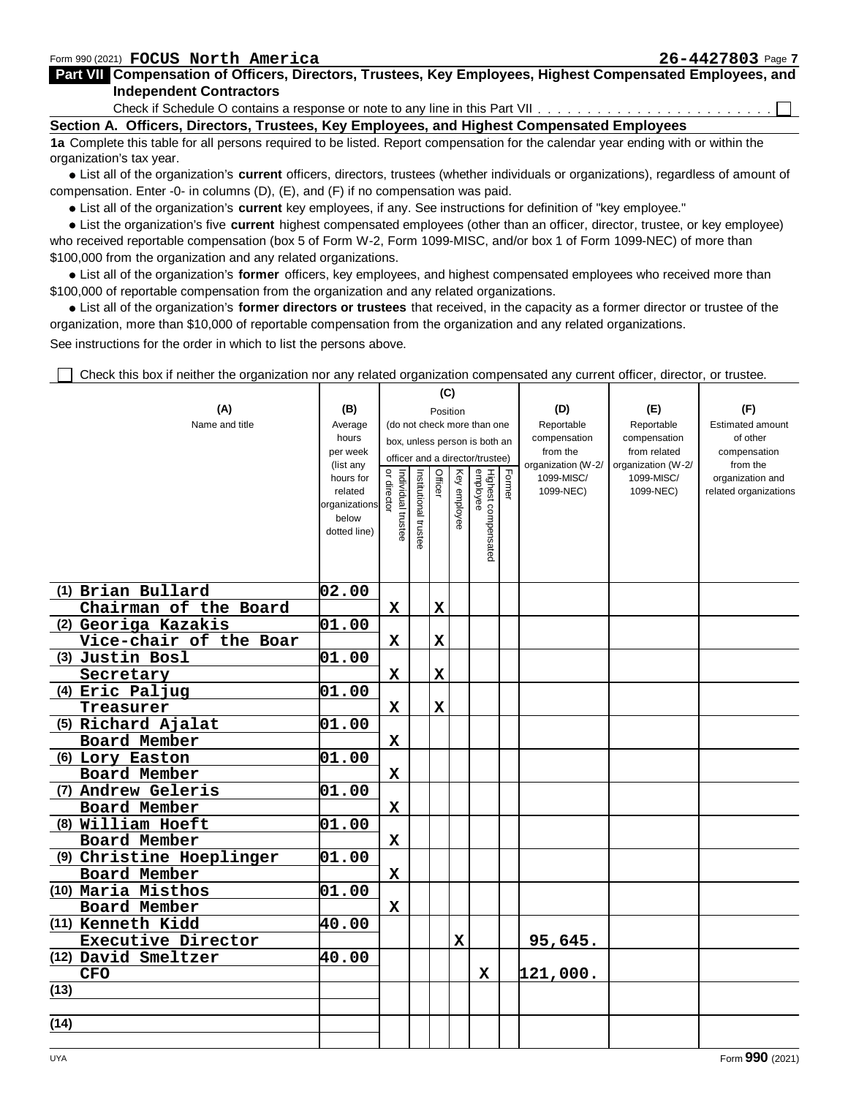**Part VII Part I Compensation of Officers, Directors, Trustees, Key Employees, Highest Compensated Employees, and Independent Contractors**

Check if Schedule O contains a response or note to any line in this Part VII

**Section A. Officers, Directors, Trustees, Key Employees, and Highest Compensated Employees**

**1a** Complete this table for all persons required to be listed. Report compensation for the calendar year ending with or within the organization's tax year.

List all of the organization's **current** officers, directors, trustees (whether individuals or organizations), regardless of amount of compensation. Enter -0- in columns (D), (E), and (F) if no compensation was paid.

List all of the organization's **current** key employees, if any. See instructions for definition of "key employee."

List the organization's five **current** highest compensated employees (other than an officer, director, trustee, or key employee) who received reportable compensation (box 5 of Form W-2, Form 1099-MISC, and/or box 1 of Form 1099-NEC) of more than \$100,000 from the organization and any related organizations.

List all of the organization's **former** officers, key employees, and highest compensated employees who received more than \$100,000 of reportable compensation from the organization and any related organizations.

List all of the organization's **former directors or trustees** that received, in the capacity as a former director or trustee of the organization, more than \$10,000 of reportable compensation from the organization and any related organizations. See instructions for the order in which to list the persons above.

Check this box if neither the organization nor any related organization compensated any current officer, director, or trustee.

|                          |                        |                                   |                       | (C)         |              |                                 |        |                                |                                    |                          |
|--------------------------|------------------------|-----------------------------------|-----------------------|-------------|--------------|---------------------------------|--------|--------------------------------|------------------------------------|--------------------------|
| (A)                      | (B)                    |                                   |                       | Position    |              |                                 |        | (D)                            | (E)                                | (F)                      |
| Name and title           | Average                |                                   |                       |             |              | (do not check more than one     |        | Reportable                     | Reportable                         | <b>Estimated amount</b>  |
|                          | hours                  |                                   |                       |             |              | box, unless person is both an   |        | compensation                   | compensation                       | of other                 |
|                          | per week<br>(list any  |                                   |                       |             |              | officer and a director/trustee) |        | from the<br>organization (W-2/ | from related<br>organization (W-2/ | compensation<br>from the |
|                          | hours for              |                                   |                       | Officer     |              | Highest compensated<br>employee | Former | 1099-MISC/                     | 1099-MISC/                         | organization and         |
|                          | related                | or director<br>Individual trustee | Institutional trustee |             | Key employee |                                 |        | 1099-NEC)                      | 1099-NEC)                          | related organizations    |
|                          | organizations<br>below |                                   |                       |             |              |                                 |        |                                |                                    |                          |
|                          | dotted line)           |                                   |                       |             |              |                                 |        |                                |                                    |                          |
|                          |                        |                                   |                       |             |              |                                 |        |                                |                                    |                          |
|                          |                        |                                   |                       |             |              |                                 |        |                                |                                    |                          |
|                          |                        |                                   |                       |             |              |                                 |        |                                |                                    |                          |
| (1) Brian Bullard        | 02.00                  |                                   |                       |             |              |                                 |        |                                |                                    |                          |
| Chairman of the Board    |                        | $\mathbf x$                       |                       | X           |              |                                 |        |                                |                                    |                          |
| (2) Georiga Kazakis      | 01.00                  |                                   |                       |             |              |                                 |        |                                |                                    |                          |
| Vice-chair of the Boar   |                        | $\mathbf x$                       |                       | $\mathbf x$ |              |                                 |        |                                |                                    |                          |
| (3) Justin Bosl          | 01.00                  |                                   |                       |             |              |                                 |        |                                |                                    |                          |
| Secretary                |                        | $\mathbf x$                       |                       | $\mathbf x$ |              |                                 |        |                                |                                    |                          |
| (4) Eric Paljug          | 01.00                  |                                   |                       |             |              |                                 |        |                                |                                    |                          |
| Treasurer                |                        | $\mathbf x$                       |                       | $\mathbf x$ |              |                                 |        |                                |                                    |                          |
| (5) Richard Ajalat       | 01.00                  |                                   |                       |             |              |                                 |        |                                |                                    |                          |
| Board Member             |                        | X                                 |                       |             |              |                                 |        |                                |                                    |                          |
| (6) Lory Easton          | 01.00                  |                                   |                       |             |              |                                 |        |                                |                                    |                          |
| Board Member             |                        | $\mathbf x$                       |                       |             |              |                                 |        |                                |                                    |                          |
| (7) Andrew Geleris       | 01.00                  |                                   |                       |             |              |                                 |        |                                |                                    |                          |
| Board Member             |                        | $\mathbf x$                       |                       |             |              |                                 |        |                                |                                    |                          |
| (8) William Hoeft        | 01.00                  |                                   |                       |             |              |                                 |        |                                |                                    |                          |
| Board Member             |                        | $\mathbf x$                       |                       |             |              |                                 |        |                                |                                    |                          |
| (9) Christine Hoeplinger | 01.00                  |                                   |                       |             |              |                                 |        |                                |                                    |                          |
| Board Member             |                        | $\mathbf x$                       |                       |             |              |                                 |        |                                |                                    |                          |
| (10) Maria Misthos       | 01.00                  |                                   |                       |             |              |                                 |        |                                |                                    |                          |
| Board Member             |                        | $\mathbf x$                       |                       |             |              |                                 |        |                                |                                    |                          |
| (11) Kenneth Kidd        | 40.00                  |                                   |                       |             |              |                                 |        |                                |                                    |                          |
| Executive Director       |                        |                                   |                       |             | $\mathbf x$  |                                 |        | 95,645.                        |                                    |                          |
| (12) David Smeltzer      | 40.00                  |                                   |                       |             |              |                                 |        |                                |                                    |                          |
| <b>CFO</b>               |                        |                                   |                       |             |              | $\mathbf x$                     |        | 121,000.                       |                                    |                          |
| (13)                     |                        |                                   |                       |             |              |                                 |        |                                |                                    |                          |
|                          |                        |                                   |                       |             |              |                                 |        |                                |                                    |                          |
| (14)                     |                        |                                   |                       |             |              |                                 |        |                                |                                    |                          |
|                          |                        |                                   |                       |             |              |                                 |        |                                |                                    |                          |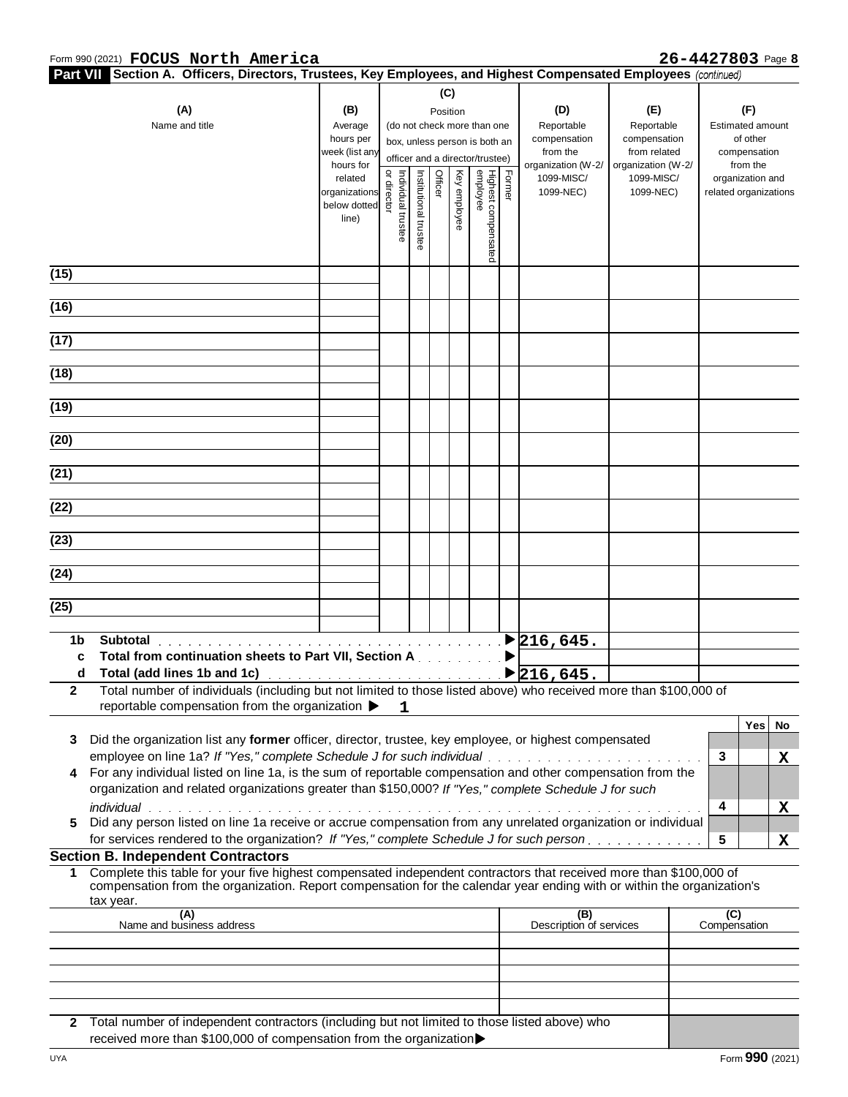# Form 990 (2021) **FOCUS North America 26-4427803**

| Part VII Section A. Officers, Directors, Trustees, Key Employees, and Highest Compensated Employees (continued)                                                                                                                                     |                             |                    |                       | (C)      |              |                                 |        |                                |                                    |                          |           |
|-----------------------------------------------------------------------------------------------------------------------------------------------------------------------------------------------------------------------------------------------------|-----------------------------|--------------------|-----------------------|----------|--------------|---------------------------------|--------|--------------------------------|------------------------------------|--------------------------|-----------|
| (A)                                                                                                                                                                                                                                                 | (B)                         |                    |                       | Position |              |                                 |        | (E)                            | (F)                                |                          |           |
| Name and title                                                                                                                                                                                                                                      | Average                     |                    |                       |          |              | (do not check more than one     |        | (D)<br>Reportable              | Reportable                         | <b>Estimated amount</b>  |           |
|                                                                                                                                                                                                                                                     | hours per                   |                    |                       |          |              | box, unless person is both an   |        | compensation                   | compensation                       | of other                 |           |
|                                                                                                                                                                                                                                                     | week (list any<br>hours for |                    |                       |          |              | officer and a director/trustee) |        | from the<br>organization (W-2/ | from related<br>organization (W-2/ | compensation<br>from the |           |
|                                                                                                                                                                                                                                                     | related                     |                    |                       | Officer  |              |                                 |        | 1099-MISC/                     | 1099-MISC/                         | organization and         |           |
|                                                                                                                                                                                                                                                     | organizations               | director           |                       |          |              |                                 | Former | 1099-NEC)                      | 1099-NEC)                          | related organizations    |           |
|                                                                                                                                                                                                                                                     | below dotted<br>line)       |                    |                       |          | Key employee |                                 |        |                                |                                    |                          |           |
|                                                                                                                                                                                                                                                     |                             | Individual trustee | Institutional trustee |          |              |                                 |        |                                |                                    |                          |           |
|                                                                                                                                                                                                                                                     |                             |                    |                       |          |              | Highest compensated<br>employee |        |                                |                                    |                          |           |
| (15)                                                                                                                                                                                                                                                |                             |                    |                       |          |              |                                 |        |                                |                                    |                          |           |
|                                                                                                                                                                                                                                                     |                             |                    |                       |          |              |                                 |        |                                |                                    |                          |           |
| (16)                                                                                                                                                                                                                                                |                             |                    |                       |          |              |                                 |        |                                |                                    |                          |           |
| (17)                                                                                                                                                                                                                                                |                             |                    |                       |          |              |                                 |        |                                |                                    |                          |           |
| (18)                                                                                                                                                                                                                                                |                             |                    |                       |          |              |                                 |        |                                |                                    |                          |           |
|                                                                                                                                                                                                                                                     |                             |                    |                       |          |              |                                 |        |                                |                                    |                          |           |
| (19)                                                                                                                                                                                                                                                |                             |                    |                       |          |              |                                 |        |                                |                                    |                          |           |
| (20)                                                                                                                                                                                                                                                |                             |                    |                       |          |              |                                 |        |                                |                                    |                          |           |
| (21)                                                                                                                                                                                                                                                |                             |                    |                       |          |              |                                 |        |                                |                                    |                          |           |
| (22)                                                                                                                                                                                                                                                |                             |                    |                       |          |              |                                 |        |                                |                                    |                          |           |
|                                                                                                                                                                                                                                                     |                             |                    |                       |          |              |                                 |        |                                |                                    |                          |           |
| (23)                                                                                                                                                                                                                                                |                             |                    |                       |          |              |                                 |        |                                |                                    |                          |           |
| (24)                                                                                                                                                                                                                                                |                             |                    |                       |          |              |                                 |        |                                |                                    |                          |           |
| (25)                                                                                                                                                                                                                                                |                             |                    |                       |          |              |                                 |        |                                |                                    |                          |           |
|                                                                                                                                                                                                                                                     |                             |                    |                       |          |              |                                 |        |                                |                                    |                          |           |
| Subtotal<br>1b                                                                                                                                                                                                                                      |                             |                    |                       |          |              |                                 |        | $\blacktriangleright$ 216,645. |                                    |                          |           |
| Total from continuation sheets to Part VII, Section A<br>C                                                                                                                                                                                          |                             |                    |                       |          |              |                                 |        |                                |                                    |                          |           |
| Total (add lines 1b and 1c) $\ldots$ $\ldots$ $\ldots$ $\ldots$ $\ldots$ $\ldots$ $\ldots$ $\triangleright$ 216,645.<br>d<br>Total number of individuals (including but not limited to those listed above) who received more than \$100,000 of<br>2 |                             |                    |                       |          |              |                                 |        |                                |                                    |                          |           |
| reportable compensation from the organization ▶                                                                                                                                                                                                     |                             | 1                  |                       |          |              |                                 |        |                                |                                    |                          |           |
|                                                                                                                                                                                                                                                     |                             |                    |                       |          |              |                                 |        |                                |                                    |                          | Yes<br>No |
| Did the organization list any former officer, director, trustee, key employee, or highest compensated<br>3.                                                                                                                                         |                             |                    |                       |          |              |                                 |        |                                |                                    |                          |           |
| employee on line 1a? If "Yes," complete Schedule J for such individual<br>For any individual listed on line 1a, is the sum of reportable compensation and other compensation from the<br>4                                                          |                             |                    |                       |          |              |                                 |        |                                |                                    | 3                        | х         |
| organization and related organizations greater than \$150,000? If "Yes," complete Schedule J for such                                                                                                                                               |                             |                    |                       |          |              |                                 |        |                                |                                    |                          |           |
| <i>individual</i>                                                                                                                                                                                                                                   |                             |                    |                       |          |              |                                 |        |                                |                                    | 4                        | X         |
| Did any person listed on line 1a receive or accrue compensation from any unrelated organization or individual<br>5                                                                                                                                  |                             |                    |                       |          |              |                                 |        |                                |                                    |                          |           |
| for services rendered to the organization? If "Yes," complete Schedule J for such person.                                                                                                                                                           |                             |                    |                       |          |              |                                 |        |                                |                                    | 5                        | X         |
| <b>Section B. Independent Contractors</b>                                                                                                                                                                                                           |                             |                    |                       |          |              |                                 |        |                                |                                    |                          |           |
| Complete this table for your five highest compensated independent contractors that received more than \$100,000 of<br>1.<br>compensation from the organization. Report compensation for the calendar year ending with or within the organization's  |                             |                    |                       |          |              |                                 |        |                                |                                    |                          |           |
| tax year.<br>(A)                                                                                                                                                                                                                                    |                             |                    |                       |          |              |                                 |        | (B)                            |                                    | $\overline{C}$           |           |
| Name and business address                                                                                                                                                                                                                           |                             |                    |                       |          |              |                                 |        | Description of services        |                                    | Compensation             |           |
|                                                                                                                                                                                                                                                     |                             |                    |                       |          |              |                                 |        |                                |                                    |                          |           |
|                                                                                                                                                                                                                                                     |                             |                    |                       |          |              |                                 |        |                                |                                    |                          |           |
|                                                                                                                                                                                                                                                     |                             |                    |                       |          |              |                                 |        |                                |                                    |                          |           |
| Total number of independent contractors (including but not limited to those listed above) who                                                                                                                                                       |                             |                    |                       |          |              |                                 |        |                                |                                    |                          |           |
| 2                                                                                                                                                                                                                                                   |                             |                    |                       |          |              |                                 |        |                                |                                    |                          |           |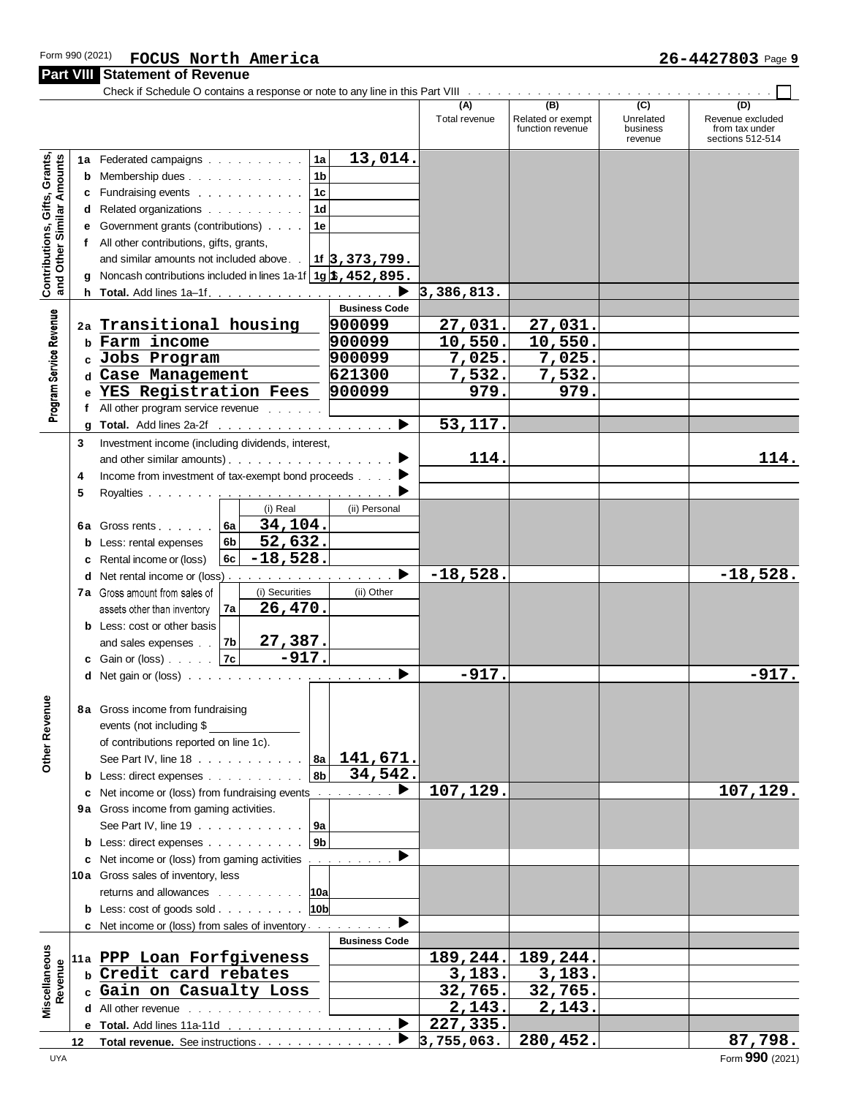### Form 990 (2021)

**Part VIII** Statement of Revenue

|                                                            |    | Check if Schedule O contains a response or note to any line in this Part VIII Theory Content of the content of Schedule O contains a response or note to any line in this Part VIII Theory Content of the content of the conte |                      |                      |                                              |                                         |                                                               |
|------------------------------------------------------------|----|--------------------------------------------------------------------------------------------------------------------------------------------------------------------------------------------------------------------------------|----------------------|----------------------|----------------------------------------------|-----------------------------------------|---------------------------------------------------------------|
|                                                            |    |                                                                                                                                                                                                                                |                      | (A)<br>Total revenue | (B)<br>Related or exempt<br>function revenue | (C)<br>Unrelated<br>business<br>revenue | (D)<br>Revenue excluded<br>from tax under<br>sections 512-514 |
|                                                            |    | 1a<br>1a Federated campaigns                                                                                                                                                                                                   | 13,014.              |                      |                                              |                                         |                                                               |
|                                                            | b  | 1 <sub>b</sub><br>Membership dues                                                                                                                                                                                              |                      |                      |                                              |                                         |                                                               |
|                                                            | c  | Fundraising events<br>1c                                                                                                                                                                                                       |                      |                      |                                              |                                         |                                                               |
|                                                            | d  | Related organizations<br>1 <sub>d</sub>                                                                                                                                                                                        |                      |                      |                                              |                                         |                                                               |
|                                                            | е  | Government grants (contributions)<br>l 1e                                                                                                                                                                                      |                      |                      |                                              |                                         |                                                               |
|                                                            |    | All other contributions, gifts, grants,                                                                                                                                                                                        |                      |                      |                                              |                                         |                                                               |
| Contributions, Gifts, Grants,<br>and Other Similar Amounts |    | and similar amounts not included above. $\frac{1}{11}$   1f   3, 373, 799.                                                                                                                                                     |                      |                      |                                              |                                         |                                                               |
|                                                            |    | Noncash contributions included in lines 1a-1f 1g \$, 452, 895.                                                                                                                                                                 |                      |                      |                                              |                                         |                                                               |
|                                                            | g  |                                                                                                                                                                                                                                | ▶                    | 3,386,813.           |                                              |                                         |                                                               |
|                                                            |    |                                                                                                                                                                                                                                | <b>Business Code</b> |                      |                                              |                                         |                                                               |
|                                                            |    | 2a Transitional housing                                                                                                                                                                                                        | 900099               | 27,031.              | 27,031.                                      |                                         |                                                               |
|                                                            |    | <b>b</b> Farm income                                                                                                                                                                                                           | 900099               | 10,550.              | 10,550.                                      |                                         |                                                               |
| Program Service Revenue                                    |    | c Jobs Program                                                                                                                                                                                                                 | 900099               | 7,025.               | 7,025.                                       |                                         |                                                               |
|                                                            |    | d Case Management                                                                                                                                                                                                              | 621300               | 7,532.               | 7,532.                                       |                                         |                                                               |
|                                                            |    | e YES Registration Fees                                                                                                                                                                                                        | 900099               | 979.                 | 979.                                         |                                         |                                                               |
|                                                            | f  | All other program service revenue                                                                                                                                                                                              |                      |                      |                                              |                                         |                                                               |
|                                                            | g  |                                                                                                                                                                                                                                |                      | 53,117.              |                                              |                                         |                                                               |
|                                                            | 3  | Investment income (including dividends, interest,                                                                                                                                                                              |                      |                      |                                              |                                         |                                                               |
|                                                            |    | and other similar amounts).                                                                                                                                                                                                    | ▶                    | 114.                 |                                              |                                         | 114.                                                          |
|                                                            | 4  | Income from investment of tax-exempt bond proceeds $\ldots$ .                                                                                                                                                                  |                      |                      |                                              |                                         |                                                               |
|                                                            | 5  |                                                                                                                                                                                                                                |                      |                      |                                              |                                         |                                                               |
|                                                            |    | (i) Real                                                                                                                                                                                                                       | (ii) Personal        |                      |                                              |                                         |                                                               |
|                                                            | 6a | 34,104.<br>6a<br>Gross rents                                                                                                                                                                                                   |                      |                      |                                              |                                         |                                                               |
|                                                            | b  | 52,632.<br>6b<br>Less: rental expenses                                                                                                                                                                                         |                      |                      |                                              |                                         |                                                               |
|                                                            | c  | $-18,528.$<br>Rental income or (loss)<br>6с                                                                                                                                                                                    |                      |                      |                                              |                                         |                                                               |
|                                                            | d  | Net rental income or (loss)                                                                                                                                                                                                    | ▶                    | $-18,528.$           |                                              |                                         | $-18,528.$                                                    |
|                                                            |    | (i) Securities<br>7a Gross amount from sales of                                                                                                                                                                                | (ii) Other           |                      |                                              |                                         |                                                               |
|                                                            |    | 26,470.<br>assets other than inventory<br>7a                                                                                                                                                                                   |                      |                      |                                              |                                         |                                                               |
|                                                            |    | <b>b</b> Less: cost or other basis                                                                                                                                                                                             |                      |                      |                                              |                                         |                                                               |
|                                                            |    | 27,387.<br>and sales expenses $\therefore$ 7b                                                                                                                                                                                  |                      |                      |                                              |                                         |                                                               |
|                                                            |    | $-917.$<br><b>c</b> Gain or (loss) $\ldots$ 7c                                                                                                                                                                                 |                      |                      |                                              |                                         |                                                               |
|                                                            |    | <b>d</b> Net gain or (loss) $\cdots$ $\cdots$ $\cdots$ $\cdots$ $\cdots$ $\cdots$ $\cdots$                                                                                                                                     | ▶                    | $-917.$              |                                              |                                         | $-917.$                                                       |
| g<br>Other Reven                                           |    | 8a Gross income from fundraising<br>events (not including \$<br>of contributions reported on line 1c).<br>See Part IV, line 18 8a   141, 671.<br> 8b <br><b>b</b> Less: direct expenses                                        | 34,542.              |                      |                                              |                                         |                                                               |
|                                                            |    | c Net income or (loss) from fundraising events with the state of Net income or (loss)                                                                                                                                          | ▶                    | 107,129.             |                                              |                                         | 107,129.                                                      |
|                                                            |    | 9a Gross income from gaming activities.                                                                                                                                                                                        |                      |                      |                                              |                                         |                                                               |
|                                                            |    | See Part IV, line 19 $\ldots$ $\ldots$ $\ldots$ $\ldots$   9a                                                                                                                                                                  |                      |                      |                                              |                                         |                                                               |
|                                                            |    | <b>b</b> Less: direct expenses<br>l 9b                                                                                                                                                                                         |                      |                      |                                              |                                         |                                                               |
|                                                            |    | c Net income or (loss) from gaming activities                                                                                                                                                                                  |                      |                      |                                              |                                         |                                                               |
|                                                            |    | 10a Gross sales of inventory, less                                                                                                                                                                                             |                      |                      |                                              |                                         |                                                               |
|                                                            |    | returns and allowances 10a                                                                                                                                                                                                     |                      |                      |                                              |                                         |                                                               |
|                                                            |    | <b>b</b> Less: cost of goods sold $\ldots$ $\ldots$ $\ldots$ $\boxed{10b}$                                                                                                                                                     |                      |                      |                                              |                                         |                                                               |
|                                                            |    | c Net income or (loss) from sales of inventory                                                                                                                                                                                 |                      |                      |                                              |                                         |                                                               |
|                                                            |    |                                                                                                                                                                                                                                | <b>Business Code</b> |                      |                                              |                                         |                                                               |
|                                                            |    | 11a PPP Loan Forfgiveness                                                                                                                                                                                                      |                      | 189,244.             | 189,244.                                     |                                         |                                                               |
|                                                            |    |                                                                                                                                                                                                                                |                      |                      | 3,183.                                       |                                         |                                                               |
|                                                            |    | b Credit card rebates                                                                                                                                                                                                          |                      | 3,183.               |                                              |                                         |                                                               |
|                                                            |    | c Gain on Casualty Loss                                                                                                                                                                                                        |                      | 32,765.              | 32,765.                                      |                                         |                                                               |
| Revenue                                                    |    | d All other revenue                                                                                                                                                                                                            |                      | 2,143.               | 2,143.                                       |                                         |                                                               |
| Miscellaneous                                              |    | e Total. Add lines 11a-11d                                                                                                                                                                                                     | ▶                    | 227,335.             | 280,452.                                     |                                         | 87,798.                                                       |

**FOCUS North America 26-4427803**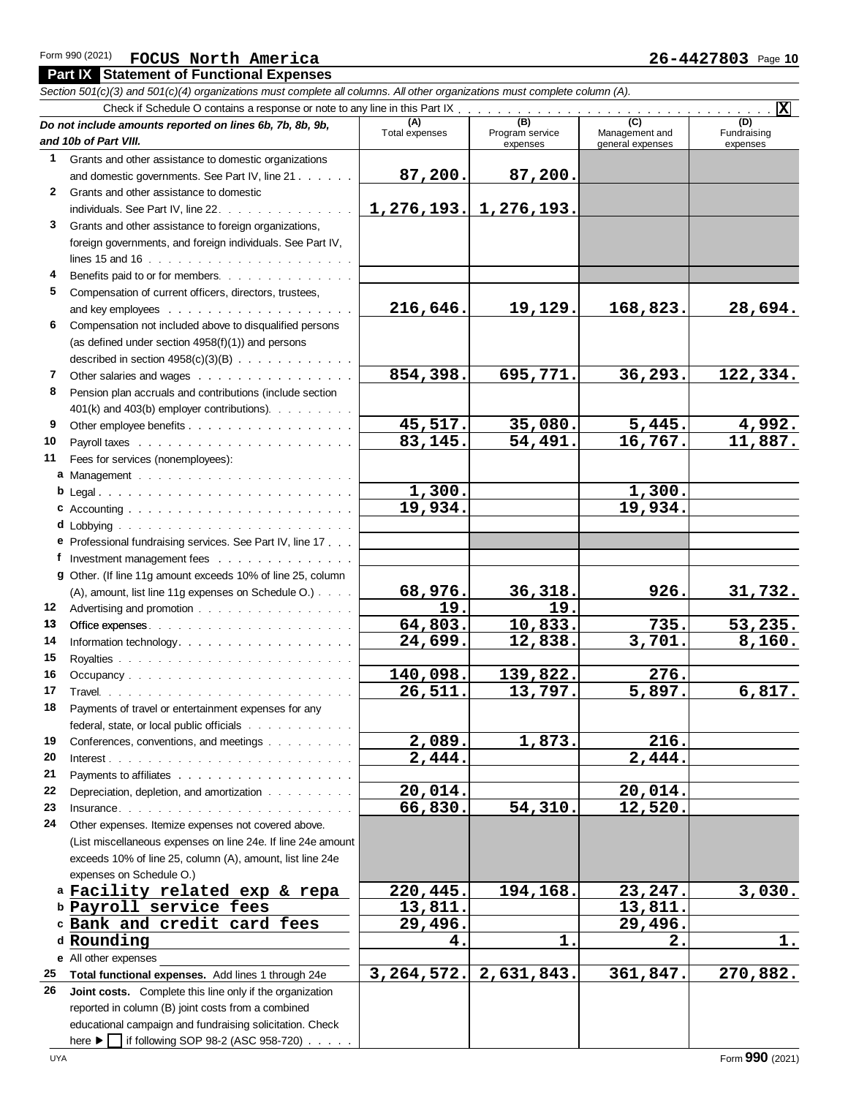| Form 990 (2021)<br>FOCUS North America                                                                                    | $26 - 4427803$ Page 10 |
|---------------------------------------------------------------------------------------------------------------------------|------------------------|
| <b>Part X</b> Statement of Functional Expenses                                                                            |                        |
| Section 501(c)(3) and 501(c)(4) organizations must complete all columns. All other organizations must complete column (4) |                        |

*Section 501(c)(3) and 501(c)(4) organizations must complete all columns. All other organizations must complete column (A).* Check if Schedule O contains a response or note to any line in this Part IX

|              | $\mu$ on oo $\mu$ o $\mu$ oo $\mu$ oo $\mu$ o $\mu$ oo gamaano maac oo mpiaco ali oolamina. Ali aanon orgamaanona maac oompiaco oolamin $\mu$                                                                                 |                           |                              |                  |                       |
|--------------|-------------------------------------------------------------------------------------------------------------------------------------------------------------------------------------------------------------------------------|---------------------------|------------------------------|------------------|-----------------------|
|              |                                                                                                                                                                                                                               | (A)                       | (B)                          | $\overline{(c)}$ | (D)                   |
|              | Do not include amounts reported on lines 6b, 7b, 8b, 9b,                                                                                                                                                                      | Total expenses            | Program service              | Management and   | Fundraising           |
|              | and 10b of Part VIII.                                                                                                                                                                                                         |                           | expenses                     | general expenses | expenses              |
| $\mathbf{1}$ | Grants and other assistance to domestic organizations                                                                                                                                                                         |                           |                              |                  |                       |
|              | and domestic governments. See Part IV, line 21                                                                                                                                                                                | 87,200.                   | 87,200.                      |                  |                       |
|              | 2 Grants and other assistance to domestic                                                                                                                                                                                     |                           |                              |                  |                       |
|              | individuals. See Part IV, line 22.                                                                                                                                                                                            |                           | <u>1,276,193. 1,276,193.</u> |                  |                       |
| 3            | Grants and other assistance to foreign organizations,                                                                                                                                                                         |                           |                              |                  |                       |
|              | foreign governments, and foreign individuals. See Part IV,                                                                                                                                                                    |                           |                              |                  |                       |
|              |                                                                                                                                                                                                                               |                           |                              |                  |                       |
| 4            | Benefits paid to or for members.                                                                                                                                                                                              |                           |                              |                  |                       |
| 5.           | Compensation of current officers, directors, trustees,                                                                                                                                                                        |                           |                              |                  |                       |
|              |                                                                                                                                                                                                                               | 216,646.                  | 19,129.                      | 168,823.         | 28,694.               |
| 6            | Compensation not included above to disqualified persons                                                                                                                                                                       |                           |                              |                  |                       |
|              | (as defined under section $4958(f)(1)$ ) and persons                                                                                                                                                                          |                           |                              |                  |                       |
|              | described in section $4958(c)(3)(B)$ .                                                                                                                                                                                        |                           |                              |                  |                       |
| 7            | Other salaries and wages                                                                                                                                                                                                      | 854,398.                  | 695,771.                     | 36,293.          | 122,334.              |
| 8            | Pension plan accruals and contributions (include section                                                                                                                                                                      |                           |                              |                  |                       |
|              | 401(k) and 403(b) employer contributions).                                                                                                                                                                                    |                           |                              |                  |                       |
| 9            |                                                                                                                                                                                                                               | 45,517.                   | 35,080.                      | 5,445.           | 4,992.                |
| 10           | Payroll taxes with a state of the state of the state of the state of the state of the state of the state of the                                                                                                               | 83,145.                   | $\overline{5}$ 4,491.        | 16,767.          | $\overline{1}$ 1,887. |
| 11           | Fees for services (nonemployees):                                                                                                                                                                                             |                           |                              |                  |                       |
|              |                                                                                                                                                                                                                               |                           |                              |                  |                       |
|              |                                                                                                                                                                                                                               | 1,300.                    |                              | 1,300.           |                       |
|              |                                                                                                                                                                                                                               | 19,934.                   |                              | 19,934.          |                       |
|              |                                                                                                                                                                                                                               |                           |                              |                  |                       |
|              | e Professional fundraising services. See Part IV, line 17                                                                                                                                                                     |                           |                              |                  |                       |
|              | f Investment management fees                                                                                                                                                                                                  |                           |                              |                  |                       |
|              |                                                                                                                                                                                                                               |                           |                              |                  |                       |
|              | 9 Other. (If line 11g amount exceeds 10% of line 25, column                                                                                                                                                                   | 68,976.                   | 36,318.                      | 926.             |                       |
|              | (A), amount, list line 11g expenses on Schedule O.)                                                                                                                                                                           | $\overline{19}$ .         | 19.                          |                  | 31,732.               |
| 12           | Advertising and promotion with a substitution of the state of the state of the state of the state of the state of the state of the state of the state of the state of the state of the state of the state of the state of the | 64,803.                   |                              |                  |                       |
| 13           |                                                                                                                                                                                                                               |                           | 10,833.                      | 735.             | 53,235.               |
| 14           |                                                                                                                                                                                                                               | 24,699.                   | 12,838.                      | 3,701.           | 8,160.                |
| 15           |                                                                                                                                                                                                                               |                           |                              |                  |                       |
| 16           |                                                                                                                                                                                                                               | 140,098.                  | 139,822.                     | 276.             |                       |
| 17           |                                                                                                                                                                                                                               | 26,511.                   | 13,797.                      | 5,897.           | 6,817.                |
| 18           | Payments of travel or entertainment expenses for any                                                                                                                                                                          |                           |                              |                  |                       |
|              | federal, state, or local public officials                                                                                                                                                                                     |                           |                              |                  |                       |
| 19           | Conferences, conventions, and meetings                                                                                                                                                                                        | 2,089.                    | 1,873.                       | 216.             |                       |
| 20           |                                                                                                                                                                                                                               | 2,444.                    |                              | 2,444.           |                       |
| 21           |                                                                                                                                                                                                                               |                           |                              |                  |                       |
| 22           | Depreciation, depletion, and amortization                                                                                                                                                                                     | 20,014.                   |                              | 20,014.          |                       |
| 23           |                                                                                                                                                                                                                               | 66,830.                   | 54,310.                      | 12,520.          |                       |
| 24           | Other expenses. Itemize expenses not covered above.                                                                                                                                                                           |                           |                              |                  |                       |
|              | (List miscellaneous expenses on line 24e. If line 24e amount                                                                                                                                                                  |                           |                              |                  |                       |
|              | exceeds 10% of line 25, column (A), amount, list line 24e                                                                                                                                                                     |                           |                              |                  |                       |
|              | expenses on Schedule O.)                                                                                                                                                                                                      |                           |                              |                  |                       |
|              | a Facility related exp & repa                                                                                                                                                                                                 | 220,445.                  | 194,168.                     | 23,247.          | 3,030.                |
|              | b Payroll service fees                                                                                                                                                                                                        | 13,811.                   |                              | 13,811.          |                       |
|              |                                                                                                                                                                                                                               |                           |                              | 29,496.          |                       |
|              |                                                                                                                                                                                                                               |                           |                              |                  |                       |
|              | c Bank and credit card fees                                                                                                                                                                                                   | 29,496.                   |                              |                  |                       |
|              | d Rounding                                                                                                                                                                                                                    | $\overline{\mathbf{4}}$ . | 1.                           | 2.               |                       |
|              | e All other expenses                                                                                                                                                                                                          |                           |                              |                  | 1.                    |
|              | Total functional expenses. Add lines 1 through 24e                                                                                                                                                                            | 3, 264, 572.              | 2,631,843.                   | 361,847.         |                       |
|              | Joint costs. Complete this line only if the organization                                                                                                                                                                      |                           |                              |                  | 270,882.              |
| 25<br>26     | reported in column (B) joint costs from a combined<br>educational campaign and fundraising solicitation. Check                                                                                                                |                           |                              |                  |                       |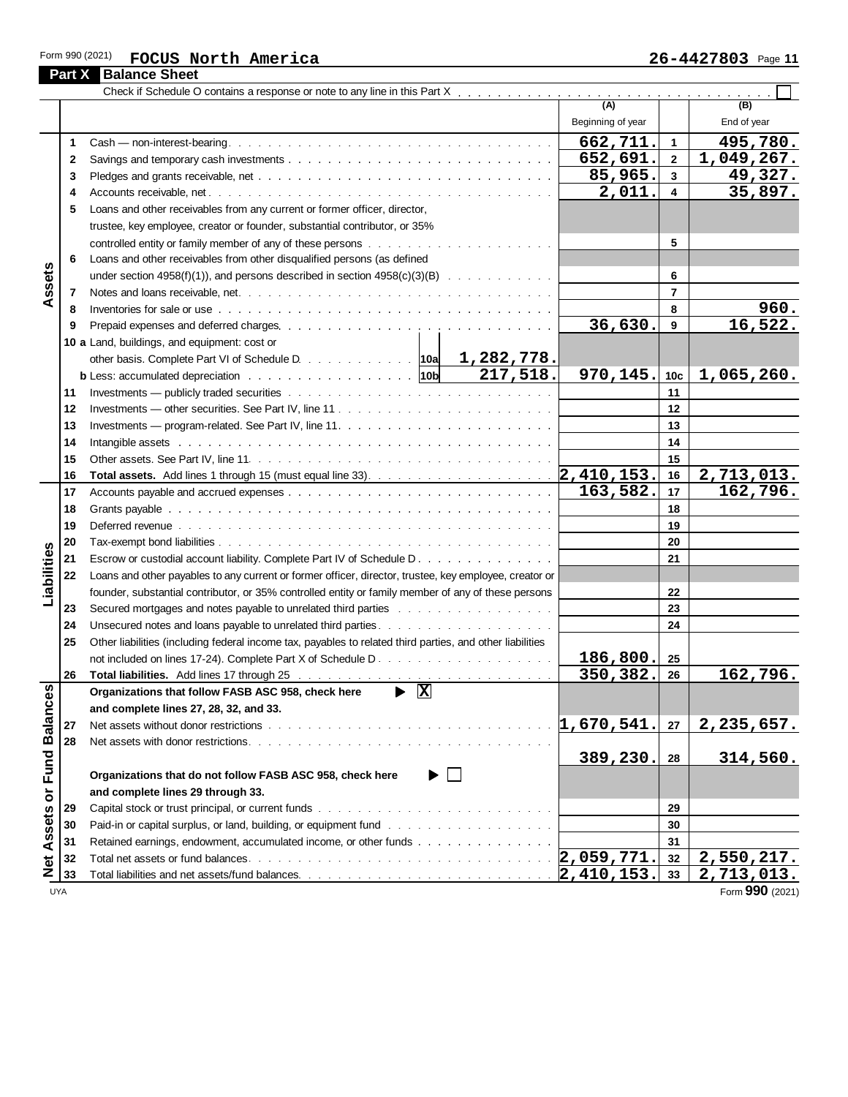Form 990 (2021) **FOCUS North America 26-4427803**

|                         | <b>Part X</b> Balance Sheet                                                                                                                                                                                                    |                   |                         |                         |
|-------------------------|--------------------------------------------------------------------------------------------------------------------------------------------------------------------------------------------------------------------------------|-------------------|-------------------------|-------------------------|
|                         |                                                                                                                                                                                                                                |                   |                         | and the contract of the |
|                         |                                                                                                                                                                                                                                | (A)               |                         | (B)                     |
|                         |                                                                                                                                                                                                                                | Beginning of year |                         | End of year             |
| 1                       |                                                                                                                                                                                                                                | 662,711.          | $\mathbf{1}$            | 495,780.                |
| $\mathbf{2}$            |                                                                                                                                                                                                                                | 652,691.          | $\overline{\mathbf{2}}$ | 1,049,267.              |
| 3                       |                                                                                                                                                                                                                                | 85,965.           | $\mathbf{3}$            | 49,327.                 |
| 4                       |                                                                                                                                                                                                                                | 2,011.            | $\overline{\mathbf{4}}$ | 35,897.                 |
| 5.                      | Loans and other receivables from any current or former officer, director,                                                                                                                                                      |                   |                         |                         |
|                         | trustee, key employee, creator or founder, substantial contributor, or 35%                                                                                                                                                     |                   |                         |                         |
|                         | controlled entity or family member of any of these persons                                                                                                                                                                     |                   | 5                       |                         |
| 6                       | Loans and other receivables from other disqualified persons (as defined                                                                                                                                                        |                   |                         |                         |
|                         | under section $4958(f)(1)$ , and persons described in section $4958(c)(3)(B)$ .                                                                                                                                                |                   | 6                       |                         |
| 7                       |                                                                                                                                                                                                                                |                   | $\overline{7}$          |                         |
| 8                       | Inventories for sale or use enterprise and contact the contact of the contact of the contact of the contact of the contact of the contact of the contact of the contact of the contact of the contact of the contact of the co |                   | 8                       | 960.                    |
| 9                       |                                                                                                                                                                                                                                | 36,630.           | $\boldsymbol{9}$        | 16,522.                 |
|                         | 10 a Land, buildings, and equipment: cost or                                                                                                                                                                                   |                   |                         |                         |
|                         | <u>1,282,778.</u><br>217,518.<br>other basis. Complete Part VI of Schedule D. 10a                                                                                                                                              |                   |                         |                         |
|                         | <b>b</b> Less: accumulated depreciation $\ldots$ $\ldots$ $\ldots$ $\ldots$ $\ldots$ $\ldots$ $\vert$ 10b                                                                                                                      | 970,145.          | 10c                     | 1,065,260.              |
| 11                      |                                                                                                                                                                                                                                |                   | 11                      |                         |
| 12                      |                                                                                                                                                                                                                                |                   | 12                      |                         |
| 13                      |                                                                                                                                                                                                                                |                   | 13                      |                         |
| 14                      | Intangible assets response to the contract of the contract of the contract of the contract of the contract of the contract of the contract of the contract of the contract of the contract of the contract of the contract of  |                   | 14                      |                         |
| 15                      |                                                                                                                                                                                                                                |                   | 15                      |                         |
| 16                      | Total assets. Add lines 1 through 15 (must equal line 33). $\ldots$ 2, 410, 153.                                                                                                                                               |                   | 16                      | 2,713,013.              |
| 17                      |                                                                                                                                                                                                                                | 163,582.          | 17                      | 162,796.                |
| 18                      |                                                                                                                                                                                                                                |                   | 18                      |                         |
| 19                      | Deferred revenue business and a series of the contract of the contract of the contract of the contract of the contract of the contract of the contract of the contract of the contract of the contract of the contract of the  |                   | 19                      |                         |
| 20                      |                                                                                                                                                                                                                                |                   | 20                      |                         |
| 21                      | Escrow or custodial account liability. Complete Part IV of Schedule D.                                                                                                                                                         |                   | 21                      |                         |
| 22                      | Loans and other payables to any current or former officer, director, trustee, key employee, creator or                                                                                                                         |                   |                         |                         |
|                         | founder, substantial contributor, or 35% controlled entity or family member of any of these persons                                                                                                                            |                   | 22<br>23                |                         |
| 23                      | Secured mortgages and notes payable to unrelated third parties with a substitution of the secured mortgages and notes payable to unrelated third parties with a substitution of the second secured with a second more secured  |                   | 24                      |                         |
| 24<br>25                | Other liabilities (including federal income tax, payables to related third parties, and other liabilities                                                                                                                      |                   |                         |                         |
|                         |                                                                                                                                                                                                                                | 186,800.          | 25                      |                         |
| 26                      |                                                                                                                                                                                                                                | 350,382.          | 26                      | 162,796.                |
|                         | $\boxed{\mathbf{X}}$<br>Organizations that follow FASB ASC 958, check here                                                                                                                                                     |                   |                         |                         |
|                         | and complete lines 27, 28, 32, and 33.                                                                                                                                                                                         |                   |                         |                         |
| 27                      |                                                                                                                                                                                                                                | 1,670,541.        | 27                      | 2,235,657.              |
| 28                      |                                                                                                                                                                                                                                |                   |                         |                         |
|                         |                                                                                                                                                                                                                                | 389,230.          | 28                      | 314,560.                |
| or Fund Balances        | $\blacktriangleright$ $\Box$<br>Organizations that do not follow FASB ASC 958, check here                                                                                                                                      |                   |                         |                         |
|                         | and complete lines 29 through 33.                                                                                                                                                                                              |                   |                         |                         |
| 29                      |                                                                                                                                                                                                                                |                   | 29                      |                         |
|                         |                                                                                                                                                                                                                                |                   | 30                      |                         |
| 30                      |                                                                                                                                                                                                                                |                   |                         |                         |
| 31                      |                                                                                                                                                                                                                                |                   | 31                      |                         |
| <b>Net Assets</b><br>32 | Retained earnings, endowment, accumulated income, or other funds                                                                                                                                                               |                   | 32                      | 2,550,217.              |

UYA Form **990** (2021)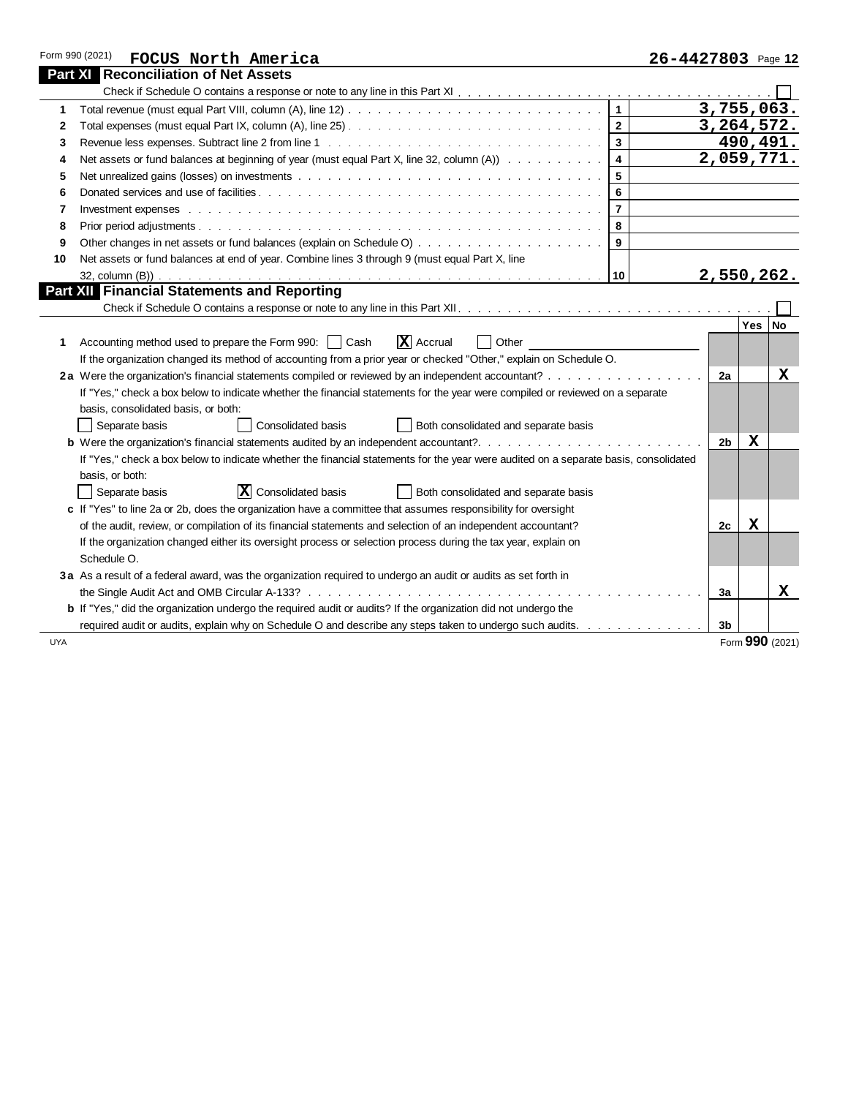| Form 990 (2021)<br>FOCUS North America                                                                                                                                                                                              |                | 26-4427803 Page 12 |                 |
|-------------------------------------------------------------------------------------------------------------------------------------------------------------------------------------------------------------------------------------|----------------|--------------------|-----------------|
| <b>Part XI Reconciliation of Net Assets</b>                                                                                                                                                                                         |                |                    |                 |
|                                                                                                                                                                                                                                     |                |                    |                 |
| 1                                                                                                                                                                                                                                   | $\mathbf{1}$   |                    | 3,755,063.      |
| $\mathbf{2}$                                                                                                                                                                                                                        | $\overline{2}$ |                    | 3, 264, 572.    |
| Revenue less expenses. Subtract line 2 from line 1 (a) and a subset of the state of the state of the state of the state of the state of the state of the state of the state of the state of the state of the state of the stat<br>3 | $\mathbf{3}$   |                    | 490,491.        |
| Net assets or fund balances at beginning of year (must equal Part X, line 32, column (A))<br>4                                                                                                                                      | $\overline{4}$ |                    | 2,059,771.      |
| Net unrealized gains (losses) on investments with a state of the state of the state of the state of the state of the state of the state of the state of the state of the state of the state of the state of the state of the s<br>5 | 5              |                    |                 |
| 6                                                                                                                                                                                                                                   | 6              |                    |                 |
| Investment expenses (expenses of the contract of the contract of the contract of the contract of the contract of the contract of the contract of the contract of the contract of the contract of the contract of the contract<br>7  | $\overline{7}$ |                    |                 |
| 8                                                                                                                                                                                                                                   | 8              |                    |                 |
| 9                                                                                                                                                                                                                                   | 9              |                    |                 |
| Net assets or fund balances at end of year. Combine lines 3 through 9 (must equal Part X, line<br>10                                                                                                                                |                |                    |                 |
| Part XII Financial Statements and Reporting                                                                                                                                                                                         |                |                    | 2,550,262.      |
|                                                                                                                                                                                                                                     |                |                    |                 |
|                                                                                                                                                                                                                                     |                |                    | Yes   No        |
| $\overline{\mathbf{X}}$ Accrual<br><b>Other</b><br>Accounting method used to prepare the Form 990:     Cash<br>1                                                                                                                    |                |                    |                 |
| If the organization changed its method of accounting from a prior year or checked "Other," explain on Schedule O.                                                                                                                   |                |                    |                 |
| 2a Were the organization's financial statements compiled or reviewed by an independent accountant?                                                                                                                                  |                | 2a                 | x               |
| If "Yes," check a box below to indicate whether the financial statements for the year were compiled or reviewed on a separate                                                                                                       |                |                    |                 |
| basis, consolidated basis, or both:                                                                                                                                                                                                 |                |                    |                 |
| Separate basis<br>Consolidated basis<br>Both consolidated and separate basis                                                                                                                                                        |                |                    |                 |
|                                                                                                                                                                                                                                     |                | 2 <sub>b</sub>     | X               |
| If "Yes," check a box below to indicate whether the financial statements for the year were audited on a separate basis, consolidated                                                                                                |                |                    |                 |
| basis, or both:                                                                                                                                                                                                                     |                |                    |                 |
| $\overline{X}$ Consolidated basis<br>Separate basis<br>Both consolidated and separate basis                                                                                                                                         |                |                    |                 |
| c If "Yes" to line 2a or 2b, does the organization have a committee that assumes responsibility for oversight                                                                                                                       |                |                    |                 |
| of the audit, review, or compilation of its financial statements and selection of an independent accountant?                                                                                                                        |                | 2c                 | x               |
| If the organization changed either its oversight process or selection process during the tax year, explain on                                                                                                                       |                |                    |                 |
| Schedule O.                                                                                                                                                                                                                         |                |                    |                 |
| 3a As a result of a federal award, was the organization required to undergo an audit or audits as set forth in                                                                                                                      |                |                    |                 |
|                                                                                                                                                                                                                                     |                | За                 | x               |
| <b>b</b> If "Yes," did the organization undergo the required audit or audits? If the organization did not undergo the                                                                                                               |                |                    |                 |
| required audit or audits, explain why on Schedule O and describe any steps taken to undergo such audits.                                                                                                                            |                | 3b                 |                 |
| <b>UYA</b>                                                                                                                                                                                                                          |                |                    | Form 990 (2021) |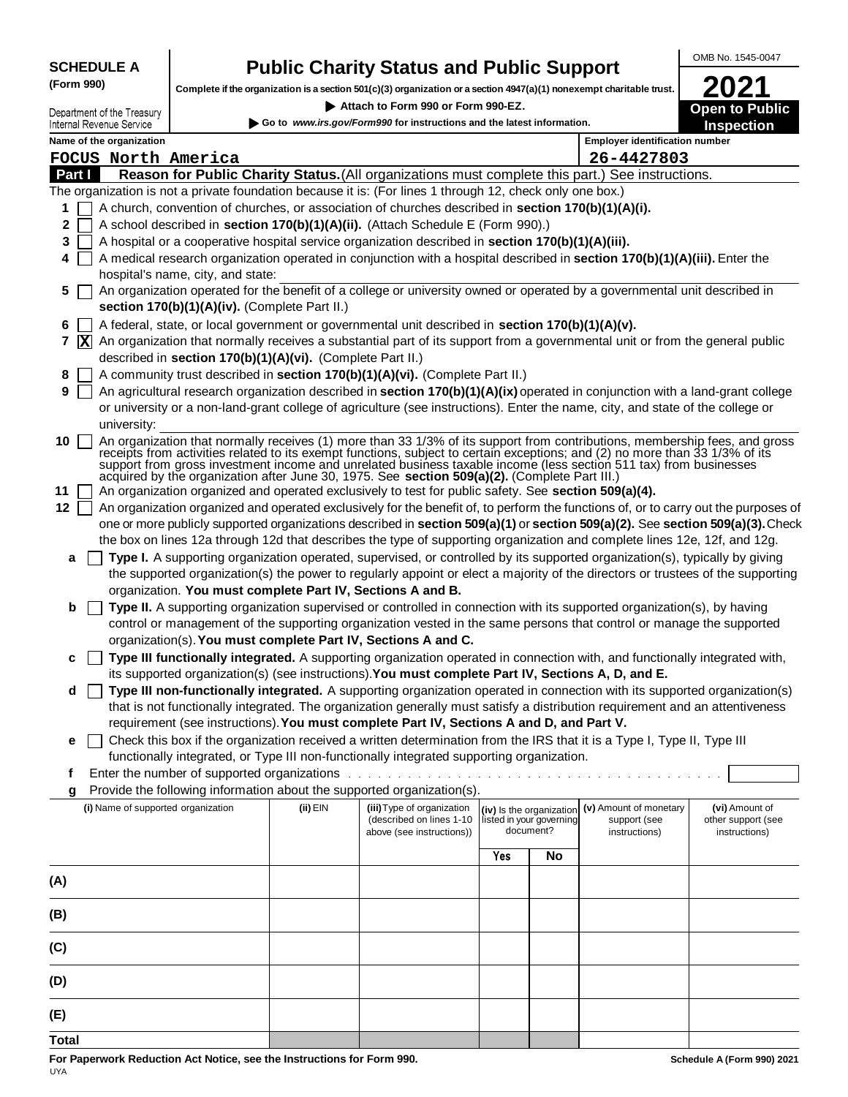**SCHEDULE A** 

**(Form 990)**

# **Public Charity Status and Public Support**

**Complete if the organization is a section 501(c)(3) organization or a section 4947(a)(1) nonexempt charitable trust.**

OMB No. 1545-0047 **2021**

|                        | Department of the Treasury                                                                                              |                                                            |          | Attach to Form 990 or Form 990-EZ.                                                                                                                                                                                                                                                                                                                                                                                                                                                                                                                                                                                                                                                                                                                                                                                                            |                                       |    |                                                                                  | <b>Open to Public</b>                                 |
|------------------------|-------------------------------------------------------------------------------------------------------------------------|------------------------------------------------------------|----------|-----------------------------------------------------------------------------------------------------------------------------------------------------------------------------------------------------------------------------------------------------------------------------------------------------------------------------------------------------------------------------------------------------------------------------------------------------------------------------------------------------------------------------------------------------------------------------------------------------------------------------------------------------------------------------------------------------------------------------------------------------------------------------------------------------------------------------------------------|---------------------------------------|----|----------------------------------------------------------------------------------|-------------------------------------------------------|
|                        | Go to www.irs.gov/Form990 for instructions and the latest information.<br><b>Inspection</b><br>Internal Revenue Service |                                                            |          |                                                                                                                                                                                                                                                                                                                                                                                                                                                                                                                                                                                                                                                                                                                                                                                                                                               |                                       |    |                                                                                  |                                                       |
|                        | Name of the organization                                                                                                |                                                            |          |                                                                                                                                                                                                                                                                                                                                                                                                                                                                                                                                                                                                                                                                                                                                                                                                                                               |                                       |    | <b>Employer identification number</b>                                            |                                                       |
|                        | FOCUS North America                                                                                                     |                                                            |          |                                                                                                                                                                                                                                                                                                                                                                                                                                                                                                                                                                                                                                                                                                                                                                                                                                               |                                       |    | 26-4427803                                                                       |                                                       |
| Part I                 |                                                                                                                         |                                                            |          | Reason for Public Charity Status. (All organizations must complete this part.) See instructions.                                                                                                                                                                                                                                                                                                                                                                                                                                                                                                                                                                                                                                                                                                                                              |                                       |    |                                                                                  |                                                       |
|                        |                                                                                                                         |                                                            |          | The organization is not a private foundation because it is: (For lines 1 through 12, check only one box.)                                                                                                                                                                                                                                                                                                                                                                                                                                                                                                                                                                                                                                                                                                                                     |                                       |    |                                                                                  |                                                       |
|                        |                                                                                                                         |                                                            |          | A church, convention of churches, or association of churches described in section 170(b)(1)(A)(i).                                                                                                                                                                                                                                                                                                                                                                                                                                                                                                                                                                                                                                                                                                                                            |                                       |    |                                                                                  |                                                       |
| 2                      |                                                                                                                         |                                                            |          | A school described in section 170(b)(1)(A)(ii). (Attach Schedule E (Form 990).)                                                                                                                                                                                                                                                                                                                                                                                                                                                                                                                                                                                                                                                                                                                                                               |                                       |    |                                                                                  |                                                       |
| 3                      |                                                                                                                         |                                                            |          | A hospital or a cooperative hospital service organization described in section 170(b)(1)(A)(iii).                                                                                                                                                                                                                                                                                                                                                                                                                                                                                                                                                                                                                                                                                                                                             |                                       |    |                                                                                  |                                                       |
| 4                      |                                                                                                                         |                                                            |          | A medical research organization operated in conjunction with a hospital described in section 170(b)(1)(A)(iii). Enter the                                                                                                                                                                                                                                                                                                                                                                                                                                                                                                                                                                                                                                                                                                                     |                                       |    |                                                                                  |                                                       |
|                        |                                                                                                                         | hospital's name, city, and state:                          |          | An organization operated for the benefit of a college or university owned or operated by a governmental unit described in                                                                                                                                                                                                                                                                                                                                                                                                                                                                                                                                                                                                                                                                                                                     |                                       |    |                                                                                  |                                                       |
| 5                      |                                                                                                                         | section 170(b)(1)(A)(iv). (Complete Part II.)              |          |                                                                                                                                                                                                                                                                                                                                                                                                                                                                                                                                                                                                                                                                                                                                                                                                                                               |                                       |    |                                                                                  |                                                       |
|                        |                                                                                                                         |                                                            |          | A federal, state, or local government or governmental unit described in section 170(b)(1)(A)(v).                                                                                                                                                                                                                                                                                                                                                                                                                                                                                                                                                                                                                                                                                                                                              |                                       |    |                                                                                  |                                                       |
| 6<br>$7 \times$        |                                                                                                                         |                                                            |          | An organization that normally receives a substantial part of its support from a governmental unit or from the general public                                                                                                                                                                                                                                                                                                                                                                                                                                                                                                                                                                                                                                                                                                                  |                                       |    |                                                                                  |                                                       |
|                        |                                                                                                                         | described in section 170(b)(1)(A)(vi). (Complete Part II.) |          |                                                                                                                                                                                                                                                                                                                                                                                                                                                                                                                                                                                                                                                                                                                                                                                                                                               |                                       |    |                                                                                  |                                                       |
| 8                      |                                                                                                                         |                                                            |          | A community trust described in section 170(b)(1)(A)(vi). (Complete Part II.)                                                                                                                                                                                                                                                                                                                                                                                                                                                                                                                                                                                                                                                                                                                                                                  |                                       |    |                                                                                  |                                                       |
| 9                      |                                                                                                                         |                                                            |          | An agricultural research organization described in section 170(b)(1)(A)(ix) operated in conjunction with a land-grant college                                                                                                                                                                                                                                                                                                                                                                                                                                                                                                                                                                                                                                                                                                                 |                                       |    |                                                                                  |                                                       |
|                        |                                                                                                                         |                                                            |          | or university or a non-land-grant college of agriculture (see instructions). Enter the name, city, and state of the college or                                                                                                                                                                                                                                                                                                                                                                                                                                                                                                                                                                                                                                                                                                                |                                       |    |                                                                                  |                                                       |
|                        | university:                                                                                                             |                                                            |          |                                                                                                                                                                                                                                                                                                                                                                                                                                                                                                                                                                                                                                                                                                                                                                                                                                               |                                       |    |                                                                                  |                                                       |
| 10 $\vert$<br>11<br>12 |                                                                                                                         |                                                            |          | An organization that normally receives (1) more than 33 1/3% of its support from contributions, membership fees, and gross receipts from activities related to its exempt functions, subject to certain exceptions; and (2) no<br>acquired by the organization after June 30, 1975. See section 509(a)(2). (Complete Part III.)<br>An organization organized and operated exclusively to test for public safety. See section 509(a)(4).<br>An organization organized and operated exclusively for the benefit of, to perform the functions of, or to carry out the purposes of<br>one or more publicly supported organizations described in section 509(a)(1) or section 509(a)(2). See section 509(a)(3). Check<br>the box on lines 12a through 12d that describes the type of supporting organization and complete lines 12e, 12f, and 12g. |                                       |    |                                                                                  |                                                       |
| а                      |                                                                                                                         |                                                            |          | Type I. A supporting organization operated, supervised, or controlled by its supported organization(s), typically by giving                                                                                                                                                                                                                                                                                                                                                                                                                                                                                                                                                                                                                                                                                                                   |                                       |    |                                                                                  |                                                       |
|                        |                                                                                                                         |                                                            |          | the supported organization(s) the power to regularly appoint or elect a majority of the directors or trustees of the supporting                                                                                                                                                                                                                                                                                                                                                                                                                                                                                                                                                                                                                                                                                                               |                                       |    |                                                                                  |                                                       |
|                        |                                                                                                                         |                                                            |          | organization. You must complete Part IV, Sections A and B.                                                                                                                                                                                                                                                                                                                                                                                                                                                                                                                                                                                                                                                                                                                                                                                    |                                       |    |                                                                                  |                                                       |
| b                      |                                                                                                                         |                                                            |          | Type II. A supporting organization supervised or controlled in connection with its supported organization(s), by having<br>control or management of the supporting organization vested in the same persons that control or manage the supported                                                                                                                                                                                                                                                                                                                                                                                                                                                                                                                                                                                               |                                       |    |                                                                                  |                                                       |
|                        |                                                                                                                         |                                                            |          | organization(s). You must complete Part IV, Sections A and C.<br>Type III functionally integrated. A supporting organization operated in connection with, and functionally integrated with,                                                                                                                                                                                                                                                                                                                                                                                                                                                                                                                                                                                                                                                   |                                       |    |                                                                                  |                                                       |
| с                      |                                                                                                                         |                                                            |          | its supported organization(s) (see instructions). You must complete Part IV, Sections A, D, and E.                                                                                                                                                                                                                                                                                                                                                                                                                                                                                                                                                                                                                                                                                                                                            |                                       |    |                                                                                  |                                                       |
| d                      |                                                                                                                         |                                                            |          | Type III non-functionally integrated. A supporting organization operated in connection with its supported organization(s)                                                                                                                                                                                                                                                                                                                                                                                                                                                                                                                                                                                                                                                                                                                     |                                       |    |                                                                                  |                                                       |
|                        |                                                                                                                         |                                                            |          | that is not functionally integrated. The organization generally must satisfy a distribution requirement and an attentiveness                                                                                                                                                                                                                                                                                                                                                                                                                                                                                                                                                                                                                                                                                                                  |                                       |    |                                                                                  |                                                       |
|                        |                                                                                                                         |                                                            |          | requirement (see instructions). You must complete Part IV, Sections A and D, and Part V.                                                                                                                                                                                                                                                                                                                                                                                                                                                                                                                                                                                                                                                                                                                                                      |                                       |    |                                                                                  |                                                       |
| е                      |                                                                                                                         |                                                            |          | Check this box if the organization received a written determination from the IRS that it is a Type I, Type II, Type III                                                                                                                                                                                                                                                                                                                                                                                                                                                                                                                                                                                                                                                                                                                       |                                       |    |                                                                                  |                                                       |
|                        |                                                                                                                         |                                                            |          | functionally integrated, or Type III non-functionally integrated supporting organization.                                                                                                                                                                                                                                                                                                                                                                                                                                                                                                                                                                                                                                                                                                                                                     |                                       |    |                                                                                  |                                                       |
| f                      |                                                                                                                         |                                                            |          | Enter the number of supported organizations enters and contained a series of the number of supported organizations and contained a series and containing the number of supported organizations.                                                                                                                                                                                                                                                                                                                                                                                                                                                                                                                                                                                                                                               |                                       |    |                                                                                  |                                                       |
| g                      |                                                                                                                         |                                                            |          | Provide the following information about the supported organization(s).                                                                                                                                                                                                                                                                                                                                                                                                                                                                                                                                                                                                                                                                                                                                                                        |                                       |    |                                                                                  |                                                       |
|                        | (i) Name of supported organization                                                                                      |                                                            | (ii) EIN | (iii) Type of organization<br>(described on lines 1-10<br>above (see instructions))                                                                                                                                                                                                                                                                                                                                                                                                                                                                                                                                                                                                                                                                                                                                                           | listed in your governing<br>document? |    | (iv) Is the organization (v) Amount of monetary<br>support (see<br>instructions) | (vi) Amount of<br>other support (see<br>instructions) |
|                        |                                                                                                                         |                                                            |          |                                                                                                                                                                                                                                                                                                                                                                                                                                                                                                                                                                                                                                                                                                                                                                                                                                               | Yes                                   | No |                                                                                  |                                                       |
| (A)                    |                                                                                                                         |                                                            |          |                                                                                                                                                                                                                                                                                                                                                                                                                                                                                                                                                                                                                                                                                                                                                                                                                                               |                                       |    |                                                                                  |                                                       |
| (B)                    |                                                                                                                         |                                                            |          |                                                                                                                                                                                                                                                                                                                                                                                                                                                                                                                                                                                                                                                                                                                                                                                                                                               |                                       |    |                                                                                  |                                                       |
| (C)                    |                                                                                                                         |                                                            |          |                                                                                                                                                                                                                                                                                                                                                                                                                                                                                                                                                                                                                                                                                                                                                                                                                                               |                                       |    |                                                                                  |                                                       |
| (D)                    |                                                                                                                         |                                                            |          |                                                                                                                                                                                                                                                                                                                                                                                                                                                                                                                                                                                                                                                                                                                                                                                                                                               |                                       |    |                                                                                  |                                                       |

**(E)**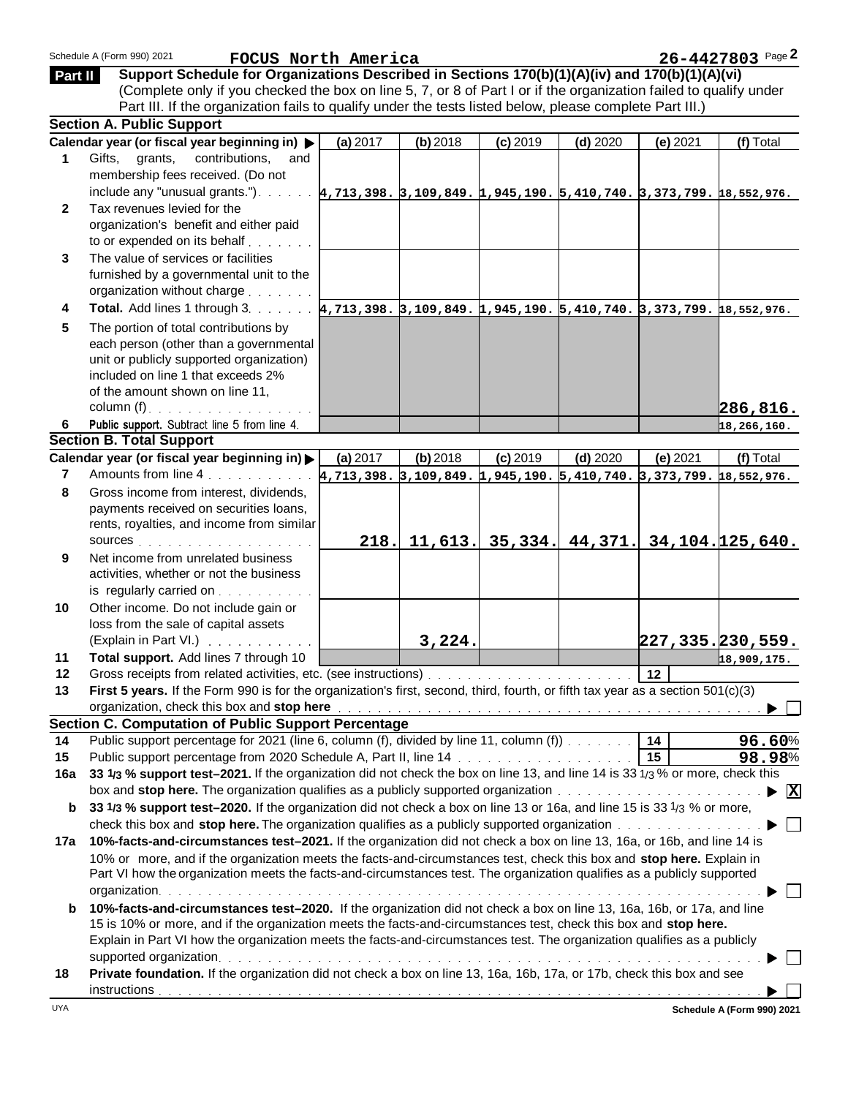|              | Schedule A (Form 990) 2021<br>FOCUS North America                                                                                                                                                                        |          |            |            |            |                 | $26 - 4427803$ Page 2                                              |
|--------------|--------------------------------------------------------------------------------------------------------------------------------------------------------------------------------------------------------------------------|----------|------------|------------|------------|-----------------|--------------------------------------------------------------------|
| Part II      | Support Schedule for Organizations Described in Sections 170(b)(1)(A)(iv) and 170(b)(1)(A)(vi)                                                                                                                           |          |            |            |            |                 |                                                                    |
|              | (Complete only if you checked the box on line 5, 7, or 8 of Part I or if the organization failed to qualify under                                                                                                        |          |            |            |            |                 |                                                                    |
|              | Part III. If the organization fails to qualify under the tests listed below, please complete Part III.)                                                                                                                  |          |            |            |            |                 |                                                                    |
|              | <b>Section A. Public Support</b>                                                                                                                                                                                         |          |            |            |            |                 |                                                                    |
|              | Calendar year (or fiscal year beginning in)                                                                                                                                                                              | (a) 2017 | (b) 2018   | $(c)$ 2019 | $(d)$ 2020 | $(e)$ 2021      | (f) Total                                                          |
| 1            | Gifts, grants,<br>contributions,<br>and                                                                                                                                                                                  |          |            |            |            |                 |                                                                    |
|              | membership fees received. (Do not                                                                                                                                                                                        |          |            |            |            |                 |                                                                    |
|              | include any "unusual grants."). 4,713,398. 3,109,849. 1,945,190. 5,410,740. 3,373,799. 18,552,976.                                                                                                                       |          |            |            |            |                 |                                                                    |
| $\mathbf{2}$ | Tax revenues levied for the                                                                                                                                                                                              |          |            |            |            |                 |                                                                    |
|              | organization's benefit and either paid<br>to or expended on its behalf                                                                                                                                                   |          |            |            |            |                 |                                                                    |
| 3            | The value of services or facilities                                                                                                                                                                                      |          |            |            |            |                 |                                                                    |
|              | furnished by a governmental unit to the                                                                                                                                                                                  |          |            |            |            |                 |                                                                    |
|              | organization without charge                                                                                                                                                                                              |          |            |            |            |                 |                                                                    |
| 4            | Total. Add lines 1 through 3. 4, 713, 398. 3, 109, 849. 1, 945, 190. 5, 410, 740. 3, 373, 799. 18, 552, 976.                                                                                                             |          |            |            |            |                 |                                                                    |
| 5            | The portion of total contributions by                                                                                                                                                                                    |          |            |            |            |                 |                                                                    |
|              | each person (other than a governmental                                                                                                                                                                                   |          |            |            |            |                 |                                                                    |
|              | unit or publicly supported organization)                                                                                                                                                                                 |          |            |            |            |                 |                                                                    |
|              | included on line 1 that exceeds 2%                                                                                                                                                                                       |          |            |            |            |                 |                                                                    |
|              | of the amount shown on line 11,                                                                                                                                                                                          |          |            |            |            |                 |                                                                    |
|              | column $(f)$ .                                                                                                                                                                                                           |          |            |            |            |                 | 286,816.                                                           |
| 6.           | Public support. Subtract line 5 from line 4.                                                                                                                                                                             |          |            |            |            |                 | 18,266,160.                                                        |
|              | <b>Section B. Total Support</b>                                                                                                                                                                                          |          |            |            |            |                 |                                                                    |
|              | Calendar year (or fiscal year beginning in)                                                                                                                                                                              | (a) 2017 | $(b)$ 2018 | $(c)$ 2019 | $(d)$ 2020 | (e) 2021        | (f) Total                                                          |
| 7            | Amounts from line 4.                                                                                                                                                                                                     |          |            |            |            |                 | 4,713,398. 3,109,849. 1,945,190. 5,410,740. 3,373,799. 18,552,976. |
| 8            | Gross income from interest, dividends,                                                                                                                                                                                   |          |            |            |            |                 |                                                                    |
|              | payments received on securities loans,                                                                                                                                                                                   |          |            |            |            |                 |                                                                    |
|              | rents, royalties, and income from similar                                                                                                                                                                                | 218.     |            |            |            |                 | $11,613$ , 35,334, 44,371, 34,104, 125,640.                        |
| 9            | Net income from unrelated business                                                                                                                                                                                       |          |            |            |            |                 |                                                                    |
|              | activities, whether or not the business                                                                                                                                                                                  |          |            |            |            |                 |                                                                    |
|              | is regularly carried on                                                                                                                                                                                                  |          |            |            |            |                 |                                                                    |
| 10           | Other income. Do not include gain or                                                                                                                                                                                     |          |            |            |            |                 |                                                                    |
|              | loss from the sale of capital assets                                                                                                                                                                                     |          |            |            |            |                 |                                                                    |
|              | (Explain in Part VI.)                                                                                                                                                                                                    |          | 3,224.     |            |            |                 | 227,335.230,559.                                                   |
| 11           | Total support. Add lines 7 through 10                                                                                                                                                                                    |          |            |            |            |                 | 18,909,175.                                                        |
| 12           |                                                                                                                                                                                                                          |          |            |            |            | 12              |                                                                    |
| 13           | First 5 years. If the Form 990 is for the organization's first, second, third, fourth, or fifth tax year as a section 501(c)(3)                                                                                          |          |            |            |            |                 |                                                                    |
|              |                                                                                                                                                                                                                          |          |            |            |            |                 |                                                                    |
|              | <b>Section C. Computation of Public Support Percentage</b>                                                                                                                                                               |          |            |            |            |                 |                                                                    |
| 14           | Public support percentage for 2021 (line 6, column (f), divided by line 11, column (f))                                                                                                                                  |          |            |            |            | 14              | 96.60%                                                             |
| 15           | Public support percentage from 2020 Schedule A, Part II, line 14 [1] Allen Line States and States Line States                                                                                                            |          |            |            |            | $\overline{15}$ | 98.98%                                                             |
| 16a          | 33 1/3 % support test-2021. If the organization did not check the box on line 13, and line 14 is 33 $\frac{1}{3}$ % or more, check this                                                                                  |          |            |            |            |                 |                                                                    |
|              |                                                                                                                                                                                                                          |          |            |            |            |                 |                                                                    |
| b            | 33 1/3 % support test-2020. If the organization did not check a box on line 13 or 16a, and line 15 is 33 1/3 % or more,<br>check this box and stop here. The organization qualifies as a publicly supported organization |          |            |            |            |                 |                                                                    |
|              | 10%-facts-and-circumstances test-2021. If the organization did not check a box on line 13, 16a, or 16b, and line 14 is                                                                                                   |          |            |            |            |                 |                                                                    |
| 17a          | 10% or more, and if the organization meets the facts-and-circumstances test, check this box and stop here. Explain in                                                                                                    |          |            |            |            |                 |                                                                    |
|              | Part VI how the organization meets the facts-and-circumstances test. The organization qualifies as a publicly supported                                                                                                  |          |            |            |            |                 |                                                                    |
|              |                                                                                                                                                                                                                          |          |            |            |            |                 |                                                                    |
| b            | 10%-facts-and-circumstances test-2020. If the organization did not check a box on line 13, 16a, 16b, or 17a, and line                                                                                                    |          |            |            |            |                 |                                                                    |
|              | 15 is 10% or more, and if the organization meets the facts-and-circumstances test, check this box and stop here.                                                                                                         |          |            |            |            |                 |                                                                    |
|              | Explain in Part VI how the organization meets the facts-and-circumstances test. The organization qualifies as a publicly                                                                                                 |          |            |            |            |                 |                                                                    |
|              |                                                                                                                                                                                                                          |          |            |            |            |                 |                                                                    |
| 18           | Private foundation. If the organization did not check a box on line 13, 16a, 16b, 17a, or 17b, check this box and see                                                                                                    |          |            |            |            |                 |                                                                    |
|              |                                                                                                                                                                                                                          |          |            |            |            |                 |                                                                    |

**Schedule A (Form 990) 2021**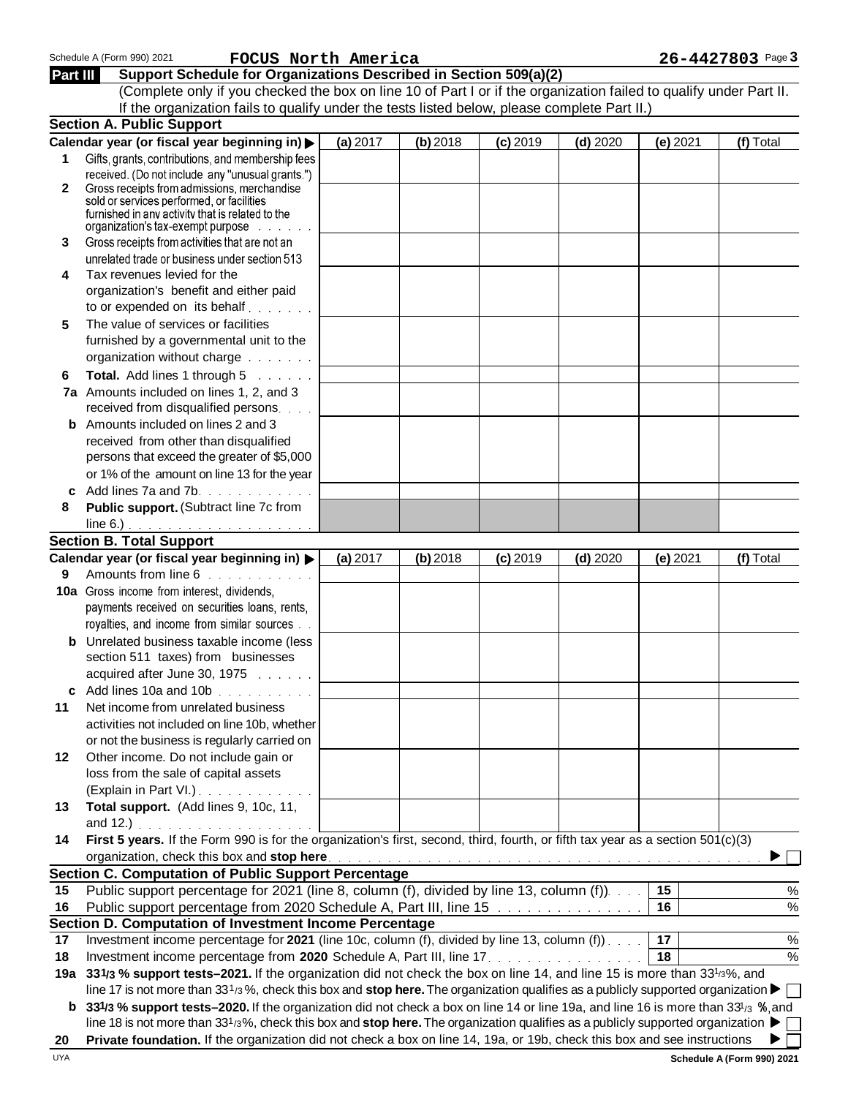|              | $5011$ sontoamo tot organizations .<br>(Complete only if you checked the box on line 10 of Part I or if the organization failed to qualify under Part II. |          |            | $\cdots$ overchet over $\left(\frac{m}{n}\right)$ |            |            |           |
|--------------|-----------------------------------------------------------------------------------------------------------------------------------------------------------|----------|------------|---------------------------------------------------|------------|------------|-----------|
|              | If the organization fails to qualify under the tests listed below, please complete Part II.)                                                              |          |            |                                                   |            |            |           |
|              | <b>Section A. Public Support</b>                                                                                                                          |          |            |                                                   |            |            |           |
|              | Calendar year (or fiscal year beginning in) >                                                                                                             | (a) 2017 | $(b)$ 2018 | $(c)$ 2019                                        | $(d)$ 2020 | (e) 2021   | (f) Total |
| 1            | Gifts, grants, contributions, and membership fees                                                                                                         |          |            |                                                   |            |            |           |
|              | received. (Do not include any "unusual grants.")                                                                                                          |          |            |                                                   |            |            |           |
| $\mathbf{2}$ | Gross receipts from admissions, merchandise                                                                                                               |          |            |                                                   |            |            |           |
|              | sold or services performed, or facilities                                                                                                                 |          |            |                                                   |            |            |           |
|              | furnished in any activity that is related to the<br>organization's tax-exempt purpose                                                                     |          |            |                                                   |            |            |           |
| 3            | Gross receipts from activities that are not an                                                                                                            |          |            |                                                   |            |            |           |
|              | unrelated trade or business under section 513                                                                                                             |          |            |                                                   |            |            |           |
| 4            | Tax revenues levied for the                                                                                                                               |          |            |                                                   |            |            |           |
|              | organization's benefit and either paid                                                                                                                    |          |            |                                                   |            |            |           |
|              | to or expended on its behalf                                                                                                                              |          |            |                                                   |            |            |           |
| 5            | The value of services or facilities                                                                                                                       |          |            |                                                   |            |            |           |
|              | furnished by a governmental unit to the                                                                                                                   |          |            |                                                   |            |            |           |
|              | organization without charge                                                                                                                               |          |            |                                                   |            |            |           |
| 6            | Total. Add lines 1 through 5                                                                                                                              |          |            |                                                   |            |            |           |
|              | 7a Amounts included on lines 1, 2, and 3                                                                                                                  |          |            |                                                   |            |            |           |
|              | received from disqualified persons                                                                                                                        |          |            |                                                   |            |            |           |
| b            | Amounts included on lines 2 and 3                                                                                                                         |          |            |                                                   |            |            |           |
|              | received from other than disqualified                                                                                                                     |          |            |                                                   |            |            |           |
|              | persons that exceed the greater of \$5,000                                                                                                                |          |            |                                                   |            |            |           |
|              | or 1% of the amount on line 13 for the year                                                                                                               |          |            |                                                   |            |            |           |
|              | c Add lines $7a$ and $7b$ .                                                                                                                               |          |            |                                                   |            |            |           |
| 8            | Public support. (Subtract line 7c from                                                                                                                    |          |            |                                                   |            |            |           |
|              | $line 6.)$                                                                                                                                                |          |            |                                                   |            |            |           |
|              | <b>Section B. Total Support</b>                                                                                                                           |          |            |                                                   |            |            |           |
|              | Calendar year (or fiscal year beginning in) ▶                                                                                                             | (a) 2017 | $(b)$ 2018 | $(c)$ 2019                                        | $(d)$ 2020 | $(e)$ 2021 | (f) Total |
| 9            | Amounts from line 6                                                                                                                                       |          |            |                                                   |            |            |           |
|              | 10a Gross income from interest, dividends,                                                                                                                |          |            |                                                   |            |            |           |
|              | payments received on securities loans, rents,                                                                                                             |          |            |                                                   |            |            |           |
|              | royalties, and income from similar sources                                                                                                                |          |            |                                                   |            |            |           |
|              | <b>b</b> Unrelated business taxable income (less                                                                                                          |          |            |                                                   |            |            |           |
|              | section 511 taxes) from businesses                                                                                                                        |          |            |                                                   |            |            |           |
|              | acquired after June 30, 1975                                                                                                                              |          |            |                                                   |            |            |           |
|              | c Add lines 10a and 10b $\ldots$                                                                                                                          |          |            |                                                   |            |            |           |
| 11           | Net income from unrelated business                                                                                                                        |          |            |                                                   |            |            |           |
|              | activities not included on line 10b, whether                                                                                                              |          |            |                                                   |            |            |           |
|              | or not the business is regularly carried on                                                                                                               |          |            |                                                   |            |            |           |
| 12           | Other income. Do not include gain or                                                                                                                      |          |            |                                                   |            |            |           |
|              | loss from the sale of capital assets                                                                                                                      |          |            |                                                   |            |            |           |
|              | (Explain in Part VI.).                                                                                                                                    |          |            |                                                   |            |            |           |
| 13           | Total support. (Add lines 9, 10c, 11,                                                                                                                     |          |            |                                                   |            |            |           |
|              | and 12.)                                                                                                                                                  |          |            |                                                   |            |            |           |
| 14           | First 5 years. If the Form 990 is for the organization's first, second, third, fourth, or fifth tax year as a section 501(c)(3)                           |          |            |                                                   |            |            |           |
|              |                                                                                                                                                           |          |            |                                                   |            |            | ▶ ।       |
|              | <b>Section C. Computation of Public Support Percentage</b>                                                                                                |          |            |                                                   |            |            |           |
| 15           | Public support percentage for 2021 (line 8, column (f), divided by line 13, column (f)).                                                                  |          |            |                                                   |            | 15         | $\%$      |
| 16           | Public support percentage from 2020 Schedule A, Part III, line 15 manufacture and containing                                                              |          |            |                                                   |            | 16         | %         |
|              | Section D. Computation of Investment Income Percentage                                                                                                    |          |            |                                                   |            |            |           |
| 17           | Investment income percentage for 2021 (line 10c, column (f), divided by line 13, column (f)).                                                             |          |            |                                                   |            | 17         | $\%$      |
| 18           | Investment income percentage from 2020 Schedule A, Part III, line 17.                                                                                     |          |            |                                                   |            | 18         | %         |
|              | 19a 331/3 % support tests-2021. If the organization did not check the box on line 14, and line 15 is more than 331/3%, and                                |          |            |                                                   |            |            |           |
|              | line 17 is not more than 331/3%, check this box and stop here. The organization qualifies as a publicly supported organization $\blacktriangleright$      |          |            |                                                   |            |            |           |
| b            | 331/3 % support tests-2020. If the organization did not check a box on line 14 or line 19a, and line 16 is more than 33 <sup>1</sup> /3 %, and            |          |            |                                                   |            |            |           |
|              | line 18 is not more than 331/3%, check this box and stop here. The organization qualifies as a publicly supported organization $\blacktriangleright$      |          |            |                                                   |            |            |           |
| 20           | Private foundation. If the organization did not check a box on line 14, 19a, or 19b, check this box and see instructions                                  |          |            |                                                   |            |            | ▶         |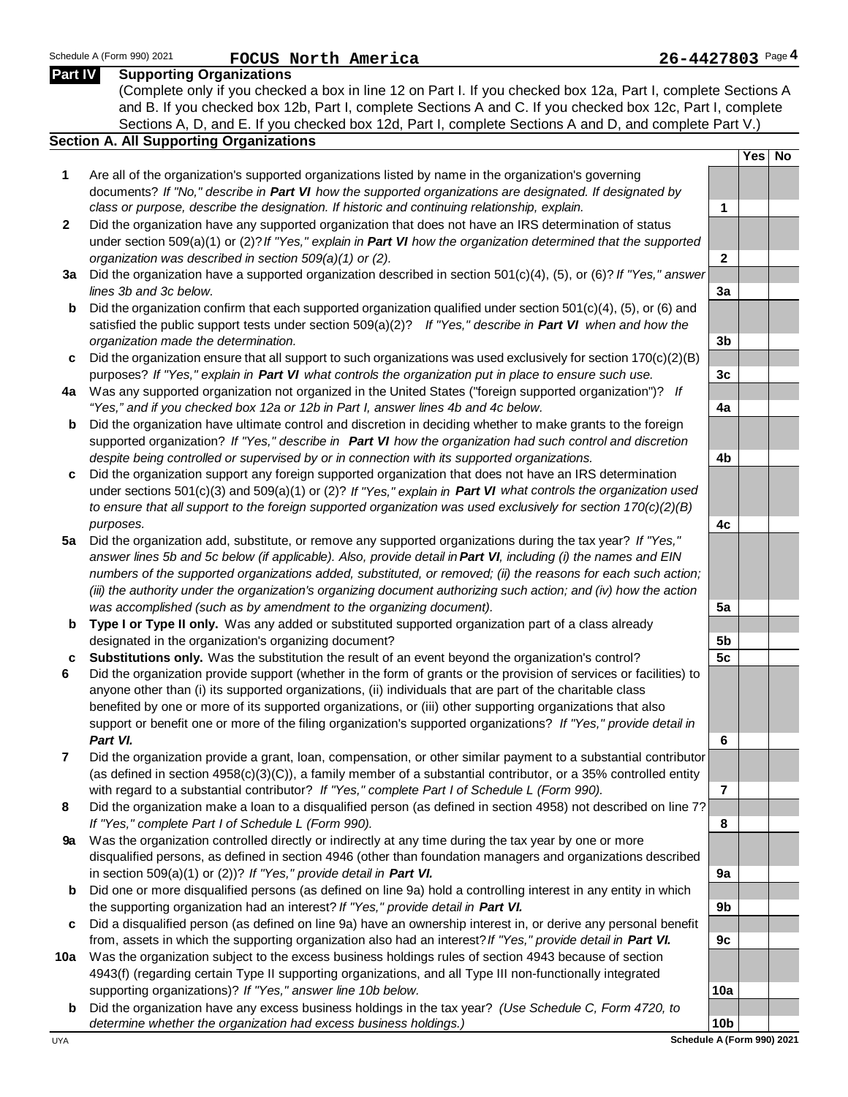**Part IV Supporting Organizations** 

# (Complete only if you checked a box in line 12 on Part I. If you checked box 12a, Part I, complete Sections A and B. If you checked box 12b, Part I, complete Sections A and C. If you checked box 12c, Part I, complete Sections A, D, and E. If you checked box 12d, Part I, complete Sections A and D, and complete Part V.) **Section A. All Supporting Organizations Yes No 1** Are all of the organization's supported organizations listed by name in the organization's governing documents? *If "No," describe in Part VI how the supported organizations are designated. If designated by class or purpose, describe the designation. If historic and continuing relationship, explain.* **1 2** Did the organization have any supported organization that does not have an IRS determination of status under section 509(a)(1) or (2)? *If "Yes," explain in Part VI how the organization determined that the supported organization was described in section 509(a)(1) or (2).* **2 3a** Did the organization have a supported organization described in section 501(c)(4), (5), or (6)? *If "Yes," answer lines 3b and 3c below.* **3a b** Did the organization confirm that each supported organization qualified under section 501(c)(4), (5), or (6) and satisfied the public support tests under section 509(a)(2)? *If "Yes," describe in Part VI when and how the organization made the determination.* **3b c** Did the organization ensure that all support to such organizations was used exclusively for section 170(c)(2)(B) purposes? *If "Yes," explain in Part VI what controls the organization put in place to ensure such use.* **3c 4a** Was any supported organization not organized in the United States ("foreign supported organization")? *If "Yes," and if you checked box 12a or 12b in Part I, answer lines 4b and 4c below.* **4a b** Did the organization have ultimate control and discretion in deciding whether to make grants to the foreign supported organization? *If "Yes," describe in Part VI how the organization had such control and discretion despite being controlled or supervised by or in connection with its supported organizations.* **4b c** Did the organization support any foreign supported organization that does not have an IRS determination under sections 501(c)(3) and 509(a)(1) or (2)? *If "Yes," explain in Part VI what controls the organization used to ensure that all support to the foreign supported organization was used exclusively for section 170(c)(2)(B) purposes.* **4c 5a** Did the organization add, substitute, or remove any supported organizations during the tax year? *If "Yes," answer lines 5b and 5c below (if applicable). Also, provide detail in Part VI , including (i) the names and EIN numbers of the supported organizations added, substituted, or removed; (ii) the reasons for each such action; (iii) the authority under the organization's organizing document authorizing such action; and (iv) how the action was accomplished (such as by amendment to the organizing document).* **5a b** Type I or Type II only. Was any added or substituted supported organization part of a class already designated in the organization's organizing document? **5b c Substitutions only.** Was the substitution the result of an event beyond the organization's control? **5c 6** Did the organization provide support (whether in the form of grants or the provision of services or facilities) to anyone other than (i) its supported organizations, (ii) individuals that are part of the charitable class benefited by one or more of its supported organizations, or (iii) other supporting organizations that also support or benefit one or more of the filing organization's supported organizations? *If "Yes," provide detail in Part VI.* **6 7** Did the organization provide a grant, loan, compensation, or other similar payment to a substantial contributor (as defined in section 4958(c)(3)(C)), a family member of a substantial contributor, or a 35% controlled entity with regard to a substantial contributor? *If "Yes," complete Part I of Schedule L (Form 990).* **7 8** Did the organization make a loan to a disqualified person (as defined in section 4958) not described on line 7? *If "Yes," complete Part I of Schedule L (Form 990).* **8 9a** Was the organization controlled directly or indirectly at any time during the tax year by one or more disqualified persons, as defined in section 4946 (other than foundation managers and organizations described in section 509(a)(1) or (2))? *If "Yes," provide detail in Part VI.* **9a b** Did one or more disqualified persons (as defined on line 9a) hold a controlling interest in any entity in which the supporting organization had an interest? *If "Yes," provide detail in Part VI.* **9b c** Did a disqualified person (as defined on line 9a) have an ownership interest in, or derive any personal benefit from, assets in which the supporting organization also had an interest? *If "Yes," provide detail in Part VI.* **9c 10a** Was the organization subject to the excess business holdings rules of section 4943 because of section 4943(f) (regarding certain Type II supporting organizations, and all Type III non-functionally integrated supporting organizations)? *If "Yes," answer line 10b below.* **10a**

**b** Did the organization have any excess business holdings in the tax year? *(Use Schedule C, Form 4720, to determine whether the organization had excess business holdings.)* **10b**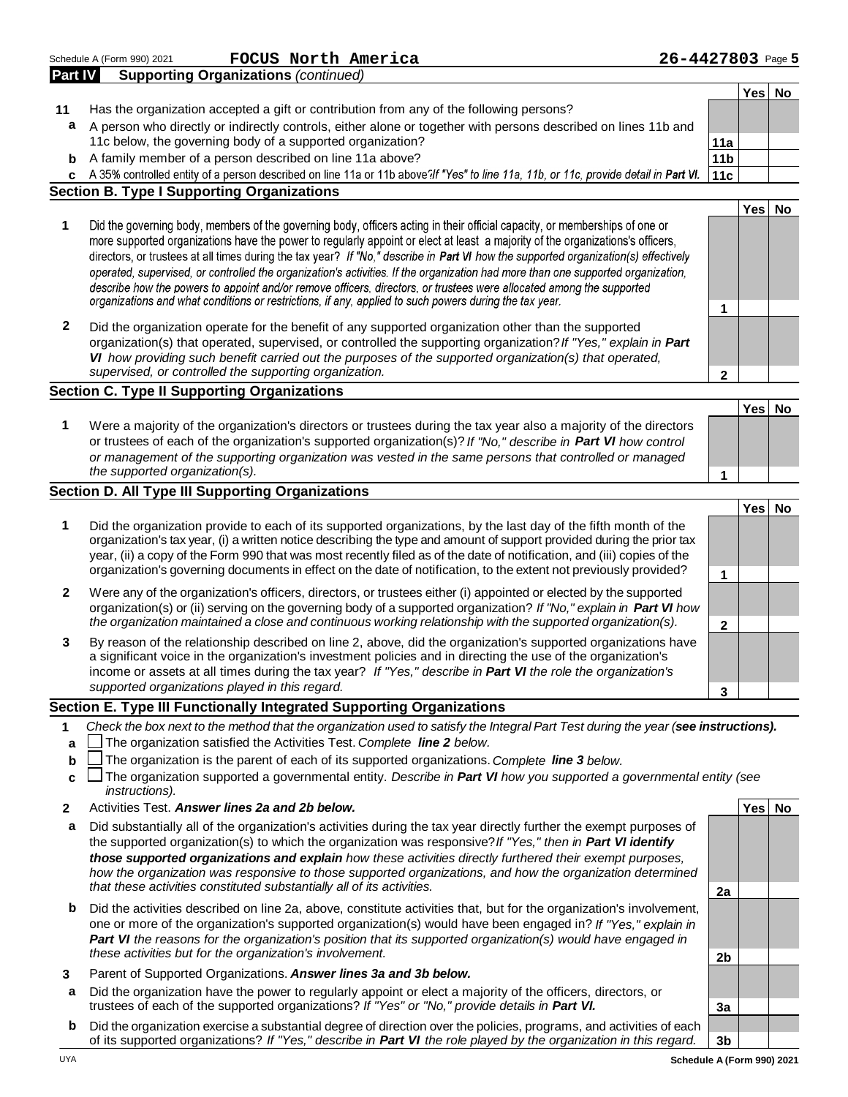|                  | FOCUS North America<br>26-4427803 Page 5<br>Schedule A (Form 990) 2021                                                                                                                                                                                                                                                                                                                                                                                                                                                                                                                                                                                                                                                                                                     |                 |          |  |
|------------------|----------------------------------------------------------------------------------------------------------------------------------------------------------------------------------------------------------------------------------------------------------------------------------------------------------------------------------------------------------------------------------------------------------------------------------------------------------------------------------------------------------------------------------------------------------------------------------------------------------------------------------------------------------------------------------------------------------------------------------------------------------------------------|-----------------|----------|--|
| Part IV          | <b>Supporting Organizations (continued)</b>                                                                                                                                                                                                                                                                                                                                                                                                                                                                                                                                                                                                                                                                                                                                |                 |          |  |
|                  |                                                                                                                                                                                                                                                                                                                                                                                                                                                                                                                                                                                                                                                                                                                                                                            |                 | Yes   No |  |
| 11               | Has the organization accepted a gift or contribution from any of the following persons?                                                                                                                                                                                                                                                                                                                                                                                                                                                                                                                                                                                                                                                                                    |                 |          |  |
| a                | A person who directly or indirectly controls, either alone or together with persons described on lines 11b and                                                                                                                                                                                                                                                                                                                                                                                                                                                                                                                                                                                                                                                             |                 |          |  |
|                  | 11c below, the governing body of a supported organization?                                                                                                                                                                                                                                                                                                                                                                                                                                                                                                                                                                                                                                                                                                                 | 11a             |          |  |
| b                | A family member of a person described on line 11a above?                                                                                                                                                                                                                                                                                                                                                                                                                                                                                                                                                                                                                                                                                                                   | 11 <sub>b</sub> |          |  |
| c                | A 35% controlled entity of a person described on line 11a or 11b above?If "Yes" to line 11a, 11b, or 11c, provide detail in Part VI.<br><b>Section B. Type I Supporting Organizations</b>                                                                                                                                                                                                                                                                                                                                                                                                                                                                                                                                                                                  | 11c             |          |  |
|                  |                                                                                                                                                                                                                                                                                                                                                                                                                                                                                                                                                                                                                                                                                                                                                                            |                 | Yes   No |  |
| 1                | Did the governing body, members of the governing body, officers acting in their official capacity, or memberships of one or<br>more supported organizations have the power to regularly appoint or elect at least a majority of the organizations's officers,<br>directors, or trustees at all times during the tax year? If "No," describe in Part VI how the supported organization(s) effectively<br>operated, supervised, or controlled the organization's activities. If the organization had more than one supported organization,<br>describe how the powers to appoint and/or remove officers, directors, or trustees were allocated among the supported<br>organizations and what conditions or restrictions, if any, applied to such powers during the tax year. | 1               |          |  |
| $\mathbf{2}$     | Did the organization operate for the benefit of any supported organization other than the supported<br>organization(s) that operated, supervised, or controlled the supporting organization? If "Yes," explain in Part<br>VI how providing such benefit carried out the purposes of the supported organization(s) that operated,<br>supervised, or controlled the supporting organization.                                                                                                                                                                                                                                                                                                                                                                                 | 2               |          |  |
|                  | <b>Section C. Type II Supporting Organizations</b>                                                                                                                                                                                                                                                                                                                                                                                                                                                                                                                                                                                                                                                                                                                         |                 |          |  |
| 1                | Were a majority of the organization's directors or trustees during the tax year also a majority of the directors<br>or trustees of each of the organization's supported organization(s)? If "No," describe in Part VI how control<br>or management of the supporting organization was vested in the same persons that controlled or managed<br>the supported organization(s).                                                                                                                                                                                                                                                                                                                                                                                              | 1               | Yes   No |  |
|                  | <b>Section D. All Type III Supporting Organizations</b>                                                                                                                                                                                                                                                                                                                                                                                                                                                                                                                                                                                                                                                                                                                    |                 |          |  |
|                  |                                                                                                                                                                                                                                                                                                                                                                                                                                                                                                                                                                                                                                                                                                                                                                            |                 | Yes   No |  |
| 1                | Did the organization provide to each of its supported organizations, by the last day of the fifth month of the<br>organization's tax year, (i) a written notice describing the type and amount of support provided during the prior tax<br>year, (ii) a copy of the Form 990 that was most recently filed as of the date of notification, and (iii) copies of the<br>organization's governing documents in effect on the date of notification, to the extent not previously provided?                                                                                                                                                                                                                                                                                      | 1               |          |  |
| $\mathbf{2}$     | Were any of the organization's officers, directors, or trustees either (i) appointed or elected by the supported<br>organization(s) or (ii) serving on the governing body of a supported organization? If "No," explain in Part VI how<br>the organization maintained a close and continuous working relationship with the supported organization(s).                                                                                                                                                                                                                                                                                                                                                                                                                      |                 |          |  |
|                  |                                                                                                                                                                                                                                                                                                                                                                                                                                                                                                                                                                                                                                                                                                                                                                            | $\mathbf{2}$    |          |  |
| 3                | By reason of the relationship described on line 2, above, did the organization's supported organizations have<br>a significant voice in the organization's investment policies and in directing the use of the organization's<br>income or assets at all times during the tax year? If "Yes," describe in Part VI the role the organization's                                                                                                                                                                                                                                                                                                                                                                                                                              |                 |          |  |
|                  | supported organizations played in this regard.                                                                                                                                                                                                                                                                                                                                                                                                                                                                                                                                                                                                                                                                                                                             | 3               |          |  |
|                  | Section E. Type III Functionally Integrated Supporting Organizations                                                                                                                                                                                                                                                                                                                                                                                                                                                                                                                                                                                                                                                                                                       |                 |          |  |
| 1<br>а<br>b<br>c | Check the box next to the method that the organization used to satisfy the Integral Part Test during the year (see instructions).<br>The organization satisfied the Activities Test. Complete line 2 below.<br>The organization is the parent of each of its supported organizations. Complete line 3 below.<br>The organization supported a governmental entity. Describe in Part VI how you supported a governmental entity (see                                                                                                                                                                                                                                                                                                                                         |                 |          |  |
| 2                | <i>instructions).</i><br>Activities Test. Answer lines 2a and 2b below.                                                                                                                                                                                                                                                                                                                                                                                                                                                                                                                                                                                                                                                                                                    |                 | Yes   No |  |
| а                | Did substantially all of the organization's activities during the tax year directly further the exempt purposes of                                                                                                                                                                                                                                                                                                                                                                                                                                                                                                                                                                                                                                                         |                 |          |  |
|                  | the supported organization(s) to which the organization was responsive? If "Yes," then in Part VI identify<br>those supported organizations and explain how these activities directly furthered their exempt purposes,<br>how the organization was responsive to those supported organizations, and how the organization determined<br>that these activities constituted substantially all of its activities.                                                                                                                                                                                                                                                                                                                                                              | 2a              |          |  |
|                  |                                                                                                                                                                                                                                                                                                                                                                                                                                                                                                                                                                                                                                                                                                                                                                            |                 |          |  |

- **b** Did the activities described on line 2a, above, constitute activities that, but for the organization's involvement, one or more of the organization's supported organization(s) would have been engaged in? *If "Yes," explain in Part VI the reasons for the organization's position that its supported organization(s) would have engaged in these activities but for the organization's involvement.* **2b**
- **3** Parent of Supported Organizations. *Answer lines 3a and 3b below.*
- **a** Did the organization have the power to regularly appoint or elect a majority of the officers, directors, or trustees of each of the supported organizations? If "Yes" or "No," provide details in Part VI. **In the Soute 1** 3a
- **b** Did the organization exercise a substantial degree of direction over the policies, programs, and activities of each of its supported organizations? *If "Yes," describe in Part VI the role played by the organization in this regard.* **3b**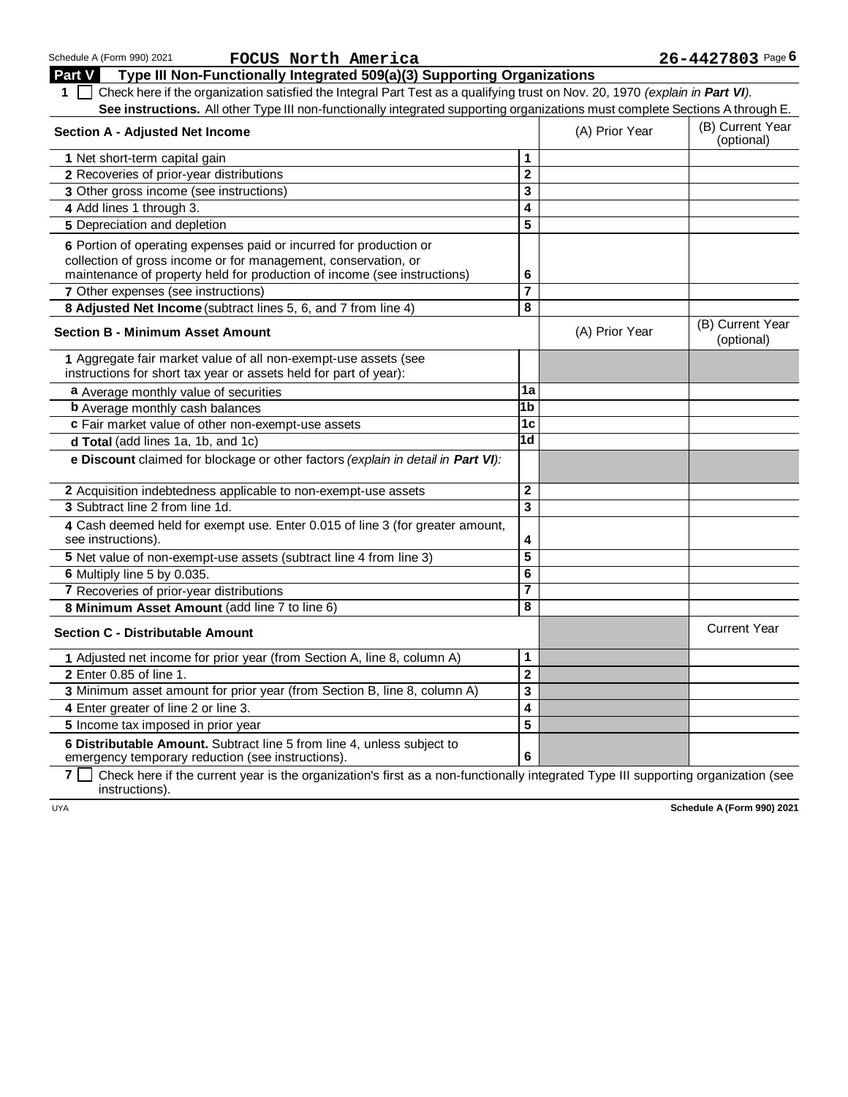1  $\Box$  Check here if the organization satisfied the Integral Part Test as a qualifying trust on Nov. 20, 1970 *(explain in Part VI).* See instructions. All other Type III non-functionally integrated supporting organizations must complete Sections A through E.

| <b>Section A - Adjusted Net Income</b>                                                                                      |                         | (A) Prior Year | (B) Current Year<br>(optional) |
|-----------------------------------------------------------------------------------------------------------------------------|-------------------------|----------------|--------------------------------|
| 1 Net short-term capital gain                                                                                               | 1                       |                |                                |
| 2 Recoveries of prior-year distributions                                                                                    | $\mathbf{2}$            |                |                                |
| 3 Other gross income (see instructions)                                                                                     | 3                       |                |                                |
| 4 Add lines 1 through 3.                                                                                                    | 4                       |                |                                |
| 5 Depreciation and depletion                                                                                                | 5                       |                |                                |
| 6 Portion of operating expenses paid or incurred for production or                                                          |                         |                |                                |
| collection of gross income or for management, conservation, or                                                              |                         |                |                                |
| maintenance of property held for production of income (see instructions)                                                    | 6                       |                |                                |
| 7 Other expenses (see instructions)                                                                                         | $\overline{7}$          |                |                                |
| 8 Adjusted Net Income (subtract lines 5, 6, and 7 from line 4)                                                              | 8                       |                |                                |
| <b>Section B - Minimum Asset Amount</b>                                                                                     |                         | (A) Prior Year | (B) Current Year<br>(optional) |
| 1 Aggregate fair market value of all non-exempt-use assets (see                                                             |                         |                |                                |
| instructions for short tax year or assets held for part of year):                                                           |                         |                |                                |
| a Average monthly value of securities                                                                                       | 1a                      |                |                                |
| <b>b</b> Average monthly cash balances                                                                                      | 1b                      |                |                                |
| c Fair market value of other non-exempt-use assets                                                                          | 1 <sub>c</sub>          |                |                                |
| d Total (add lines 1a, 1b, and 1c)                                                                                          | $\overline{1d}$         |                |                                |
| e Discount claimed for blockage or other factors (explain in detail in Part VI):                                            |                         |                |                                |
| 2 Acquisition indebtedness applicable to non-exempt-use assets                                                              | $\overline{2}$          |                |                                |
| 3 Subtract line 2 from line 1d.                                                                                             | $\overline{3}$          |                |                                |
| 4 Cash deemed held for exempt use. Enter 0.015 of line 3 (for greater amount,<br>see instructions).                         | 4                       |                |                                |
| 5 Net value of non-exempt-use assets (subtract line 4 from line 3)                                                          | 5                       |                |                                |
| 6 Multiply line 5 by 0.035.                                                                                                 | 6                       |                |                                |
| 7 Recoveries of prior-year distributions                                                                                    | 7                       |                |                                |
| 8 Minimum Asset Amount (add line 7 to line 6)                                                                               | $\overline{\mathbf{8}}$ |                |                                |
| <b>Section C - Distributable Amount</b>                                                                                     |                         |                | <b>Current Year</b>            |
| 1 Adjusted net income for prior year (from Section A, line 8, column A)                                                     | 1                       |                |                                |
| 2 Enter 0.85 of line 1.                                                                                                     | $\overline{\mathbf{2}}$ |                |                                |
| 3 Minimum asset amount for prior year (from Section B, line 8, column A)                                                    | 3                       |                |                                |
| 4 Enter greater of line 2 or line 3.                                                                                        | 4                       |                |                                |
| 5 Income tax imposed in prior year                                                                                          | 5                       |                |                                |
| 6 Distributable Amount. Subtract line 5 from line 4, unless subject to<br>emergency temporary reduction (see instructions). | 6                       |                |                                |

**7**  $\Box$  Check here if the current year is the organization's first as a non-functionally integrated Type III supporting organization (see instructions).

UYA **Schedule A (Form 990) 2021**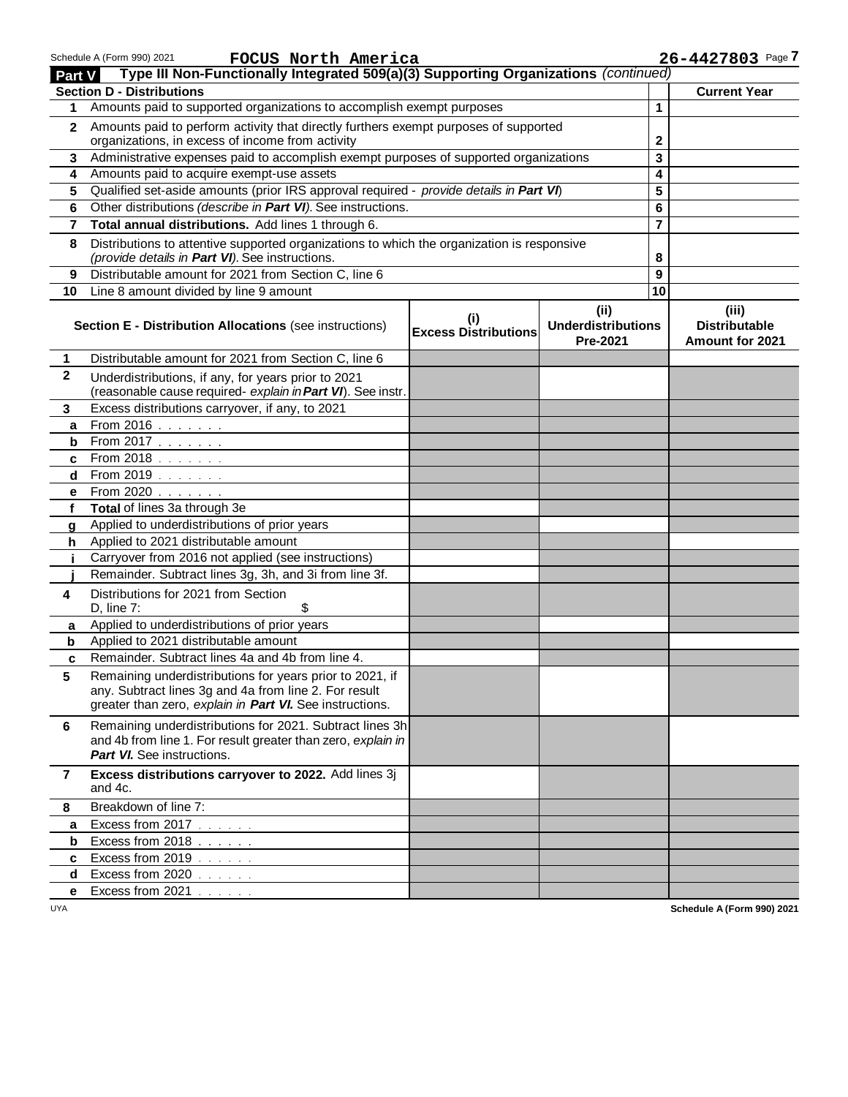|              | Schedule A (Form 990) 2021<br>FOCUS North America                                                                                                                             |                                    |                                                     |                         | 26-4427803 Page 7                                |
|--------------|-------------------------------------------------------------------------------------------------------------------------------------------------------------------------------|------------------------------------|-----------------------------------------------------|-------------------------|--------------------------------------------------|
| Part V       | Type III Non-Functionally Integrated 509(a)(3) Supporting Organizations (continued)                                                                                           |                                    |                                                     |                         |                                                  |
|              | <b>Section D - Distributions</b>                                                                                                                                              |                                    |                                                     |                         | <b>Current Year</b>                              |
| 1            | Amounts paid to supported organizations to accomplish exempt purposes                                                                                                         |                                    |                                                     | 1                       |                                                  |
| $\mathbf{2}$ | Amounts paid to perform activity that directly furthers exempt purposes of supported<br>organizations, in excess of income from activity                                      |                                    |                                                     | $\mathbf{2}$            |                                                  |
| 3            | Administrative expenses paid to accomplish exempt purposes of supported organizations                                                                                         |                                    |                                                     | 3                       |                                                  |
| 4            | Amounts paid to acquire exempt-use assets                                                                                                                                     |                                    |                                                     | $\overline{\mathbf{4}}$ |                                                  |
| 5            | Qualified set-aside amounts (prior IRS approval required - provide details in Part VI)                                                                                        |                                    |                                                     | 5                       |                                                  |
| 6            | Other distributions (describe in Part VI). See instructions.                                                                                                                  |                                    |                                                     | 6                       |                                                  |
| 7            | Total annual distributions. Add lines 1 through 6.                                                                                                                            |                                    |                                                     | $\overline{7}$          |                                                  |
| 8            | Distributions to attentive supported organizations to which the organization is responsive<br>(provide details in Part VI). See instructions.                                 |                                    |                                                     | 8                       |                                                  |
| 9            | Distributable amount for 2021 from Section C, line 6                                                                                                                          |                                    |                                                     | 9                       |                                                  |
| 10           | Line 8 amount divided by line 9 amount                                                                                                                                        |                                    |                                                     | 10                      |                                                  |
|              |                                                                                                                                                                               |                                    |                                                     |                         |                                                  |
|              | <b>Section E - Distribution Allocations (see instructions)</b>                                                                                                                | (i)<br><b>Excess Distributions</b> | (i)<br><b>Underdistributions</b><br><b>Pre-2021</b> |                         | (iii)<br><b>Distributable</b><br>Amount for 2021 |
| $\mathbf{1}$ | Distributable amount for 2021 from Section C, line 6                                                                                                                          |                                    |                                                     |                         |                                                  |
| $\mathbf{2}$ | Underdistributions, if any, for years prior to 2021<br>(reasonable cause required- explain in Part VI). See instr.                                                            |                                    |                                                     |                         |                                                  |
| 3            | Excess distributions carryover, if any, to 2021                                                                                                                               |                                    |                                                     |                         |                                                  |
| a            | From 2016                                                                                                                                                                     |                                    |                                                     |                         |                                                  |
| b            | From 2017                                                                                                                                                                     |                                    |                                                     |                         |                                                  |
| c            | From 2018                                                                                                                                                                     |                                    |                                                     |                         |                                                  |
| d            | From 2019                                                                                                                                                                     |                                    |                                                     |                         |                                                  |
| е            | From 2020                                                                                                                                                                     |                                    |                                                     |                         |                                                  |
| f            | Total of lines 3a through 3e                                                                                                                                                  |                                    |                                                     |                         |                                                  |
| g            | Applied to underdistributions of prior years                                                                                                                                  |                                    |                                                     |                         |                                                  |
| h            | Applied to 2021 distributable amount                                                                                                                                          |                                    |                                                     |                         |                                                  |
|              | Carryover from 2016 not applied (see instructions)                                                                                                                            |                                    |                                                     |                         |                                                  |
|              | Remainder. Subtract lines 3g, 3h, and 3i from line 3f.                                                                                                                        |                                    |                                                     |                         |                                                  |
| 4            | Distributions for 2021 from Section<br>D, line 7:<br>\$                                                                                                                       |                                    |                                                     |                         |                                                  |
| a            | Applied to underdistributions of prior years                                                                                                                                  |                                    |                                                     |                         |                                                  |
| b            | Applied to 2021 distributable amount                                                                                                                                          |                                    |                                                     |                         |                                                  |
| C            | Remainder. Subtract lines 4a and 4b from line 4.                                                                                                                              |                                    |                                                     |                         |                                                  |
| 5            | Remaining underdistributions for years prior to 2021, if<br>any. Subtract lines 3g and 4a from line 2. For result<br>greater than zero, explain in Part VI. See instructions. |                                    |                                                     |                         |                                                  |
| 6            | Remaining underdistributions for 2021. Subtract lines 3h<br>and 4b from line 1. For result greater than zero, explain in<br>Part VI. See instructions.                        |                                    |                                                     |                         |                                                  |
| 7            | Excess distributions carryover to 2022. Add lines 3j<br>and 4c.                                                                                                               |                                    |                                                     |                         |                                                  |
| 8            | Breakdown of line 7:                                                                                                                                                          |                                    |                                                     |                         |                                                  |
| a            | Excess from 2017                                                                                                                                                              |                                    |                                                     |                         |                                                  |
| b            | Excess from 2018                                                                                                                                                              |                                    |                                                     |                         |                                                  |
| c            | Excess from 2019                                                                                                                                                              |                                    |                                                     |                         |                                                  |
| d            | Excess from 2020                                                                                                                                                              |                                    |                                                     |                         |                                                  |
| е            | Excess from 2021                                                                                                                                                              |                                    |                                                     |                         |                                                  |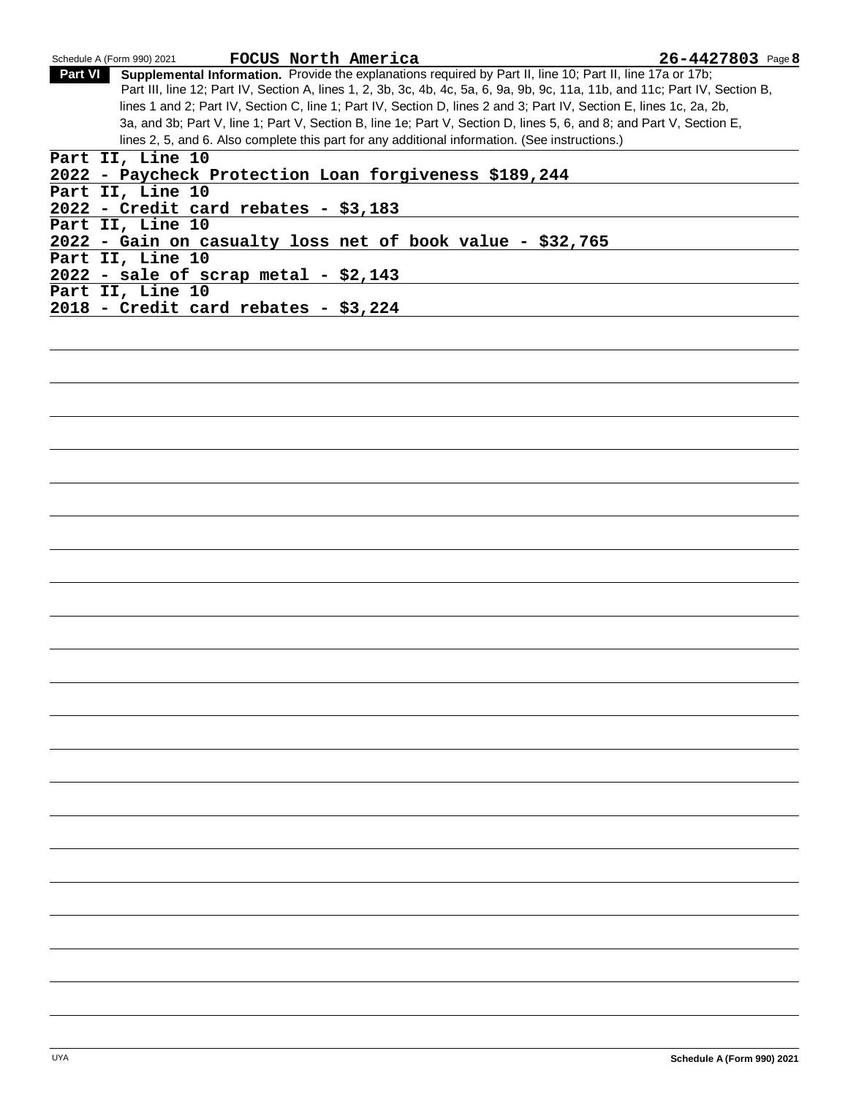| Schedule A (Form 990) 2021 | FOCUS North America                                                                                                  | $26 - 4427803$ Page 8                                                                                                        |
|----------------------------|----------------------------------------------------------------------------------------------------------------------|------------------------------------------------------------------------------------------------------------------------------|
| <b>Part VI</b>             | Supplemental Information. Provide the explanations required by Part II, line 10; Part II, line 17a or 17b;           |                                                                                                                              |
|                            |                                                                                                                      | Part III, line 12; Part IV, Section A, lines 1, 2, 3b, 3c, 4b, 4c, 5a, 6, 9a, 9b, 9c, 11a, 11b, and 11c; Part IV, Section B, |
|                            | lines 1 and 2; Part IV, Section C, line 1; Part IV, Section D, lines 2 and 3; Part IV, Section E, lines 1c, 2a, 2b,  |                                                                                                                              |
|                            | 3a, and 3b; Part V, line 1; Part V, Section B, line 1e; Part V, Section D, lines 5, 6, and 8; and Part V, Section E, |                                                                                                                              |
|                            | lines 2, 5, and 6. Also complete this part for any additional information. (See instructions.)                       |                                                                                                                              |
| Part II, Line 10           |                                                                                                                      |                                                                                                                              |
|                            | 2022 - Paycheck Protection Loan forgiveness \$189,244                                                                |                                                                                                                              |
| Part II, Line 10           |                                                                                                                      |                                                                                                                              |
|                            | 2022 - Credit card rebates - \$3,183                                                                                 |                                                                                                                              |
| Part II, Line 10           |                                                                                                                      |                                                                                                                              |
|                            | 2022 - Gain on casualty loss net of book value - \$32,765                                                            |                                                                                                                              |
| Part II, Line 10           |                                                                                                                      |                                                                                                                              |
|                            | $2022$ - sale of scrap metal - \$2,143                                                                               |                                                                                                                              |
| Part II, Line 10           |                                                                                                                      |                                                                                                                              |
|                            | $2018$ - Credit card rebates - \$3,224                                                                               |                                                                                                                              |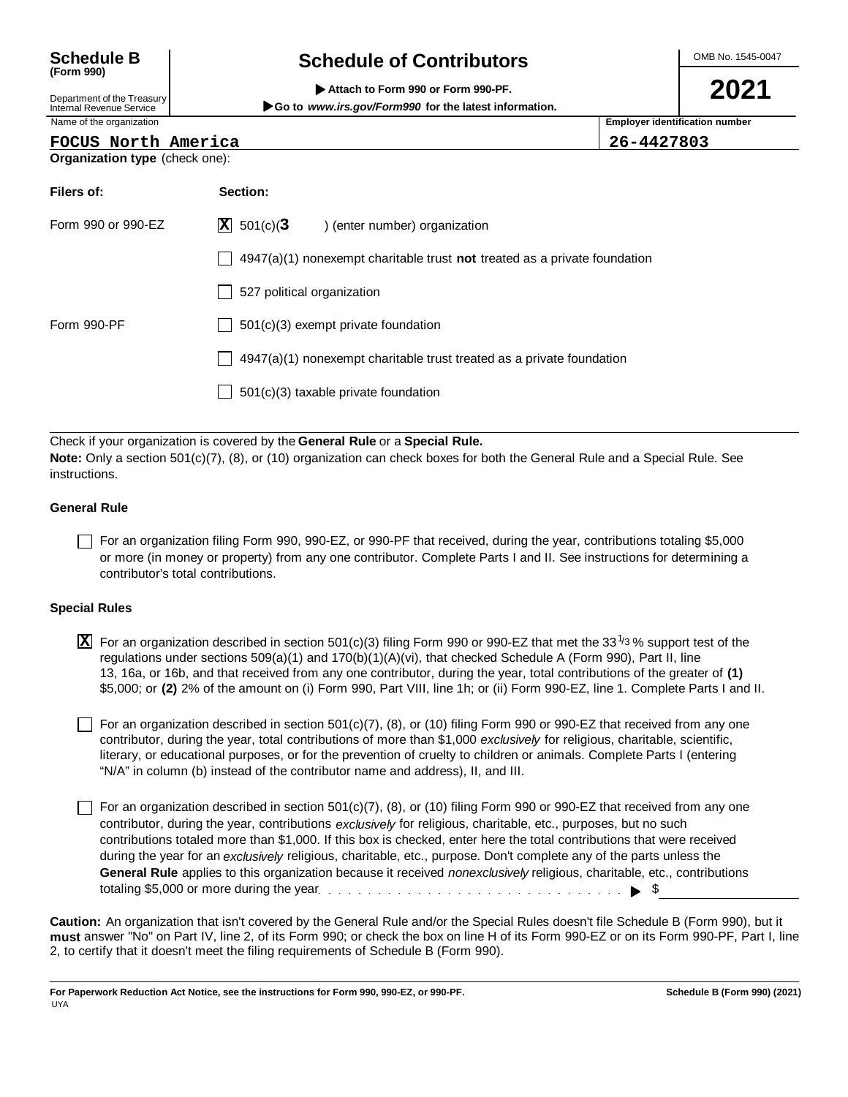| <b>Schedule B</b> |  |
|-------------------|--|
| (Form 990)        |  |

Department of the Treasury Internal Revenue Service

# **Schedule of Contributors**

OMB No. 1545-0047

**2021**

**Attach to Form 990 or Form 990-PF.**

**Go to** *www.irs.gov/Form990*  **for the latest information.**

Name of the organization **Employer identification number Employer identification number** 

| FOCUS North America | $26 - 4427803$ |
|---------------------|----------------|
|---------------------|----------------|

| 26-4427803 |
|------------|
|------------|

| Organization type (check one): |                                                                             |
|--------------------------------|-----------------------------------------------------------------------------|
| Filers of:                     | Section:                                                                    |
| Form 990 or 990-EZ             | $ \mathbf{X} $ 501(c)(3<br>) (enter number) organization                    |
|                                | $4947(a)(1)$ nonexempt charitable trust not treated as a private foundation |
|                                | 527 political organization                                                  |
| Form 990-PF                    | 501(c)(3) exempt private foundation                                         |
|                                | 4947(a)(1) nonexempt charitable trust treated as a private foundation       |
|                                | $501(c)(3)$ taxable private foundation                                      |

Check if your organization is covered by the **General Rule** or a **Special Rule. Note:** Only a section 501(c)(7), (8), or (10) organization can check boxes for both the General Rule and a Special Rule. See instructions.

### **General Rule**

For an organization filing Form 990, 990-EZ, or 990-PF that received, during the year, contributions totaling \$5,000 or more (in money or property) from any one contributor. Complete Parts I and II. See instructions for determining a contributor's total contributions.

### **Special Rules**

 $\overline{X}$  For an organization described in section 501(c)(3) filing Form 990 or 990-EZ that met the 33<sup>1/3</sup>% support test of the regulations under sections 509(a)(1) and 170(b)(1)(A)(vi), that checked Schedule A (Form 990), Part II, line 13, 16a, or 16b, and that received from any one contributor, during the year, total contributions of the greater of **(1)**  \$5,000; or **(2)** 2% of the amount on (i) Form 990, Part VIII, line 1h; or (ii) Form 990-EZ, line 1. Complete Parts I and II.

For an organization described in section  $501(c)(7)$ , (8), or (10) filing Form 990 or 990-EZ that received from any one contributor, during the year, total contributions of more than \$1,000 *exclusively* for religious, charitable, scientific, literary, or educational purposes, or for the prevention of cruelty to children or animals. Complete Parts I (entering "N/A" in column (b) instead of the contributor name and address), II, and III.

For an organization described in section 501(c)(7), (8), or (10) filing Form 990 or 990-EZ that received from any one contributor, during the year, contributions *exclusively* for religious, charitable, etc., purposes, but no such contributions totaled more than \$1,000. If this box is checked, enter here the total contributions that were received during the year for an *exclusively* religious, charitable, etc., purpose. Don't complete any of the parts unless the **General Rule** applies to this organization because it received *nonexclusively* religious, charitable, etc., contributions totaling \$5,000 or more during the year  $\ldots$   $\ldots$   $\ldots$   $\ldots$   $\ldots$   $\ldots$   $\ldots$   $\ldots$   $\ldots$   $\ldots$   $\blacktriangleright$  \$

**Caution:** An organization that isn't covered by the General Rule and/or the Special Rules doesn't file Schedule B (Form 990), but it<br>**must** answer "No" on Part IV, line 2, of its Form 990; or check the box on line H of it **must** answer "No" on Part IV, line 2, of its Form 990; or check the box on line H of its Form 990-EZ or on its Form 990-PF, Part I, line

**For Paperwork Reduction Act Notice, see the instructions for Form 990, 990-EZ, or 990-PF.** UYA **Schedule B (Form 990) (2021)**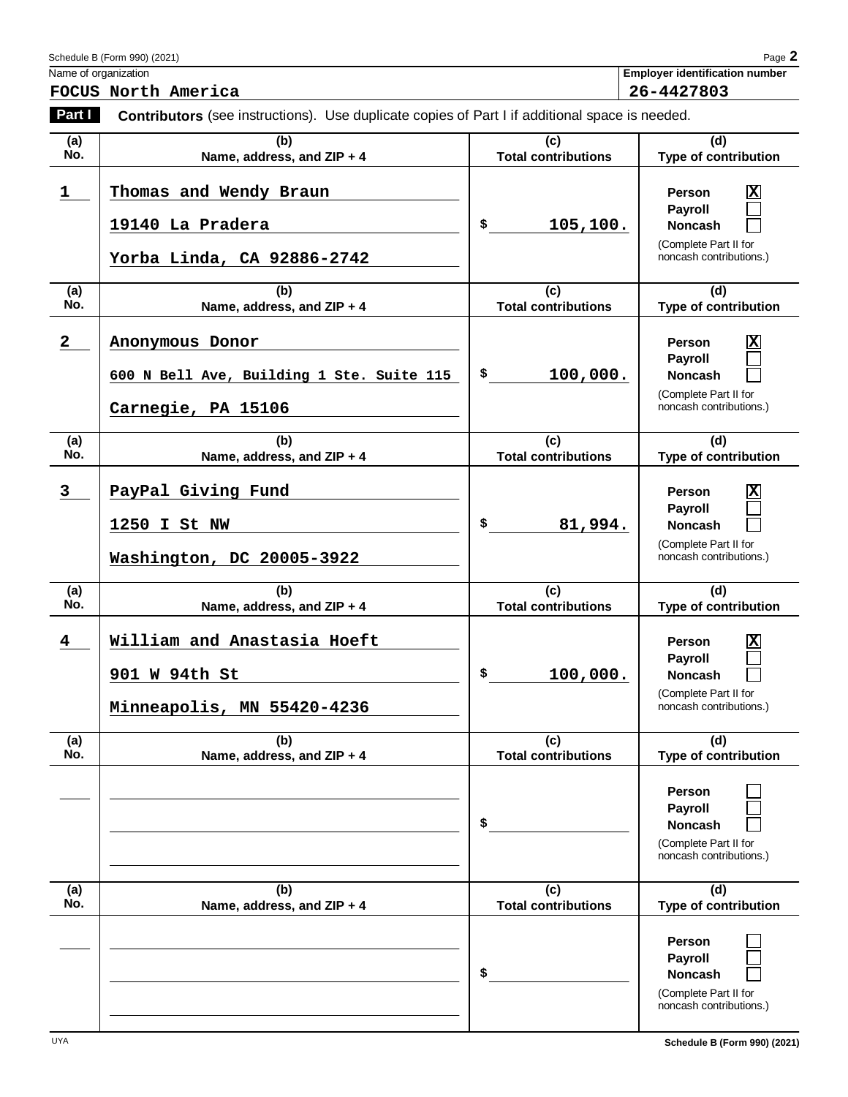**FOCUS North America 26-4427803**

| Part I                  | <b>Contributors</b> (see instructions). Use duplicate copies of Part I if additional space is needed. |                                   |                                                                                                                    |
|-------------------------|-------------------------------------------------------------------------------------------------------|-----------------------------------|--------------------------------------------------------------------------------------------------------------------|
| (a)<br>No.              | (b)<br>Name, address, and ZIP + 4                                                                     | (c)<br><b>Total contributions</b> | (d)<br><b>Type of contribution</b>                                                                                 |
| $\overline{1}$          | Thomas and Wendy Braun<br>19140 La Pradera<br>Yorba Linda, CA 92886-2742                              | \$<br>105, 100.                   | $\overline{\mathbf{x}}$<br>Person<br>Payroll<br><b>Noncash</b><br>(Complete Part II for<br>noncash contributions.) |
| (a)<br>No.              | (b)<br>Name, address, and ZIP + 4                                                                     | (c)<br><b>Total contributions</b> | (d)<br><b>Type of contribution</b>                                                                                 |
| $\overline{2}$          | Anonymous Donor<br>600 N Bell Ave, Building 1 Ste. Suite 115<br>Carnegie, PA 15106                    | \$<br>100,000.                    | $\overline{\mathbf{x}}$<br>Person<br>Payroll<br><b>Noncash</b><br>(Complete Part II for<br>noncash contributions.) |
| (a)<br>No.              | (b)<br>Name, address, and ZIP + 4                                                                     | (c)<br><b>Total contributions</b> | (d)<br><b>Type of contribution</b>                                                                                 |
| $\overline{\mathbf{3}}$ | PayPal Giving Fund<br>1250 I St NW<br>Washington, DC 20005-3922                                       | \$<br>81,994.                     | $\overline{\mathbf{x}}$<br>Person<br>Payroll<br><b>Noncash</b><br>(Complete Part II for<br>noncash contributions.) |
| (a)<br>No.              | (b)<br>Name, address, and ZIP + 4                                                                     | (c)<br><b>Total contributions</b> | (d)<br><b>Type of contribution</b>                                                                                 |
| 4                       | William and Anastasia Hoeft<br>901 W 94th St<br>Minneapolis, MN 55420-4236                            | \$<br>100,000.                    | $\overline{\mathbf{x}}$<br>Person<br>Payroll<br><b>Noncash</b><br>(Complete Part II for<br>noncash contributions.) |
| (a)<br>No.              | (b)<br>Name, address, and ZIP + 4                                                                     | (c)<br><b>Total contributions</b> | (d)<br><b>Type of contribution</b>                                                                                 |
|                         |                                                                                                       | \$                                | Person<br>Payroll<br><b>Noncash</b><br>(Complete Part II for<br>noncash contributions.)                            |
| (a)<br>No.              | (b)<br>Name, address, and ZIP + 4                                                                     | (c)<br><b>Total contributions</b> | (d)<br><b>Type of contribution</b>                                                                                 |
|                         |                                                                                                       | \$                                | Person<br>Payroll<br><b>Noncash</b><br>(Complete Part II for<br>noncash contributions.)                            |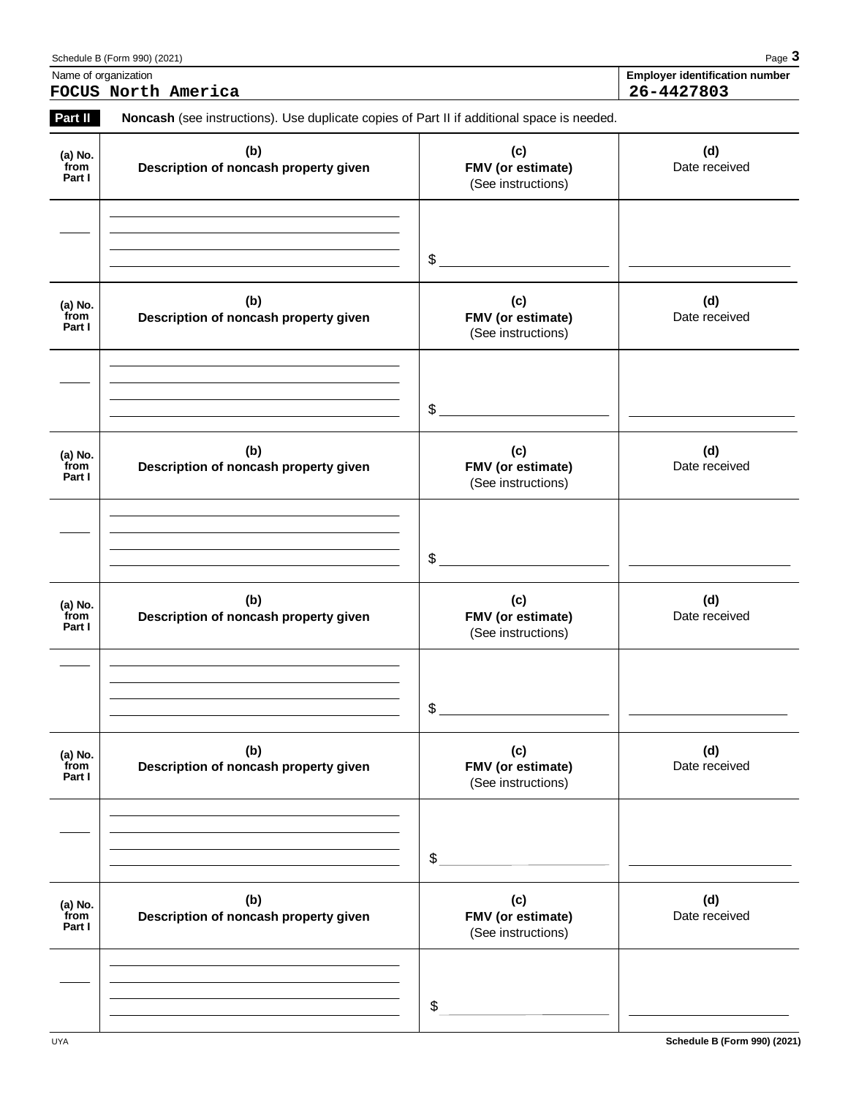|                           | Schedule B (Form 990) (2021)                                                               |                                                | Page 3                                              |
|---------------------------|--------------------------------------------------------------------------------------------|------------------------------------------------|-----------------------------------------------------|
|                           | Name of organization<br>FOCUS North America                                                |                                                | <b>Employer identification number</b><br>26-4427803 |
| Part II                   | Noncash (see instructions). Use duplicate copies of Part II if additional space is needed. |                                                |                                                     |
| (a) No.<br>from<br>Part I | (b)<br>Description of noncash property given                                               | (c)<br>FMV (or estimate)<br>(See instructions) | (d)<br>Date received                                |
|                           |                                                                                            | $\frac{1}{2}$                                  |                                                     |
| (a) No.<br>from<br>Part I | (b)<br>Description of noncash property given                                               | (c)<br>FMV (or estimate)<br>(See instructions) | (d)<br>Date received                                |
|                           |                                                                                            | $\mathfrak{F}$                                 |                                                     |
| (a) No.<br>from<br>Part I | (b)<br>Description of noncash property given                                               | (c)<br>FMV (or estimate)<br>(See instructions) | (d)<br>Date received                                |
|                           |                                                                                            | $\frac{1}{2}$                                  |                                                     |
| (a) No.<br>from<br>Part I | (b)<br>Description of noncash property given                                               | (c)<br>FMV (or estimate)<br>(See instructions) | (d)<br>Date received                                |
|                           |                                                                                            | $\mathfrak{S}$                                 |                                                     |
| (a) No.<br>from<br>Part I | (b)<br>Description of noncash property given                                               | (c)<br>FMV (or estimate)<br>(See instructions) | (d)<br>Date received                                |
|                           |                                                                                            | \$                                             |                                                     |
| (a) No.<br>from<br>Part I | (b)<br>Description of noncash property given                                               | (c)<br>FMV (or estimate)<br>(See instructions) | (d)<br>Date received                                |
|                           |                                                                                            | \$                                             |                                                     |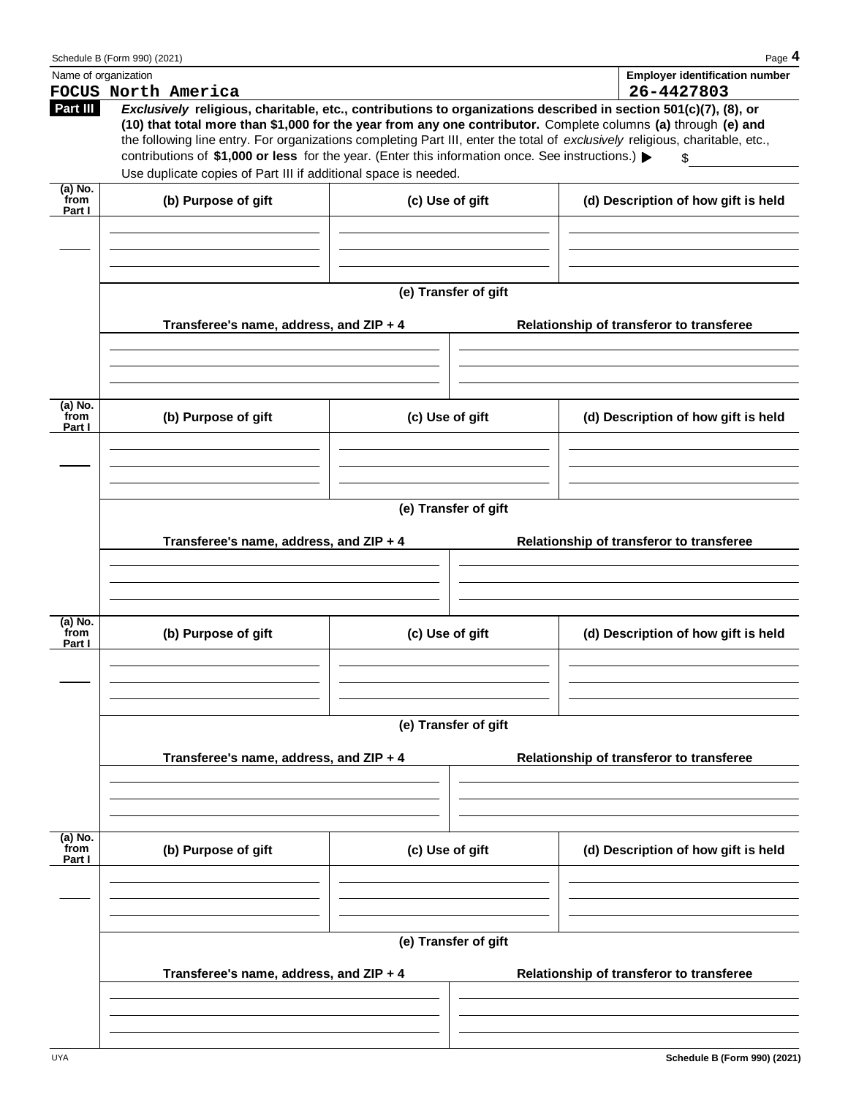|                             | Schedule B (Form 990) (2021)                                                                                                                                                                                                                                                                                                                                                                             |                 |                      | Page 4                                                                                                                             |
|-----------------------------|----------------------------------------------------------------------------------------------------------------------------------------------------------------------------------------------------------------------------------------------------------------------------------------------------------------------------------------------------------------------------------------------------------|-----------------|----------------------|------------------------------------------------------------------------------------------------------------------------------------|
| Name of organization        | FOCUS North America                                                                                                                                                                                                                                                                                                                                                                                      |                 |                      | <b>Employer identification number</b><br>26-4427803                                                                                |
| Part III                    | Exclusively religious, charitable, etc., contributions to organizations described in section 501(c)(7), (8), or<br>(10) that total more than \$1,000 for the year from any one contributor. Complete columns (a) through (e) and<br>contributions of \$1,000 or less for the year. (Enter this information once. See instructions.) ><br>Use duplicate copies of Part III if additional space is needed. |                 |                      | the following line entry. For organizations completing Part III, enter the total of exclusively religious, charitable, etc.,<br>\$ |
| (a) No.<br>from<br>Part I   | (b) Purpose of gift                                                                                                                                                                                                                                                                                                                                                                                      | (c) Use of gift |                      | (d) Description of how gift is held                                                                                                |
|                             |                                                                                                                                                                                                                                                                                                                                                                                                          |                 |                      |                                                                                                                                    |
|                             | Transferee's name, address, and ZIP + 4                                                                                                                                                                                                                                                                                                                                                                  |                 | (e) Transfer of gift | Relationship of transferor to transferee                                                                                           |
| $(a)$ No.<br>from<br>Part I | (b) Purpose of gift                                                                                                                                                                                                                                                                                                                                                                                      | (c) Use of gift |                      | (d) Description of how gift is held                                                                                                |
|                             |                                                                                                                                                                                                                                                                                                                                                                                                          |                 | (e) Transfer of gift |                                                                                                                                    |
|                             | Transferee's name, address, and ZIP + 4                                                                                                                                                                                                                                                                                                                                                                  |                 |                      | Relationship of transferor to transferee                                                                                           |
| (a) No.<br>from<br>Part I   | (b) Purpose of gift                                                                                                                                                                                                                                                                                                                                                                                      | (c) Use of gift |                      | (d) Description of how gift is held                                                                                                |
|                             |                                                                                                                                                                                                                                                                                                                                                                                                          |                 | (e) Transfer of gift |                                                                                                                                    |
|                             | Transferee's name, address, and ZIP + 4                                                                                                                                                                                                                                                                                                                                                                  |                 |                      | Relationship of transferor to transferee                                                                                           |
| (a) No.<br>from<br>Part I   | (b) Purpose of gift                                                                                                                                                                                                                                                                                                                                                                                      | (c) Use of gift |                      | (d) Description of how gift is held                                                                                                |
|                             |                                                                                                                                                                                                                                                                                                                                                                                                          |                 | (e) Transfer of gift |                                                                                                                                    |
|                             | Transferee's name, address, and ZIP + 4                                                                                                                                                                                                                                                                                                                                                                  |                 |                      | Relationship of transferor to transferee                                                                                           |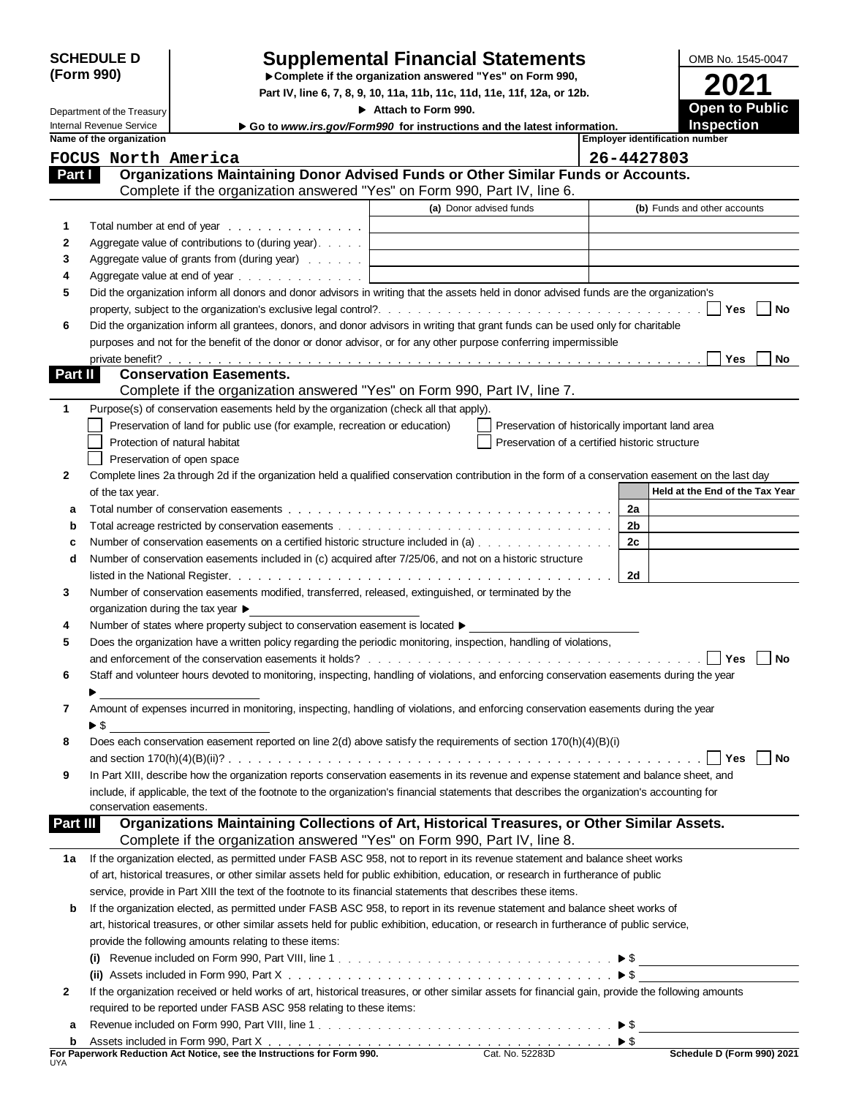**SCHEDULE D (Form 990)**

Department of the Treasury

# **Supplemental Financial Statements**

**Complete if the organization answered "Yes" on Form 990,**

**Part IV, line 6, 7, 8, 9, 10, 11a, 11b, 11c, 11d, 11e, 11f, 12a, or 12b.**

**Attach to Form 990.**

**2021 Open to Public Inspection**

OMB No. 1545-0047

|          | Internal Revenue Service           |                                                                                                                                                    | Go to www.irs.gov/Form990 for instructions and the latest information. |                                                | <b>Inspection</b>                                |
|----------|------------------------------------|----------------------------------------------------------------------------------------------------------------------------------------------------|------------------------------------------------------------------------|------------------------------------------------|--------------------------------------------------|
|          | Name of the organization           |                                                                                                                                                    |                                                                        |                                                | <b>Employer identification number</b>            |
|          | FOCUS North America                |                                                                                                                                                    |                                                                        |                                                | 26-4427803                                       |
| Part I   |                                    | Organizations Maintaining Donor Advised Funds or Other Similar Funds or Accounts.                                                                  |                                                                        |                                                |                                                  |
|          |                                    | Complete if the organization answered "Yes" on Form 990, Part IV, line 6.                                                                          |                                                                        |                                                |                                                  |
|          |                                    |                                                                                                                                                    | (a) Donor advised funds                                                |                                                | (b) Funds and other accounts                     |
| 1        |                                    | Total number at end of year                                                                                                                        |                                                                        |                                                |                                                  |
| 2        |                                    | Aggregate value of contributions to (during year).                                                                                                 |                                                                        |                                                |                                                  |
| 3        |                                    |                                                                                                                                                    |                                                                        |                                                |                                                  |
| 4        |                                    | Aggregate value at end of year                                                                                                                     |                                                                        |                                                |                                                  |
| 5        |                                    | Did the organization inform all donors and donor advisors in writing that the assets held in donor advised funds are the organization's            |                                                                        |                                                |                                                  |
|          |                                    |                                                                                                                                                    |                                                                        |                                                | Yes<br>No                                        |
| 6        |                                    | Did the organization inform all grantees, donors, and donor advisors in writing that grant funds can be used only for charitable                   |                                                                        |                                                |                                                  |
|          |                                    | purposes and not for the benefit of the donor or donor advisor, or for any other purpose conferring impermissible                                  |                                                                        |                                                |                                                  |
|          |                                    |                                                                                                                                                    |                                                                        |                                                | Yes<br>No                                        |
| Part II  |                                    | <b>Conservation Easements.</b>                                                                                                                     |                                                                        |                                                |                                                  |
|          |                                    | Complete if the organization answered "Yes" on Form 990, Part IV, line 7.                                                                          |                                                                        |                                                |                                                  |
| 1        |                                    | Purpose(s) of conservation easements held by the organization (check all that apply).                                                              |                                                                        |                                                |                                                  |
|          |                                    | Preservation of land for public use (for example, recreation or education)                                                                         |                                                                        |                                                | Preservation of historically important land area |
|          |                                    | Protection of natural habitat                                                                                                                      |                                                                        | Preservation of a certified historic structure |                                                  |
|          |                                    | Preservation of open space                                                                                                                         |                                                                        |                                                |                                                  |
| 2        |                                    | Complete lines 2a through 2d if the organization held a qualified conservation contribution in the form of a conservation easement on the last day |                                                                        |                                                |                                                  |
|          | of the tax year.                   |                                                                                                                                                    |                                                                        |                                                | Held at the End of the Tax Year                  |
| а        |                                    |                                                                                                                                                    |                                                                        |                                                | 2a                                               |
| b        |                                    |                                                                                                                                                    |                                                                        |                                                | 2b                                               |
| c        |                                    | Number of conservation easements on a certified historic structure included in (a)                                                                 |                                                                        |                                                | 2c                                               |
| d        |                                    | Number of conservation easements included in (c) acquired after 7/25/06, and not on a historic structure                                           |                                                                        |                                                |                                                  |
|          |                                    |                                                                                                                                                    |                                                                        |                                                | 2d                                               |
| 3        |                                    | Number of conservation easements modified, transferred, released, extinguished, or terminated by the                                               |                                                                        |                                                |                                                  |
|          | organization during the tax year ▶ |                                                                                                                                                    |                                                                        |                                                |                                                  |
| 4        |                                    | Number of states where property subject to conservation easement is located ▶                                                                      |                                                                        |                                                |                                                  |
| 5        |                                    | Does the organization have a written policy regarding the periodic monitoring, inspection, handling of violations,                                 |                                                                        |                                                |                                                  |
|          |                                    |                                                                                                                                                    |                                                                        |                                                | Yes<br>No                                        |
| 6        |                                    | Staff and volunteer hours devoted to monitoring, inspecting, handling of violations, and enforcing conservation easements during the year          |                                                                        |                                                |                                                  |
|          |                                    |                                                                                                                                                    |                                                                        |                                                |                                                  |
| 7        |                                    | Amount of expenses incurred in monitoring, inspecting, handling of violations, and enforcing conservation easements during the year                |                                                                        |                                                |                                                  |
|          | ▶ \$                               |                                                                                                                                                    |                                                                        |                                                |                                                  |
|          |                                    | Does each conservation easement reported on line 2(d) above satisfy the requirements of section 170(h)(4)(B)(i)                                    |                                                                        |                                                |                                                  |
| 9        |                                    | In Part XIII, describe how the organization reports conservation easements in its revenue and expense statement and balance sheet, and             |                                                                        |                                                | Yes<br>No                                        |
|          |                                    | include, if applicable, the text of the footnote to the organization's financial statements that describes the organization's accounting for       |                                                                        |                                                |                                                  |
|          | conservation easements.            |                                                                                                                                                    |                                                                        |                                                |                                                  |
| Part III |                                    | Organizations Maintaining Collections of Art, Historical Treasures, or Other Similar Assets.                                                       |                                                                        |                                                |                                                  |
|          |                                    | Complete if the organization answered "Yes" on Form 990, Part IV, line 8.                                                                          |                                                                        |                                                |                                                  |
| 1a       |                                    | If the organization elected, as permitted under FASB ASC 958, not to report in its revenue statement and balance sheet works                       |                                                                        |                                                |                                                  |
|          |                                    | of art, historical treasures, or other similar assets held for public exhibition, education, or research in furtherance of public                  |                                                                        |                                                |                                                  |
|          |                                    | service, provide in Part XIII the text of the footnote to its financial statements that describes these items.                                     |                                                                        |                                                |                                                  |
| b        |                                    | If the organization elected, as permitted under FASB ASC 958, to report in its revenue statement and balance sheet works of                        |                                                                        |                                                |                                                  |
|          |                                    | art, historical treasures, or other similar assets held for public exhibition, education, or research in furtherance of public service,            |                                                                        |                                                |                                                  |
|          |                                    | provide the following amounts relating to these items:                                                                                             |                                                                        |                                                |                                                  |
|          | (i)                                |                                                                                                                                                    |                                                                        |                                                |                                                  |
|          |                                    |                                                                                                                                                    |                                                                        |                                                | $\triangleright$ \$                              |
| 2        |                                    | If the organization received or held works of art, historical treasures, or other similar assets for financial gain, provide the following amounts |                                                                        |                                                |                                                  |
|          |                                    | required to be reported under FASB ASC 958 relating to these items:                                                                                |                                                                        |                                                |                                                  |
| а        |                                    |                                                                                                                                                    |                                                                        |                                                |                                                  |
| b        |                                    |                                                                                                                                                    |                                                                        |                                                |                                                  |

**For Paperwork Reduction Act Notice, see the Instructions for Form 990. Schedule D (Form 990) 2021** UYA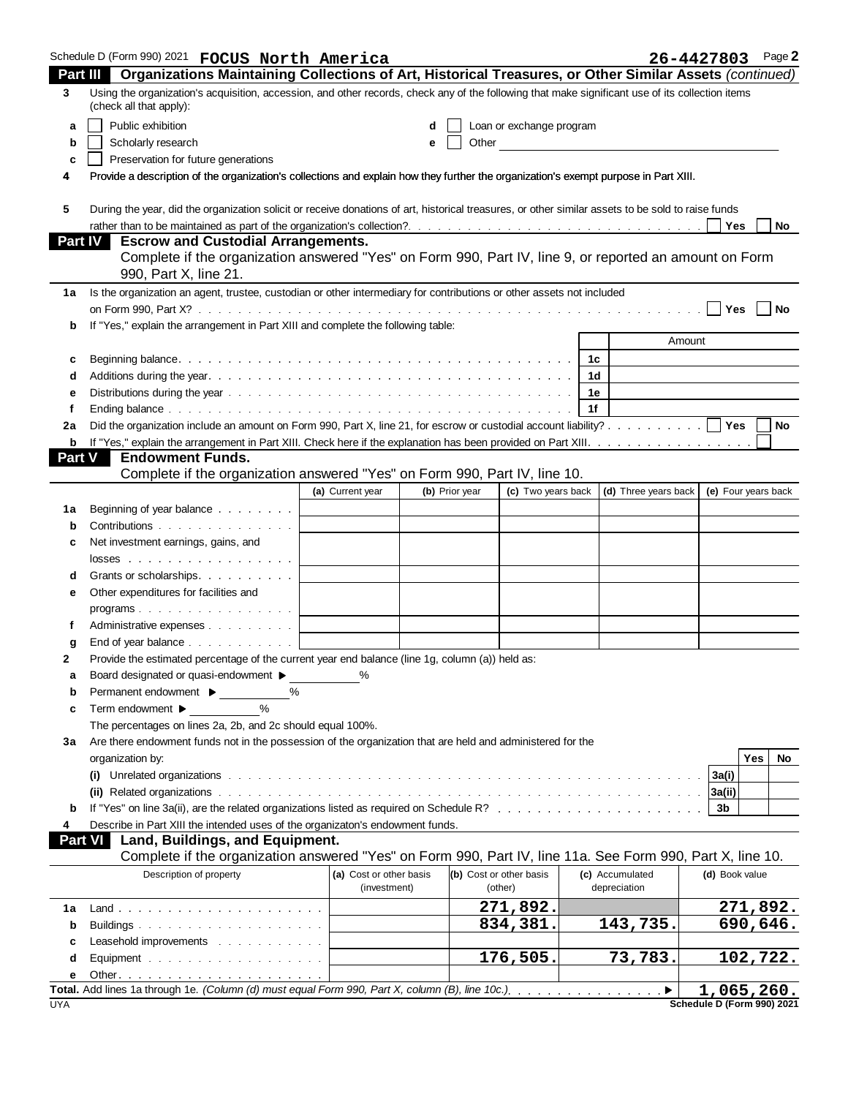|               | Schedule D (Form 990) 2021 FOCUS North America                                                                                                                                                                                |                                         |   |                |                                    |    |                                 | 26-4427803                               | Page 2    |
|---------------|-------------------------------------------------------------------------------------------------------------------------------------------------------------------------------------------------------------------------------|-----------------------------------------|---|----------------|------------------------------------|----|---------------------------------|------------------------------------------|-----------|
|               | Part III Organizations Maintaining Collections of Art, Historical Treasures, or Other Similar Assets (continued)                                                                                                              |                                         |   |                |                                    |    |                                 |                                          |           |
| 3             | Using the organization's acquisition, accession, and other records, check any of the following that make significant use of its collection items<br>(check all that apply):                                                   |                                         |   |                |                                    |    |                                 |                                          |           |
| a             | Public exhibition                                                                                                                                                                                                             |                                         | d |                | Loan or exchange program           |    |                                 |                                          |           |
| b             | Scholarly research                                                                                                                                                                                                            |                                         | е |                |                                    |    |                                 |                                          |           |
| C             | Preservation for future generations                                                                                                                                                                                           |                                         |   |                |                                    |    |                                 |                                          |           |
|               | Provide a description of the organization's collections and explain how they further the organization's exempt purpose in Part XIII.                                                                                          |                                         |   |                |                                    |    |                                 |                                          |           |
|               |                                                                                                                                                                                                                               |                                         |   |                |                                    |    |                                 |                                          |           |
| 5             | During the year, did the organization solicit or receive donations of art, historical treasures, or other similar assets to be sold to raise funds                                                                            |                                         |   |                |                                    |    |                                 |                                          | No        |
|               | <b>Part IV</b> Escrow and Custodial Arrangements.                                                                                                                                                                             |                                         |   |                |                                    |    |                                 |                                          |           |
|               | Complete if the organization answered "Yes" on Form 990, Part IV, line 9, or reported an amount on Form<br>990, Part X, line 21.                                                                                              |                                         |   |                |                                    |    |                                 |                                          |           |
| 1a            | Is the organization an agent, trustee, custodian or other intermediary for contributions or other assets not included                                                                                                         |                                         |   |                |                                    |    |                                 |                                          |           |
|               |                                                                                                                                                                                                                               |                                         |   |                |                                    |    |                                 | ∣ ∣Yes                                   | <b>No</b> |
| b             | If "Yes," explain the arrangement in Part XIII and complete the following table:                                                                                                                                              |                                         |   |                |                                    |    |                                 |                                          |           |
|               |                                                                                                                                                                                                                               |                                         |   |                |                                    |    | Amount                          |                                          |           |
| С             |                                                                                                                                                                                                                               |                                         |   |                |                                    | 1с |                                 |                                          |           |
| d             |                                                                                                                                                                                                                               |                                         |   |                |                                    | 1d |                                 |                                          |           |
| е             |                                                                                                                                                                                                                               |                                         |   |                |                                    | 1е |                                 |                                          |           |
| f             |                                                                                                                                                                                                                               |                                         |   |                |                                    | 1f |                                 |                                          |           |
| 2a            |                                                                                                                                                                                                                               |                                         |   |                |                                    |    |                                 |                                          | No        |
| b             |                                                                                                                                                                                                                               |                                         |   |                |                                    |    |                                 |                                          |           |
| <b>Part V</b> | <b>Endowment Funds.</b>                                                                                                                                                                                                       |                                         |   |                |                                    |    |                                 |                                          |           |
|               | Complete if the organization answered "Yes" on Form 990, Part IV, line 10.                                                                                                                                                    |                                         |   |                |                                    |    |                                 |                                          |           |
|               |                                                                                                                                                                                                                               | (a) Current year                        |   | (b) Prior year | (c) Two years back                 |    | (d) Three years back            | (e) Four years back                      |           |
| 1а            | Beginning of year balance                                                                                                                                                                                                     |                                         |   |                |                                    |    |                                 |                                          |           |
| b             | Contributions                                                                                                                                                                                                                 |                                         |   |                |                                    |    |                                 |                                          |           |
| с             | Net investment earnings, gains, and                                                                                                                                                                                           |                                         |   |                |                                    |    |                                 |                                          |           |
|               | $losses$                                                                                                                                                                                                                      |                                         |   |                |                                    |    |                                 |                                          |           |
| a             | Grants or scholarships.                                                                                                                                                                                                       |                                         |   |                |                                    |    |                                 |                                          |           |
| е             | Other expenditures for facilities and                                                                                                                                                                                         |                                         |   |                |                                    |    |                                 |                                          |           |
|               | programs                                                                                                                                                                                                                      |                                         |   |                |                                    |    |                                 |                                          |           |
| f             | Administrative expenses extensive and a series of the set of the set of the set of the set of the set of the s                                                                                                                |                                         |   |                |                                    |    |                                 |                                          |           |
|               | End of year balance                                                                                                                                                                                                           |                                         |   |                |                                    |    |                                 |                                          |           |
| g<br>2        | Provide the estimated percentage of the current year end balance (line 1g, column (a)) held as:                                                                                                                               |                                         |   |                |                                    |    |                                 |                                          |           |
|               | Board designated or quasi-endowment ▶                                                                                                                                                                                         | %                                       |   |                |                                    |    |                                 |                                          |           |
| а<br>b        | Permanent endowment ▶<br>%                                                                                                                                                                                                    |                                         |   |                |                                    |    |                                 |                                          |           |
|               | $\%$                                                                                                                                                                                                                          |                                         |   |                |                                    |    |                                 |                                          |           |
| c             | Term endowment ▶                                                                                                                                                                                                              |                                         |   |                |                                    |    |                                 |                                          |           |
|               | The percentages on lines 2a, 2b, and 2c should equal 100%.                                                                                                                                                                    |                                         |   |                |                                    |    |                                 |                                          |           |
| За            | Are there endowment funds not in the possession of the organization that are held and administered for the                                                                                                                    |                                         |   |                |                                    |    |                                 | <b>Yes</b>                               | No        |
|               | organization by:                                                                                                                                                                                                              |                                         |   |                |                                    |    |                                 |                                          |           |
|               |                                                                                                                                                                                                                               |                                         |   |                |                                    |    |                                 | 3a(i)                                    |           |
|               |                                                                                                                                                                                                                               |                                         |   |                |                                    |    |                                 | 3a(ii)                                   |           |
| b             |                                                                                                                                                                                                                               |                                         |   |                |                                    |    |                                 | 3b                                       |           |
| 4             | Describe in Part XIII the intended uses of the organizaton's endowment funds.                                                                                                                                                 |                                         |   |                |                                    |    |                                 |                                          |           |
|               | Part VI Land, Buildings, and Equipment.<br>Complete if the organization answered "Yes" on Form 990, Part IV, line 11a. See Form 990, Part X, line 10.                                                                         |                                         |   |                |                                    |    |                                 |                                          |           |
|               |                                                                                                                                                                                                                               |                                         |   |                |                                    |    |                                 |                                          |           |
|               | Description of property                                                                                                                                                                                                       | (a) Cost or other basis<br>(investment) |   |                | (b) Cost or other basis<br>(other) |    | (c) Accumulated<br>depreciation | (d) Book value                           |           |
|               |                                                                                                                                                                                                                               |                                         |   |                |                                    |    |                                 |                                          |           |
| 1a            |                                                                                                                                                                                                                               |                                         |   |                | 271,892.                           |    |                                 | <u>271,892.</u>                          |           |
| b             |                                                                                                                                                                                                                               |                                         |   |                | 834,381.                           |    | 143,735.                        | 690,646.                                 |           |
| c             | Leasehold improvements response to the set of the set of the set of the set of the set of the set of the set of the set of the set of the set of the set of the set of the set of the set of the set of the set of the set of |                                         |   |                |                                    |    |                                 |                                          |           |
| d             | Equipment                                                                                                                                                                                                                     |                                         |   |                | 176,505.                           |    | 73,783.                         | 102,722.                                 |           |
| е             |                                                                                                                                                                                                                               |                                         |   |                |                                    |    |                                 |                                          |           |
| <b>UYA</b>    |                                                                                                                                                                                                                               |                                         |   |                |                                    |    |                                 | 1,065,260.<br>Schedule D (Form 990) 2021 |           |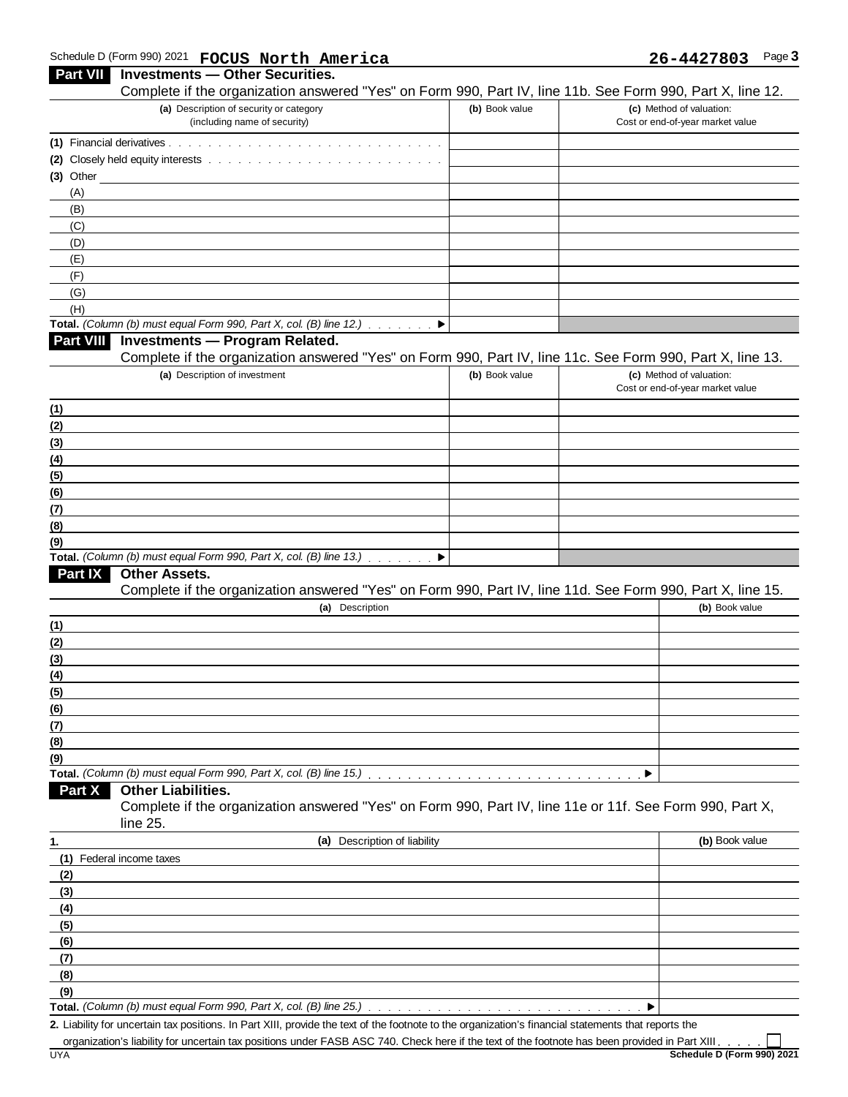|                                                                                                     | Complete if the organization answered "Yes" on Form 990, Part IV, line 11b. See Form 990, Part X, line 12. |                |   |                                                              |
|-----------------------------------------------------------------------------------------------------|------------------------------------------------------------------------------------------------------------|----------------|---|--------------------------------------------------------------|
|                                                                                                     | (a) Description of security or category<br>(including name of security)                                    | (b) Book value |   | (c) Method of valuation:<br>Cost or end-of-year market value |
|                                                                                                     |                                                                                                            |                |   |                                                              |
|                                                                                                     |                                                                                                            |                |   |                                                              |
| $(3)$ Other                                                                                         |                                                                                                            |                |   |                                                              |
| (A)                                                                                                 |                                                                                                            |                |   |                                                              |
| (B)                                                                                                 |                                                                                                            |                |   |                                                              |
| (C)                                                                                                 |                                                                                                            |                |   |                                                              |
| (D)                                                                                                 |                                                                                                            |                |   |                                                              |
| (E)                                                                                                 |                                                                                                            |                |   |                                                              |
| (F)                                                                                                 |                                                                                                            |                |   |                                                              |
| (G)                                                                                                 |                                                                                                            |                |   |                                                              |
| (H)                                                                                                 |                                                                                                            |                |   |                                                              |
|                                                                                                     | Total. (Column (b) must equal Form 990, Part X, col. (B) line 12.) ▶                                       |                |   |                                                              |
|                                                                                                     | Part VIII Investments - Program Related.                                                                   |                |   |                                                              |
|                                                                                                     | Complete if the organization answered "Yes" on Form 990, Part IV, line 11c. See Form 990, Part X, line 13. |                |   |                                                              |
|                                                                                                     | (a) Description of investment                                                                              | (b) Book value |   | (c) Method of valuation:<br>Cost or end-of-year market value |
|                                                                                                     |                                                                                                            |                |   |                                                              |
| (1)                                                                                                 |                                                                                                            |                |   |                                                              |
| (2)                                                                                                 |                                                                                                            |                |   |                                                              |
| (3)<br>(4)                                                                                          |                                                                                                            |                |   |                                                              |
| (5)                                                                                                 |                                                                                                            |                |   |                                                              |
| (6)                                                                                                 |                                                                                                            |                |   |                                                              |
| (7)                                                                                                 |                                                                                                            |                |   |                                                              |
| (8)                                                                                                 |                                                                                                            |                |   |                                                              |
| (9)                                                                                                 |                                                                                                            |                |   |                                                              |
|                                                                                                     | Total. (Column (b) must equal Form 990, Part X, col. (B) line 13.) $\ldots$                                |                |   |                                                              |
| Part IX                                                                                             | <b>Other Assets.</b>                                                                                       |                |   |                                                              |
|                                                                                                     | Complete if the organization answered "Yes" on Form 990, Part IV, line 11d. See Form 990, Part X, line 15. |                |   |                                                              |
|                                                                                                     |                                                                                                            |                |   |                                                              |
|                                                                                                     | (a) Description                                                                                            |                |   | (b) Book value                                               |
|                                                                                                     |                                                                                                            |                |   |                                                              |
|                                                                                                     |                                                                                                            |                |   |                                                              |
|                                                                                                     |                                                                                                            |                |   |                                                              |
|                                                                                                     |                                                                                                            |                |   |                                                              |
|                                                                                                     |                                                                                                            |                |   |                                                              |
|                                                                                                     |                                                                                                            |                |   |                                                              |
|                                                                                                     |                                                                                                            |                |   |                                                              |
|                                                                                                     |                                                                                                            |                |   |                                                              |
|                                                                                                     |                                                                                                            |                |   |                                                              |
|                                                                                                     |                                                                                                            |                | ▶ |                                                              |
| <u>(1)</u><br>(2)<br>(3)<br>$\underline{\textbf{(4)}}$<br>(5)<br>(6)<br>(7)<br>(8)<br>(9)<br>Part X | <b>Other Liabilities.</b>                                                                                  |                |   |                                                              |
|                                                                                                     | Complete if the organization answered "Yes" on Form 990, Part IV, line 11e or 11f. See Form 990, Part X,   |                |   |                                                              |
|                                                                                                     | line 25.                                                                                                   |                |   |                                                              |
|                                                                                                     | (a) Description of liability                                                                               |                |   | (b) Book value                                               |
| (1)                                                                                                 | Federal income taxes                                                                                       |                |   |                                                              |
| (2)                                                                                                 |                                                                                                            |                |   |                                                              |
| (3)                                                                                                 |                                                                                                            |                |   |                                                              |
| (4)                                                                                                 |                                                                                                            |                |   |                                                              |
| (5)                                                                                                 |                                                                                                            |                |   |                                                              |
| (6)                                                                                                 |                                                                                                            |                |   |                                                              |
| (7)                                                                                                 |                                                                                                            |                |   |                                                              |
| 1.<br>(8)<br>(9)                                                                                    |                                                                                                            |                |   |                                                              |

**2.** Liability for uncertain tax positions. In Part XIII, provide the text of the footnote to the organization's financial statements that reports the

organization's liability for uncertain tax positions under FASB ASC 740. Check here if the text of the footnote has been provided in Part XIII.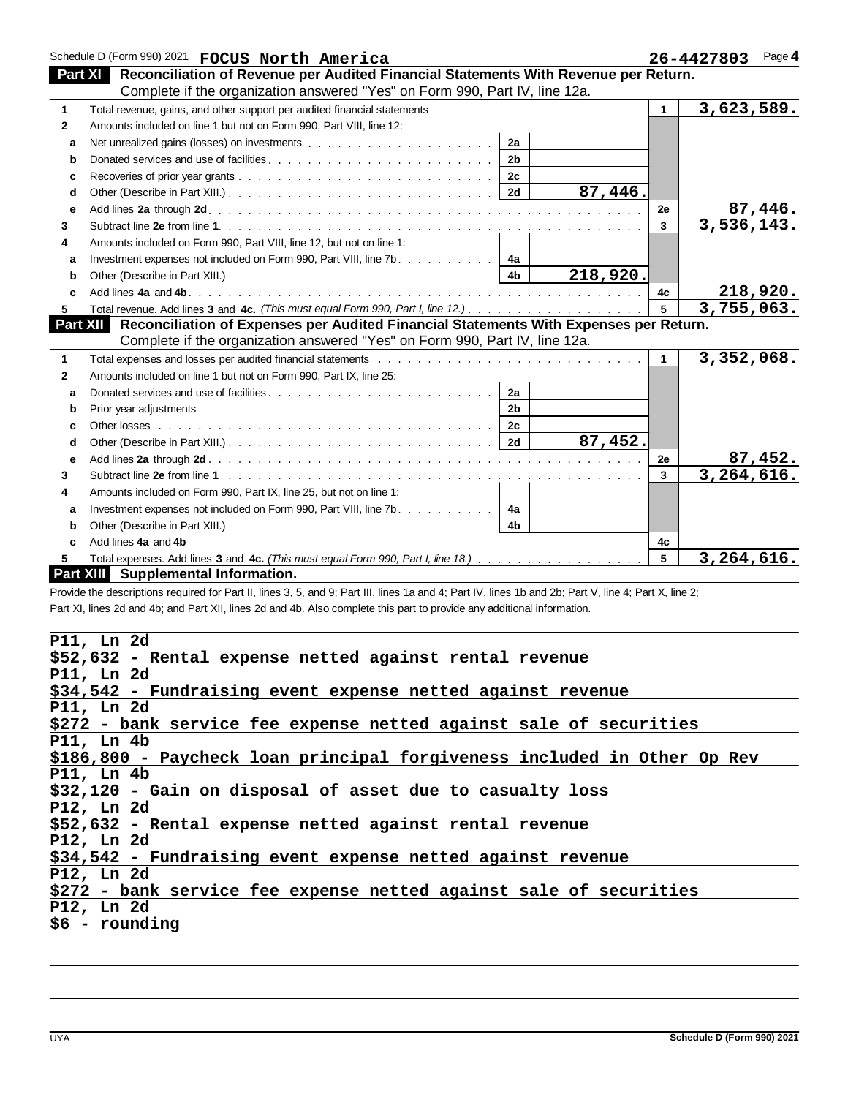|              | Schedule D (Form 990) 2021 FOCUS North America                                                                                                                                                                                 |                |          |              | Page 4<br>26-4427803                                                 |
|--------------|--------------------------------------------------------------------------------------------------------------------------------------------------------------------------------------------------------------------------------|----------------|----------|--------------|----------------------------------------------------------------------|
|              | Reconciliation of Revenue per Audited Financial Statements With Revenue per Return.<br>Part XI                                                                                                                                 |                |          |              |                                                                      |
|              | Complete if the organization answered "Yes" on Form 990, Part IV, line 12a.                                                                                                                                                    |                |          |              |                                                                      |
| 1            | Total revenue, gains, and other support per audited financial statements recognition of the series of the statements                                                                                                           |                |          | $\mathbf{1}$ | 3,623,589.                                                           |
| $\mathbf{2}$ | Amounts included on line 1 but not on Form 990, Part VIII, line 12:                                                                                                                                                            |                |          |              |                                                                      |
| a            | Net unrealized gains (losses) on investments with a substantial contact the state of the state of the state of                                                                                                                 | 2a             |          |              |                                                                      |
| b            |                                                                                                                                                                                                                                | 2 <sub>b</sub> |          |              |                                                                      |
| с            |                                                                                                                                                                                                                                | 2c             |          |              |                                                                      |
| d            |                                                                                                                                                                                                                                |                | 87,446.  |              |                                                                      |
| е            |                                                                                                                                                                                                                                |                |          | 2е           | 87,446.                                                              |
| 3            | Subtract line 2e from line 1. The same state of the same state of the state of the state of the state of the state of the state of the state of the state of the state of the state of the state of the state of the state of  |                |          | $\mathbf{3}$ | 3,536,143.                                                           |
| 4            | Amounts included on Form 990, Part VIII, line 12, but not on line 1:                                                                                                                                                           |                |          |              |                                                                      |
| a            | Investment expenses not included on Form 990, Part VIII, line 7b. $\ldots$ , $\ldots$ , $\ldots$                                                                                                                               |                |          |              |                                                                      |
| b            | Other (Describe in Part XIII.). $\ldots$ , $\ldots$ , $\ldots$ , $\ldots$ , $\ldots$ , $\ldots$ , $\ldots$ , $\ldots$ , $\vert$ 4b                                                                                             |                | 218,920. |              |                                                                      |
| C.           |                                                                                                                                                                                                                                |                |          | 4c           | 218,920.                                                             |
|              |                                                                                                                                                                                                                                |                |          |              |                                                                      |
| 5.           |                                                                                                                                                                                                                                |                |          | 5            |                                                                      |
|              | Reconciliation of Expenses per Audited Financial Statements With Expenses per Return.<br>Part XII                                                                                                                              |                |          |              |                                                                      |
|              | Complete if the organization answered "Yes" on Form 990, Part IV, line 12a.                                                                                                                                                    |                |          |              |                                                                      |
| 1            | Total expenses and losses per audited financial statements and a subset of the set of the state of the state of the state of the state of the state of the state of the state of the state of the state of the state of the st |                |          | $\mathbf{1}$ |                                                                      |
| $\mathbf{2}$ | Amounts included on line 1 but not on Form 990. Part IX, line 25:                                                                                                                                                              |                |          |              |                                                                      |
| a            |                                                                                                                                                                                                                                | 2a             |          |              |                                                                      |
| b            |                                                                                                                                                                                                                                | 2 <sub>b</sub> |          |              |                                                                      |
| C            |                                                                                                                                                                                                                                | 2c             |          |              |                                                                      |
| d            |                                                                                                                                                                                                                                |                | 87,452.  |              |                                                                      |
| е            |                                                                                                                                                                                                                                |                |          | 2е           |                                                                      |
| 3            |                                                                                                                                                                                                                                |                |          | 3            |                                                                      |
| 4            | Amounts included on Form 990, Part IX, line 25, but not on line 1:                                                                                                                                                             |                |          |              |                                                                      |
| a            | Investment expenses not included on Form 990, Part VIII, line 7b. $\ldots$ , $\ldots$ , $\ldots$                                                                                                                               |                |          |              |                                                                      |
| b            |                                                                                                                                                                                                                                |                |          |              |                                                                      |
| C.           |                                                                                                                                                                                                                                |                |          | 4c           | 3,755,063.<br>3,352,068.<br>$\frac{87,452}{3,264,616}$<br>3,264,616. |

Part XI, lines 2d and 4b; and Part XII, lines 2d and 4b. Also complete this part to provide any additional information.

| P11, Ln 2d                                                               |
|--------------------------------------------------------------------------|
| \$52,632 - Rental expense netted against rental revenue                  |
| P11, Ln 2d                                                               |
| \$34,542 - Fundraising event expense netted against revenue              |
| P11, Ln 2d                                                               |
| \$272 - bank service fee expense netted against sale of securities       |
| P11, Ln 4b                                                               |
| \$186,800 - Paycheck loan principal forgiveness included in Other Op Rev |
| $P11$ , Ln 4b                                                            |
| \$32,120 - Gain on disposal of asset due to casualty loss                |
| P12, Ln 2d                                                               |
| \$52,632 - Rental expense netted against rental revenue                  |
| P12, Ln 2d                                                               |
| \$34,542 - Fundraising event expense netted against revenue              |
| P12, Ln 2d                                                               |
| \$272 - bank service fee expense netted against sale of securities       |
| P12, Ln 2d                                                               |
| $$6 - rounding$                                                          |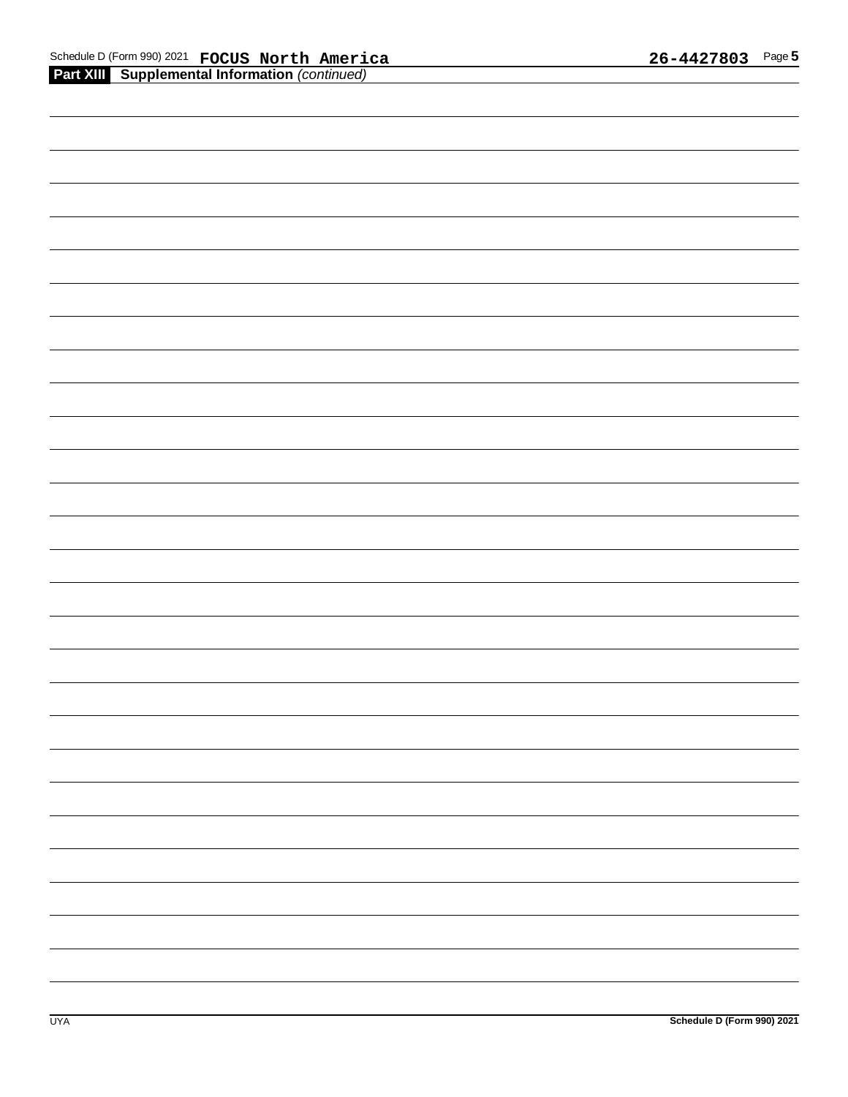| <b>Fait All Supplemental Information</b> ( <i>Continued)</i> |  |  |
|--------------------------------------------------------------|--|--|
|                                                              |  |  |
|                                                              |  |  |
|                                                              |  |  |
|                                                              |  |  |
|                                                              |  |  |
|                                                              |  |  |
|                                                              |  |  |
|                                                              |  |  |
|                                                              |  |  |
|                                                              |  |  |
|                                                              |  |  |
|                                                              |  |  |
|                                                              |  |  |
|                                                              |  |  |
|                                                              |  |  |
|                                                              |  |  |
|                                                              |  |  |
|                                                              |  |  |
|                                                              |  |  |
|                                                              |  |  |
|                                                              |  |  |
|                                                              |  |  |
|                                                              |  |  |
|                                                              |  |  |
|                                                              |  |  |
|                                                              |  |  |
|                                                              |  |  |
|                                                              |  |  |
|                                                              |  |  |
|                                                              |  |  |
|                                                              |  |  |
|                                                              |  |  |
|                                                              |  |  |
|                                                              |  |  |
|                                                              |  |  |
|                                                              |  |  |
|                                                              |  |  |
|                                                              |  |  |
|                                                              |  |  |
|                                                              |  |  |
|                                                              |  |  |
|                                                              |  |  |
|                                                              |  |  |
|                                                              |  |  |
|                                                              |  |  |
|                                                              |  |  |
|                                                              |  |  |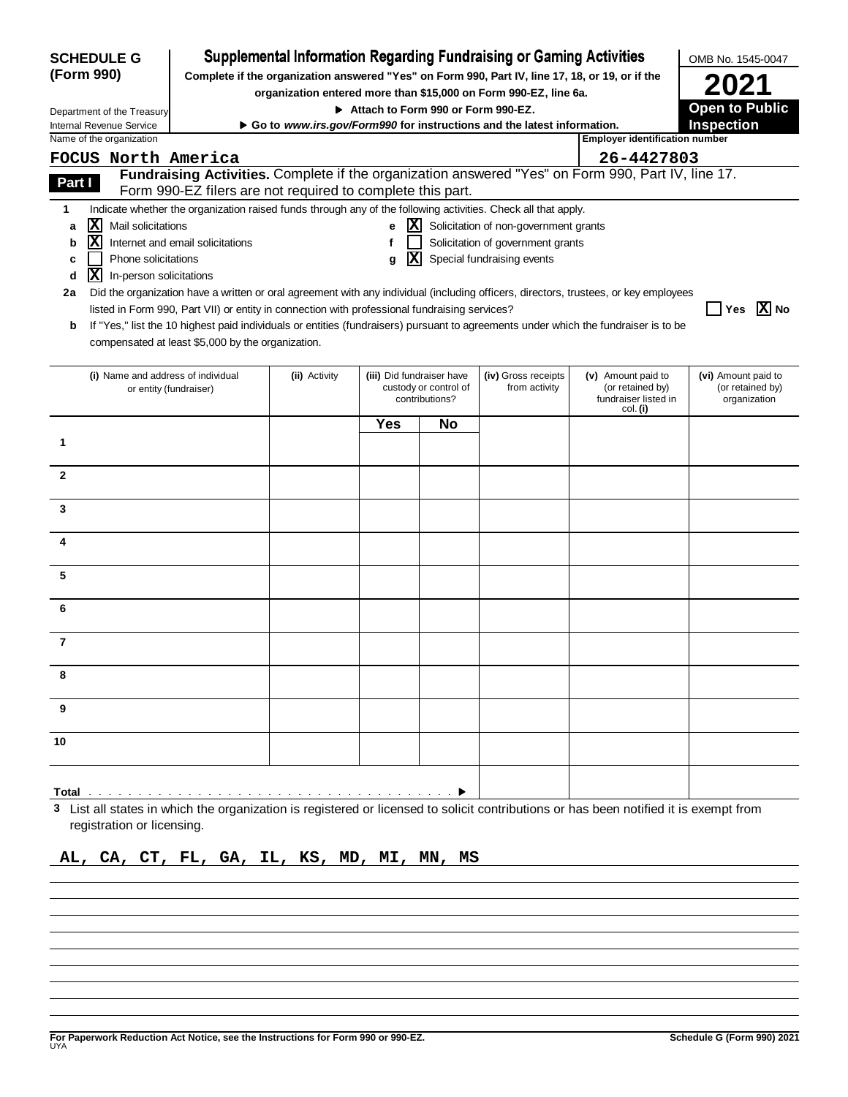| <b>SCHEDULE G</b><br>(Form 990)                                                                                                                                                                                                             | Supplemental Information Regarding Fundraising or Gaming Activities<br>Complete if the organization answered "Yes" on Form 990, Part IV, line 17, 18, or 19, or if the | organization entered more than \$15,000 on Form 990-EZ, line 6a.<br>Attach to Form 990 or Form 990-EZ. |                                       |                                                                            | OMB No. 1545-0047<br>2021<br><b>Open to Public</b>      |
|---------------------------------------------------------------------------------------------------------------------------------------------------------------------------------------------------------------------------------------------|------------------------------------------------------------------------------------------------------------------------------------------------------------------------|--------------------------------------------------------------------------------------------------------|---------------------------------------|----------------------------------------------------------------------------|---------------------------------------------------------|
| Department of the Treasury<br>Internal Revenue Service                                                                                                                                                                                      |                                                                                                                                                                        | Go to www.irs.gov/Form990 for instructions and the latest information.                                 |                                       |                                                                            | <b>Inspection</b>                                       |
| Name of the organization                                                                                                                                                                                                                    |                                                                                                                                                                        |                                                                                                        |                                       | <b>Employer identification number</b>                                      |                                                         |
| FOCUS North America                                                                                                                                                                                                                         | Fundraising Activities. Complete if the organization answered "Yes" on Form 990, Part IV, line 17.                                                                     |                                                                                                        |                                       | 26-4427803                                                                 |                                                         |
| Part I                                                                                                                                                                                                                                      | Form 990-EZ filers are not required to complete this part.                                                                                                             |                                                                                                        |                                       |                                                                            |                                                         |
| Indicate whether the organization raised funds through any of the following activities. Check all that apply.<br>1                                                                                                                          |                                                                                                                                                                        |                                                                                                        |                                       |                                                                            |                                                         |
| $\mathbf{x}$<br>Mail solicitations<br>a                                                                                                                                                                                                     |                                                                                                                                                                        | IXI<br>e                                                                                               | Solicitation of non-government grants |                                                                            |                                                         |
| 図<br>Internet and email solicitations<br>b                                                                                                                                                                                                  |                                                                                                                                                                        | f                                                                                                      | Solicitation of government grants     |                                                                            |                                                         |
| Phone solicitations<br>с                                                                                                                                                                                                                    |                                                                                                                                                                        | ΙxΙ<br>q                                                                                               | Special fundraising events            |                                                                            |                                                         |
| 図<br>In-person solicitations<br>d                                                                                                                                                                                                           |                                                                                                                                                                        |                                                                                                        |                                       |                                                                            |                                                         |
| Did the organization have a written or oral agreement with any individual (including officers, directors, trustees, or key employees<br>2a<br>listed in Form 990, Part VII) or entity in connection with professional fundraising services? |                                                                                                                                                                        |                                                                                                        |                                       |                                                                            | Yes $\boxed{\mathbf{X}}$ No                             |
| If "Yes," list the 10 highest paid individuals or entities (fundraisers) pursuant to agreements under which the fundraiser is to be<br>b                                                                                                    |                                                                                                                                                                        |                                                                                                        |                                       |                                                                            |                                                         |
| compensated at least \$5,000 by the organization.                                                                                                                                                                                           |                                                                                                                                                                        |                                                                                                        |                                       |                                                                            |                                                         |
|                                                                                                                                                                                                                                             |                                                                                                                                                                        |                                                                                                        |                                       |                                                                            |                                                         |
| (i) Name and address of individual<br>or entity (fundraiser)                                                                                                                                                                                | (ii) Activity                                                                                                                                                          | (iii) Did fundraiser have<br>custody or control of<br>contributions?                                   | (iv) Gross receipts<br>from activity  | (v) Amount paid to<br>(or retained by)<br>fundraiser listed in<br>col. (i) | (vi) Amount paid to<br>(or retained by)<br>organization |
|                                                                                                                                                                                                                                             |                                                                                                                                                                        | <b>Yes</b><br>No                                                                                       |                                       |                                                                            |                                                         |
| 1                                                                                                                                                                                                                                           |                                                                                                                                                                        |                                                                                                        |                                       |                                                                            |                                                         |
|                                                                                                                                                                                                                                             |                                                                                                                                                                        |                                                                                                        |                                       |                                                                            |                                                         |
| $\mathbf{2}$                                                                                                                                                                                                                                |                                                                                                                                                                        |                                                                                                        |                                       |                                                                            |                                                         |
| 3                                                                                                                                                                                                                                           |                                                                                                                                                                        |                                                                                                        |                                       |                                                                            |                                                         |
|                                                                                                                                                                                                                                             |                                                                                                                                                                        |                                                                                                        |                                       |                                                                            |                                                         |
| 4                                                                                                                                                                                                                                           |                                                                                                                                                                        |                                                                                                        |                                       |                                                                            |                                                         |
|                                                                                                                                                                                                                                             |                                                                                                                                                                        |                                                                                                        |                                       |                                                                            |                                                         |
| 5                                                                                                                                                                                                                                           |                                                                                                                                                                        |                                                                                                        |                                       |                                                                            |                                                         |
|                                                                                                                                                                                                                                             |                                                                                                                                                                        |                                                                                                        |                                       |                                                                            |                                                         |
| 6                                                                                                                                                                                                                                           |                                                                                                                                                                        |                                                                                                        |                                       |                                                                            |                                                         |
| 7                                                                                                                                                                                                                                           |                                                                                                                                                                        |                                                                                                        |                                       |                                                                            |                                                         |
|                                                                                                                                                                                                                                             |                                                                                                                                                                        |                                                                                                        |                                       |                                                                            |                                                         |
| 8                                                                                                                                                                                                                                           |                                                                                                                                                                        |                                                                                                        |                                       |                                                                            |                                                         |
|                                                                                                                                                                                                                                             |                                                                                                                                                                        |                                                                                                        |                                       |                                                                            |                                                         |
| 9                                                                                                                                                                                                                                           |                                                                                                                                                                        |                                                                                                        |                                       |                                                                            |                                                         |
|                                                                                                                                                                                                                                             |                                                                                                                                                                        |                                                                                                        |                                       |                                                                            |                                                         |
| 10                                                                                                                                                                                                                                          |                                                                                                                                                                        |                                                                                                        |                                       |                                                                            |                                                         |
|                                                                                                                                                                                                                                             |                                                                                                                                                                        |                                                                                                        |                                       |                                                                            |                                                         |
|                                                                                                                                                                                                                                             |                                                                                                                                                                        |                                                                                                        |                                       |                                                                            |                                                         |
| 3 List all states in which the organization is registered or licensed to solicit contributions or has been notified it is exempt from                                                                                                       |                                                                                                                                                                        |                                                                                                        |                                       |                                                                            |                                                         |

registration or licensing.

# **AL, CA, CT, FL, GA, IL, KS, MD, MI, MN, MS**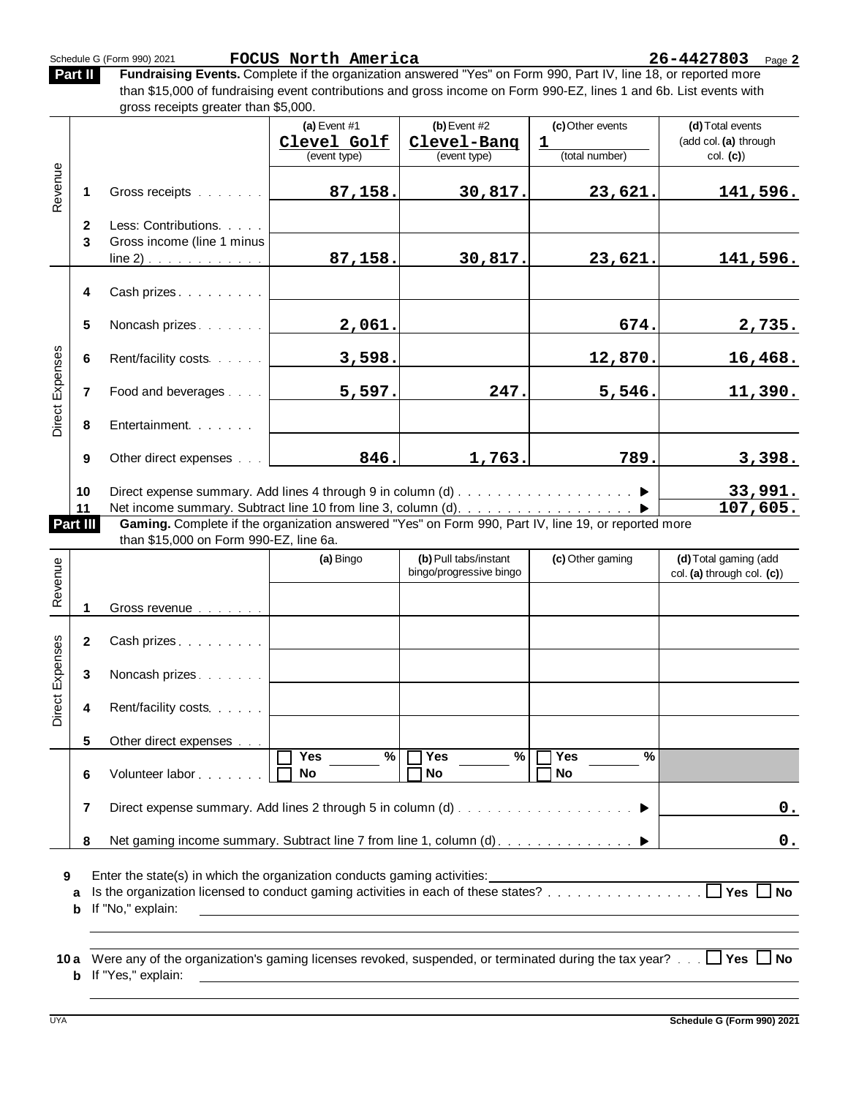FOCUS North America<br>
Part II **Fundraising Events.** Complete if the organization answered "Yes" on Form 990, Part IV, line 18, or reported more gross receipts greater than \$5,000.

|                          |                                                                                                     | (a) Event $#1$<br>Clevel Golf<br>(event type) | $(b)$ Event #2<br>Clevel-Banq<br>(event type)    | (c) Other events<br>1<br>(total number)      | (d) Total events<br>(add col. (a) through<br>col. (c) |
|--------------------------|-----------------------------------------------------------------------------------------------------|-----------------------------------------------|--------------------------------------------------|----------------------------------------------|-------------------------------------------------------|
| Revenue<br>1             | Gross receipts                                                                                      | 87,158.                                       | 30,817.                                          | 23,621.                                      | 141,596.                                              |
|                          | Less: Contributions.<br>2<br>Gross income (line 1 minus<br>3                                        |                                               |                                                  |                                              |                                                       |
|                          |                                                                                                     | 87,158.                                       | 30,817.                                          | 23,621.                                      | 141,596.                                              |
|                          | Cash prizes<br>4                                                                                    |                                               |                                                  |                                              |                                                       |
| 5                        | Noncash prizes                                                                                      | 2,061.                                        |                                                  | 674.                                         | 2,735.                                                |
| 6                        | Rent/facility costs.                                                                                | 3,598.                                        |                                                  | 12,870.                                      | 16,468.                                               |
| 7                        | Food and beverages                                                                                  | 5,597.                                        | 247.                                             | 5,546.                                       | 11,390.                                               |
| Direct Expenses<br>8     | Entertainment.                                                                                      |                                               |                                                  |                                              |                                                       |
| 9                        | Other direct expenses                                                                               | 846.                                          | 1,763.                                           | 789.                                         | 3,398.                                                |
|                          |                                                                                                     |                                               |                                                  |                                              |                                                       |
| 10<br>11                 | Gaming. Complete if the organization answered "Yes" on Form 990, Part IV, line 19, or reported more |                                               |                                                  |                                              | 33,991.<br>107,605.                                   |
|                          | than \$15,000 on Form 990-EZ, line 6a.                                                              | (a) Bingo                                     | (b) Pull tabs/instant<br>bingo/progressive bingo | (c) Other gaming                             | (d) Total gaming (add<br>col. (a) through col. (c))   |
| 1                        | Gross revenue                                                                                       |                                               |                                                  |                                              |                                                       |
|                          | $\mathbf{2}$<br>Cash prizes                                                                         |                                               |                                                  |                                              |                                                       |
| Part III<br>Revenue<br>3 | Noncash prizes <b>contained</b>                                                                     |                                               |                                                  |                                              |                                                       |
| Direct Expenses          | Rent/facility costs.<br>4                                                                           |                                               |                                                  |                                              |                                                       |
|                          | Other direct expenses<br>5                                                                          |                                               |                                                  |                                              |                                                       |
| 6                        | Volunteer labor                                                                                     | <b>Yes</b><br>$\overline{\frac{9}{6}}$<br>No  | <b>Yes</b><br>$\overline{\frac{9}{6}}$<br>No     | $\overline{\frac{9}{6}}$<br><b>Yes</b><br>No |                                                       |
| 7                        |                                                                                                     |                                               |                                                  |                                              | 0.                                                    |
| 8                        | Net gaming income summary. Subtract line 7 from line 1, column (d) ▶                                |                                               |                                                  |                                              | 0.                                                    |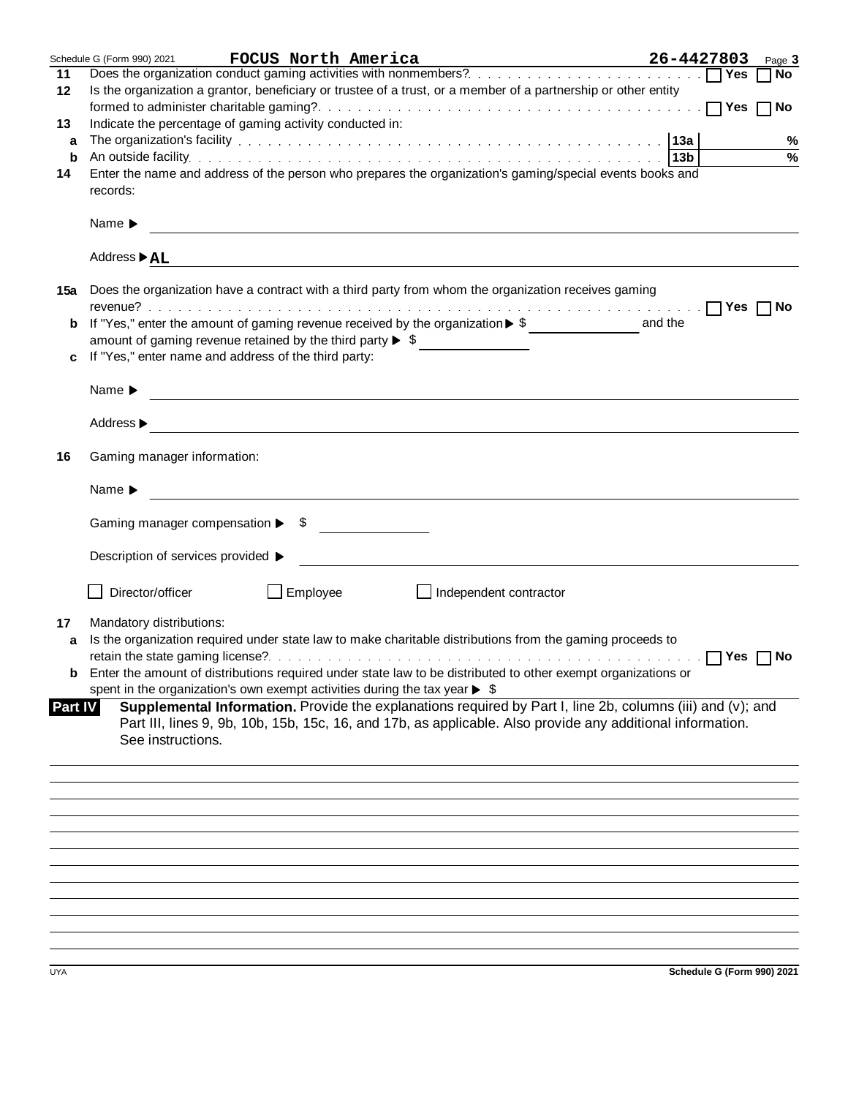| 11<br>12 | Schedule G (Form 990) 2021 <b>FOCUS North America</b><br>e G (Form 990) 2021 <b>FOCUS North America</b> 26-4427803<br>Does the organization conduct gaming activities with nonmembers?<br>Page 3<br><b>No</b> |
|----------|---------------------------------------------------------------------------------------------------------------------------------------------------------------------------------------------------------------|
|          | Is the organization a grantor, beneficiary or trustee of a trust, or a member of a partnership or other entity                                                                                                |
|          | $\Box$ No                                                                                                                                                                                                     |
|          | Indicate the percentage of gaming activity conducted in:                                                                                                                                                      |
| a        | %                                                                                                                                                                                                             |
| b        | $\overline{\frac{9}{6}}$                                                                                                                                                                                      |
|          | Enter the name and address of the person who prepares the organization's gaming/special events books and                                                                                                      |
|          | records:                                                                                                                                                                                                      |
|          | Name $\blacktriangleright$                                                                                                                                                                                    |
|          | Address ▶ AL                                                                                                                                                                                                  |
| 15a      | Does the organization have a contract with a third party from whom the organization receives gaming                                                                                                           |
|          | $\Box$ Yes $\Box$ No<br>If "Yes," enter the amount of gaming revenue received by the organization▶ \$<br>and the                                                                                              |
| b        | amount of gaming revenue retained by the third party $\blacktriangleright$ \$                                                                                                                                 |
|          | If "Yes," enter name and address of the third party:                                                                                                                                                          |
|          |                                                                                                                                                                                                               |
|          | Name $\blacktriangleright$<br><u> 1989 - Johann Stein, mars and deutscher Stein († 1958)</u>                                                                                                                  |
|          | Address ▶<br><u> 1989 - John Stein, Amerikaansk politiker (* 1958)</u>                                                                                                                                        |
|          | Gaming manager information:                                                                                                                                                                                   |
|          |                                                                                                                                                                                                               |
|          | Name $\blacktriangleright$                                                                                                                                                                                    |
|          |                                                                                                                                                                                                               |
|          |                                                                                                                                                                                                               |
|          | Gaming manager compensation ▶<br>\$                                                                                                                                                                           |
|          |                                                                                                                                                                                                               |
|          | Description of services provided ▶                                                                                                                                                                            |
|          | Director/officer<br>$\Box$ Employee<br>Independent contractor                                                                                                                                                 |
|          |                                                                                                                                                                                                               |
|          | Mandatory distributions:                                                                                                                                                                                      |
|          | Is the organization required under state law to make charitable distributions from the gaming proceeds to                                                                                                     |
|          | retain the state gaming license?.<br>$\Box$ Yes $\,\Box$ No                                                                                                                                                   |
| a        | Enter the amount of distributions required under state law to be distributed to other exempt organizations or                                                                                                 |
|          | spent in the organization's own exempt activities during the tax year ▶ \$<br>Supplemental Information. Provide the explanations required by Part I, line 2b, columns (iii) and (v); and<br>Part IV           |
|          | Part III, lines 9, 9b, 10b, 15b, 15c, 16, and 17b, as applicable. Also provide any additional information.                                                                                                    |
|          | See instructions.                                                                                                                                                                                             |
|          |                                                                                                                                                                                                               |
|          |                                                                                                                                                                                                               |
|          |                                                                                                                                                                                                               |
|          |                                                                                                                                                                                                               |
|          |                                                                                                                                                                                                               |
|          |                                                                                                                                                                                                               |
|          |                                                                                                                                                                                                               |
|          |                                                                                                                                                                                                               |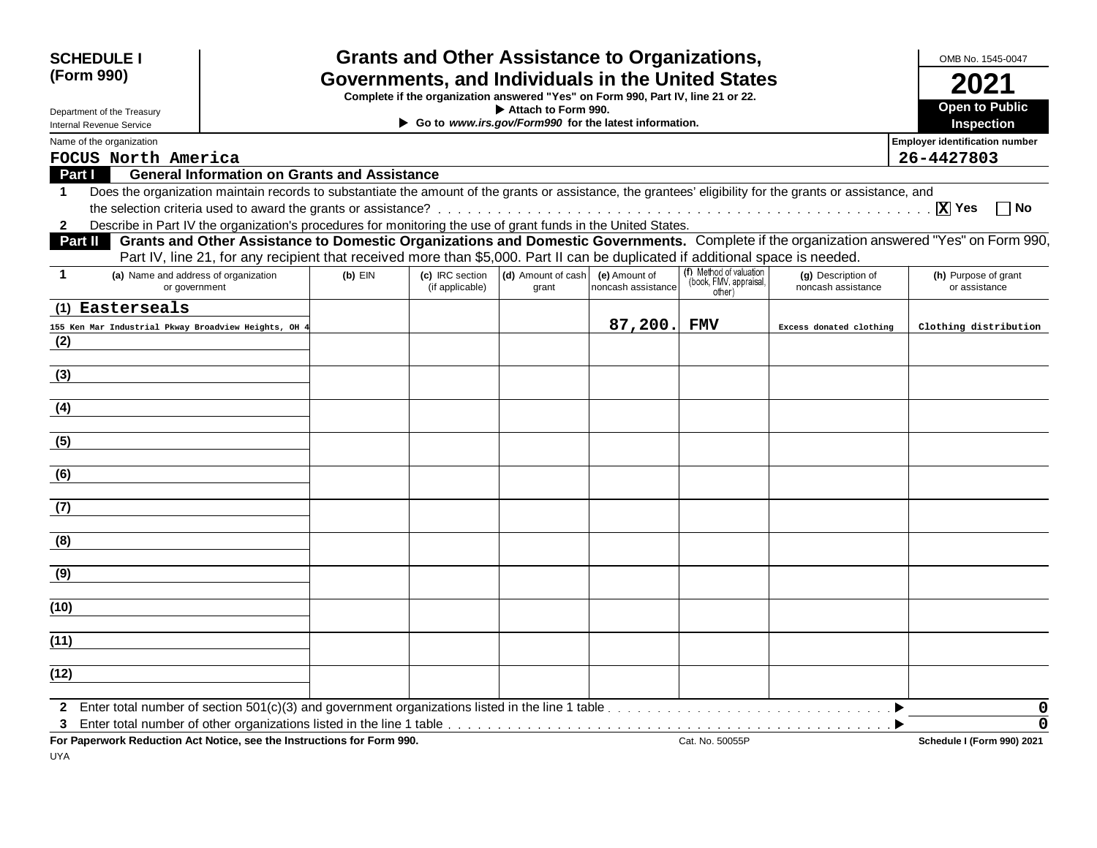| (Form 990)<br>Department of the Treasury<br><b>Internal Revenue Service</b><br>Name of the organization<br>FOCUS North America |                                                                                                                                                            | Go to www.irs.gov/Form990 for the latest information. |                             |                                     |                                                                                                         |                                                   | 2021                                                                                                                                     |  |  |  |  |  |  |
|--------------------------------------------------------------------------------------------------------------------------------|------------------------------------------------------------------------------------------------------------------------------------------------------------|-------------------------------------------------------|-----------------------------|-------------------------------------|---------------------------------------------------------------------------------------------------------|---------------------------------------------------|------------------------------------------------------------------------------------------------------------------------------------------|--|--|--|--|--|--|
|                                                                                                                                |                                                                                                                                                            |                                                       |                             |                                     |                                                                                                         | Governments, and Individuals in the United States |                                                                                                                                          |  |  |  |  |  |  |
|                                                                                                                                |                                                                                                                                                            |                                                       |                             |                                     | Complete if the organization answered "Yes" on Form 990, Part IV, line 21 or 22.<br>Attach to Form 990. |                                                   |                                                                                                                                          |  |  |  |  |  |  |
|                                                                                                                                |                                                                                                                                                            |                                                       |                             |                                     |                                                                                                         |                                                   | Inspection                                                                                                                               |  |  |  |  |  |  |
|                                                                                                                                |                                                                                                                                                            |                                                       |                             |                                     |                                                                                                         |                                                   | <b>Employer identification number</b>                                                                                                    |  |  |  |  |  |  |
|                                                                                                                                |                                                                                                                                                            |                                                       |                             |                                     |                                                                                                         |                                                   | 26-4427803                                                                                                                               |  |  |  |  |  |  |
| <b>Part I</b>                                                                                                                  | <b>General Information on Grants and Assistance</b>                                                                                                        |                                                       |                             |                                     |                                                                                                         |                                                   |                                                                                                                                          |  |  |  |  |  |  |
| $\mathbf 1$                                                                                                                    | Does the organization maintain records to substantiate the amount of the grants or assistance, the grantees' eligibility for the grants or assistance, and |                                                       |                             |                                     |                                                                                                         |                                                   |                                                                                                                                          |  |  |  |  |  |  |
|                                                                                                                                | the selection criteria used to award the grants or assistance?                                                                                             |                                                       |                             |                                     |                                                                                                         |                                                   | $\Box$ No<br>. $\boxed{\mathbf{X}}$ Yes                                                                                                  |  |  |  |  |  |  |
| $\mathbf{2}$                                                                                                                   | Describe in Part IV the organization's procedures for monitoring the use of grant funds in the United States.                                              |                                                       |                             |                                     |                                                                                                         |                                                   |                                                                                                                                          |  |  |  |  |  |  |
| Part II                                                                                                                        | Part IV, line 21, for any recipient that received more than \$5,000. Part II can be duplicated if additional space is needed.                              |                                                       |                             |                                     |                                                                                                         |                                                   | Grants and Other Assistance to Domestic Organizations and Domestic Governments. Complete if the organization answered "Yes" on Form 990, |  |  |  |  |  |  |
|                                                                                                                                |                                                                                                                                                            |                                                       |                             |                                     | (f) Method of valuation                                                                                 |                                                   |                                                                                                                                          |  |  |  |  |  |  |
| $\mathbf 1$<br>(a) Name and address of organization<br>or government                                                           | $(b)$ EIN                                                                                                                                                  | (c) IRC section<br>(if applicable)                    | (d) Amount of cash<br>grant | (e) Amount of<br>noncash assistance | (book, FMV. appraisal<br>other)                                                                         | (g) Description of<br>noncash assistance          | (h) Purpose of grant<br>or assistance                                                                                                    |  |  |  |  |  |  |
| (1) Easterseals                                                                                                                |                                                                                                                                                            |                                                       |                             |                                     |                                                                                                         |                                                   |                                                                                                                                          |  |  |  |  |  |  |
| 155 Ken Mar Industrial Pkway Broadview Heights, OH                                                                             |                                                                                                                                                            |                                                       |                             | 87,200.                             | <b>FMV</b>                                                                                              | Excess donated clothing                           | Clothing distribution                                                                                                                    |  |  |  |  |  |  |
| (2)                                                                                                                            |                                                                                                                                                            |                                                       |                             |                                     |                                                                                                         |                                                   |                                                                                                                                          |  |  |  |  |  |  |
|                                                                                                                                |                                                                                                                                                            |                                                       |                             |                                     |                                                                                                         |                                                   |                                                                                                                                          |  |  |  |  |  |  |
| (3)                                                                                                                            |                                                                                                                                                            |                                                       |                             |                                     |                                                                                                         |                                                   |                                                                                                                                          |  |  |  |  |  |  |
|                                                                                                                                |                                                                                                                                                            |                                                       |                             |                                     |                                                                                                         |                                                   |                                                                                                                                          |  |  |  |  |  |  |
| (4)                                                                                                                            |                                                                                                                                                            |                                                       |                             |                                     |                                                                                                         |                                                   |                                                                                                                                          |  |  |  |  |  |  |
|                                                                                                                                |                                                                                                                                                            |                                                       |                             |                                     |                                                                                                         |                                                   |                                                                                                                                          |  |  |  |  |  |  |
| (5)                                                                                                                            |                                                                                                                                                            |                                                       |                             |                                     |                                                                                                         |                                                   |                                                                                                                                          |  |  |  |  |  |  |
|                                                                                                                                |                                                                                                                                                            |                                                       |                             |                                     |                                                                                                         |                                                   |                                                                                                                                          |  |  |  |  |  |  |
| (6)                                                                                                                            |                                                                                                                                                            |                                                       |                             |                                     |                                                                                                         |                                                   |                                                                                                                                          |  |  |  |  |  |  |
| (7)                                                                                                                            |                                                                                                                                                            |                                                       |                             |                                     |                                                                                                         |                                                   |                                                                                                                                          |  |  |  |  |  |  |
|                                                                                                                                |                                                                                                                                                            |                                                       |                             |                                     |                                                                                                         |                                                   |                                                                                                                                          |  |  |  |  |  |  |
| (8)                                                                                                                            |                                                                                                                                                            |                                                       |                             |                                     |                                                                                                         |                                                   |                                                                                                                                          |  |  |  |  |  |  |
|                                                                                                                                |                                                                                                                                                            |                                                       |                             |                                     |                                                                                                         |                                                   |                                                                                                                                          |  |  |  |  |  |  |
| (9)                                                                                                                            |                                                                                                                                                            |                                                       |                             |                                     |                                                                                                         |                                                   |                                                                                                                                          |  |  |  |  |  |  |
|                                                                                                                                |                                                                                                                                                            |                                                       |                             |                                     |                                                                                                         |                                                   |                                                                                                                                          |  |  |  |  |  |  |
| (10)                                                                                                                           |                                                                                                                                                            |                                                       |                             |                                     |                                                                                                         |                                                   |                                                                                                                                          |  |  |  |  |  |  |
|                                                                                                                                |                                                                                                                                                            |                                                       |                             |                                     |                                                                                                         |                                                   |                                                                                                                                          |  |  |  |  |  |  |
| (11)                                                                                                                           |                                                                                                                                                            |                                                       |                             |                                     |                                                                                                         |                                                   |                                                                                                                                          |  |  |  |  |  |  |
|                                                                                                                                |                                                                                                                                                            |                                                       |                             |                                     |                                                                                                         |                                                   |                                                                                                                                          |  |  |  |  |  |  |
| (12)                                                                                                                           |                                                                                                                                                            |                                                       |                             |                                     |                                                                                                         |                                                   |                                                                                                                                          |  |  |  |  |  |  |
|                                                                                                                                |                                                                                                                                                            |                                                       |                             |                                     |                                                                                                         |                                                   |                                                                                                                                          |  |  |  |  |  |  |
| $\mathbf{2}$                                                                                                                   |                                                                                                                                                            |                                                       |                             |                                     |                                                                                                         |                                                   | 0                                                                                                                                        |  |  |  |  |  |  |
| For Paperwork Reduction Act Notice, see the Instructions for Form 990.                                                         |                                                                                                                                                            |                                                       |                             |                                     | Cat. No. 50055P                                                                                         |                                                   | 0<br>Schedule I (Form 990) 2021                                                                                                          |  |  |  |  |  |  |

| H<br>ıY |  |
|---------|--|
| ×<br>۰, |  |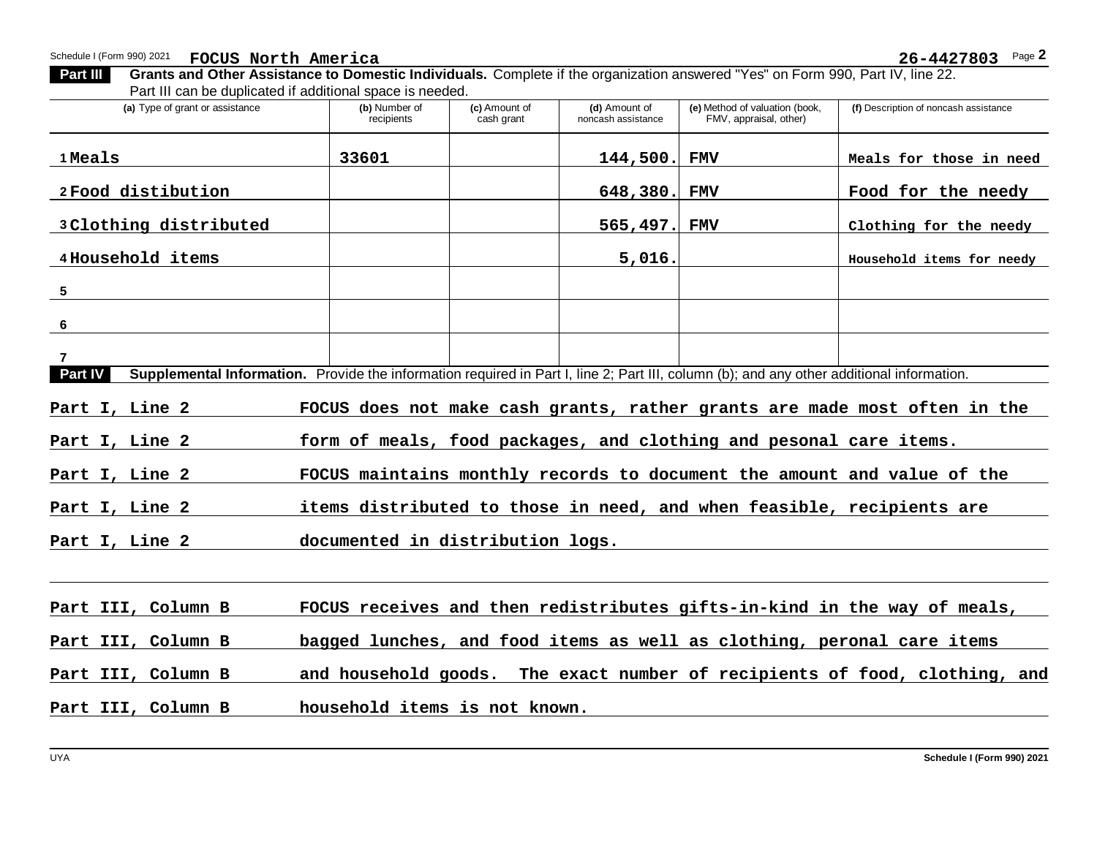**Part III Grants and Other Assistance to Domestic Individuals.** Complete if the organization answered "Yes" on Form 990, Part IV, line 22.

Part III, Column B bagged lunches, and food items as well as clothing, peronal care items<br>Part III, Column B and household goods. The exact number of recipients of food, clothing, and **Part III, Column B household items is not known.**

**5**

**6**

**7**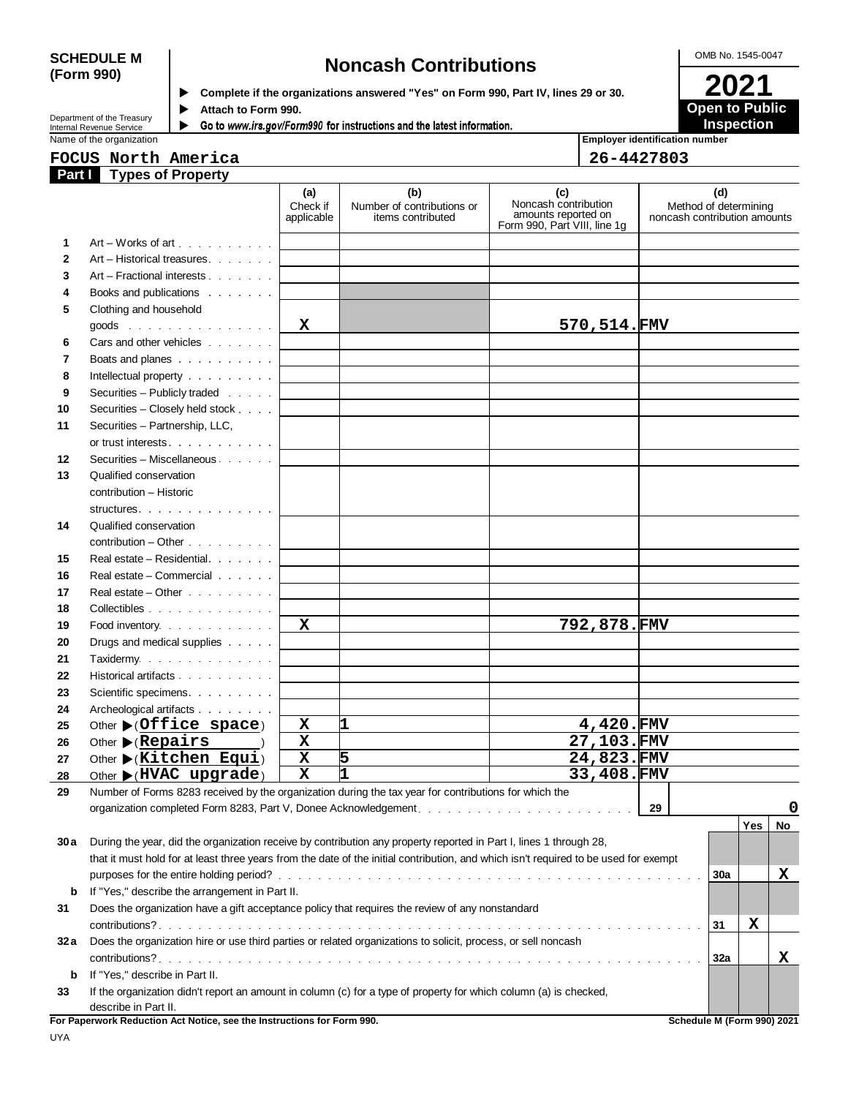# SCHEDULE M **Noncash Contributions Noncash Contributions**

**2021 (Form 990) Complete if the organizations answered "Yes" on Form 990, Part IV, lines 29 or 30.**

 $\blacktriangleright$ 

Attach to Form 990.<br>Go to *www.irs.gov/Form990 f*or instructions and <u>the l</u>atest information.

| 29 or 30.                             | 2021                  |
|---------------------------------------|-----------------------|
|                                       | <b>Open to Public</b> |
|                                       | Inspection            |
| <b>Employer identification number</b> |                       |

| Department of the Treasury<br>Internal Revenue Service |  |
|--------------------------------------------------------|--|
| Name of the organization                               |  |

|          | FOCUS North America<br><b>Part Types of Property</b>                                                                                 | 26-4427803                    |                                                        |                                                                                    |                              |                              |    |  |  |
|----------|--------------------------------------------------------------------------------------------------------------------------------------|-------------------------------|--------------------------------------------------------|------------------------------------------------------------------------------------|------------------------------|------------------------------|----|--|--|
|          |                                                                                                                                      | (a)<br>Check if<br>applicable | (b)<br>Number of contributions or<br>items contributed | (c)<br>Noncash contribution<br>amounts reported on<br>Form 990, Part VIII, line 1g | noncash contribution amounts | (d)<br>Method of determining |    |  |  |
| 1        | Art – Works of art                                                                                                                   |                               |                                                        |                                                                                    |                              |                              |    |  |  |
| 2        | Art - Historical treasures                                                                                                           |                               |                                                        |                                                                                    |                              |                              |    |  |  |
| 3        | Art – Fractional interests                                                                                                           |                               |                                                        |                                                                                    |                              |                              |    |  |  |
| 4        | Books and publications extended to the set of the Books and publications                                                             |                               |                                                        |                                                                                    |                              |                              |    |  |  |
| 5        | Clothing and household<br>goods $\cdots$                                                                                             | х                             |                                                        | 570,514.FMV                                                                        |                              |                              |    |  |  |
| 6        | Cars and other vehicles                                                                                                              |                               |                                                        |                                                                                    |                              |                              |    |  |  |
| 7        | Boats and planes                                                                                                                     |                               |                                                        |                                                                                    |                              |                              |    |  |  |
| 8        | Intellectual property                                                                                                                |                               |                                                        |                                                                                    |                              |                              |    |  |  |
| 9        | Securities - Publicly traded                                                                                                         |                               |                                                        |                                                                                    |                              |                              |    |  |  |
| 10       | Securities - Closely held stock                                                                                                      |                               |                                                        |                                                                                    |                              |                              |    |  |  |
| 11       | Securities - Partnership, LLC,                                                                                                       |                               |                                                        |                                                                                    |                              |                              |    |  |  |
|          | or trust interests                                                                                                                   |                               |                                                        |                                                                                    |                              |                              |    |  |  |
| 12       | Securities – Miscellaneous $\ldots$                                                                                                  |                               |                                                        |                                                                                    |                              |                              |    |  |  |
| 13       | Qualified conservation                                                                                                               |                               |                                                        |                                                                                    |                              |                              |    |  |  |
|          | contribution - Historic                                                                                                              |                               |                                                        |                                                                                    |                              |                              |    |  |  |
|          | structures.                                                                                                                          |                               |                                                        |                                                                                    |                              |                              |    |  |  |
| 14       | Qualified conservation                                                                                                               |                               |                                                        |                                                                                    |                              |                              |    |  |  |
|          | $contribution - Other$ , , , , , , , , ,                                                                                             |                               |                                                        |                                                                                    |                              |                              |    |  |  |
| 15       | Real estate – Residential. $\cdots$                                                                                                  |                               |                                                        |                                                                                    |                              |                              |    |  |  |
| 16       | Real estate – Commercial $\cdots$                                                                                                    |                               |                                                        |                                                                                    |                              |                              |    |  |  |
| 17       | Real estate $-$ Other $\cdots$ $\cdots$                                                                                              |                               |                                                        |                                                                                    |                              |                              |    |  |  |
| 18       | Collectibles                                                                                                                         |                               |                                                        |                                                                                    |                              |                              |    |  |  |
| 19       | Food inventory                                                                                                                       | X                             |                                                        | 792,878.FMV                                                                        |                              |                              |    |  |  |
| 20       |                                                                                                                                      |                               |                                                        |                                                                                    |                              |                              |    |  |  |
| 21       | Drugs and medical supplies<br>Taxidermy.                                                                                             |                               |                                                        |                                                                                    |                              |                              |    |  |  |
| 22       | Historical artifacts                                                                                                                 |                               |                                                        |                                                                                    |                              |                              |    |  |  |
|          |                                                                                                                                      |                               |                                                        |                                                                                    |                              |                              |    |  |  |
| 23       | Scientific specimens.<br>Archeological artifacts                                                                                     |                               |                                                        |                                                                                    |                              |                              |    |  |  |
| 24       | Other $\blacktriangleright$ (Office space)                                                                                           |                               | 1                                                      | 4,420.FMV                                                                          |                              |                              |    |  |  |
| 25       | Other $\blacktriangleright$ ( <b>Repairs</b>                                                                                         | X<br>$\mathbf x$              |                                                        | 27,103.FMV                                                                         |                              |                              |    |  |  |
| 26       | Other $\blacktriangleright$ (Kitchen Equi)                                                                                           | $\mathbf x$                   | 5                                                      | 24,823.FMV                                                                         |                              |                              |    |  |  |
| 27       | Other Mixt upgrade)                                                                                                                  | Х                             |                                                        | 33,408.FMV                                                                         |                              |                              |    |  |  |
| 28<br>29 | Number of Forms 8283 received by the organization during the tax year for contributions for which the                                |                               |                                                        |                                                                                    |                              |                              |    |  |  |
|          |                                                                                                                                      |                               |                                                        |                                                                                    | 29                           |                              | 0  |  |  |
|          |                                                                                                                                      |                               |                                                        |                                                                                    |                              |                              |    |  |  |
| 30a      | During the year, did the organization receive by contribution any property reported in Part I, lines 1 through 28,                   |                               |                                                        |                                                                                    |                              | Yes                          | No |  |  |
|          | that it must hold for at least three years from the date of the initial contribution, and which isn't required to be used for exempt |                               |                                                        |                                                                                    |                              |                              |    |  |  |
|          |                                                                                                                                      |                               |                                                        |                                                                                    |                              | 30a                          | X  |  |  |
| b        | If "Yes," describe the arrangement in Part II.                                                                                       |                               |                                                        |                                                                                    |                              |                              |    |  |  |
| 31       | Does the organization have a gift acceptance policy that requires the review of any nonstandard                                      |                               |                                                        |                                                                                    |                              |                              |    |  |  |
|          |                                                                                                                                      |                               |                                                        |                                                                                    |                              | x<br>31                      |    |  |  |
| 32a      | Does the organization hire or use third parties or related organizations to solicit, process, or sell noncash                        |                               |                                                        |                                                                                    |                              |                              |    |  |  |
|          |                                                                                                                                      |                               |                                                        |                                                                                    |                              | 32a                          | х  |  |  |
| b        | If "Yes," describe in Part II.                                                                                                       |                               |                                                        |                                                                                    |                              |                              |    |  |  |
| 33       | If the organization didn't report an amount in column (c) for a type of property for which column (a) is checked,                    |                               |                                                        |                                                                                    |                              |                              |    |  |  |
|          | describe in Part II.                                                                                                                 |                               |                                                        |                                                                                    |                              |                              |    |  |  |
|          | For Paperwork Reduction Act Notice, see the Instructions for Form 990.                                                               |                               |                                                        |                                                                                    |                              | Schedule M (Form 990) 2021   |    |  |  |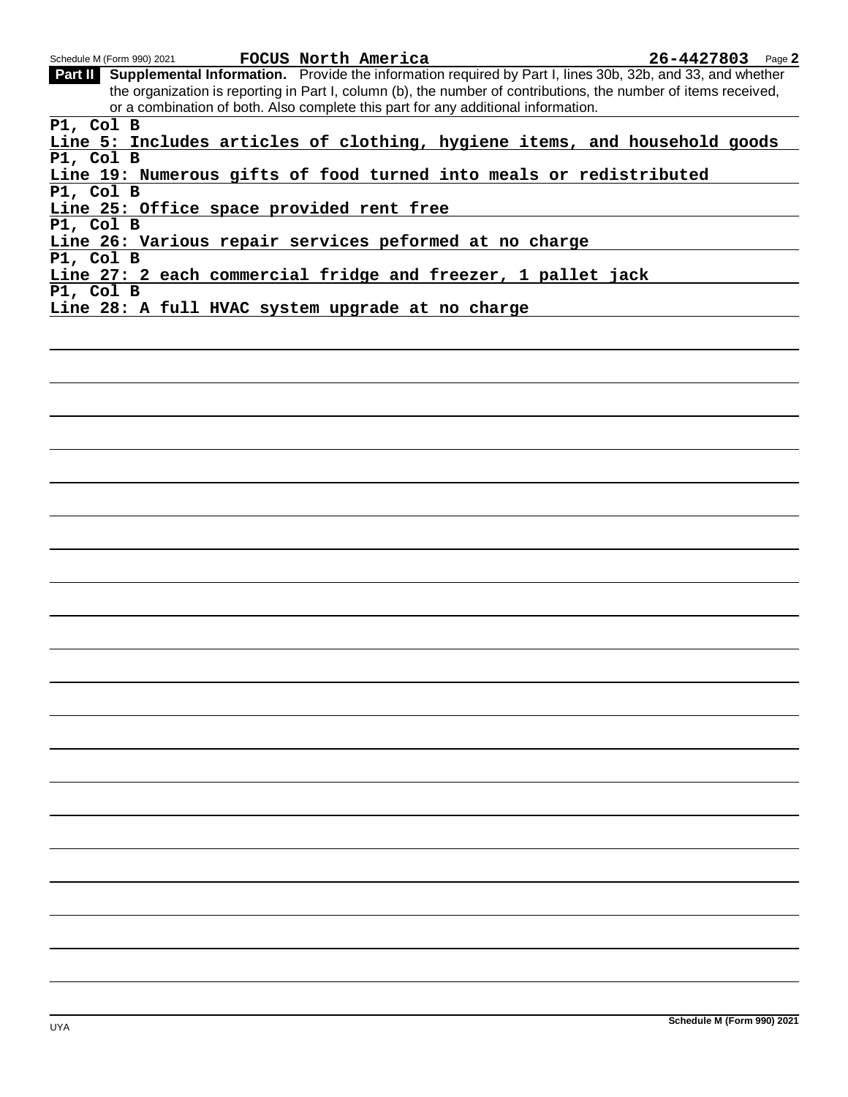| Schedule M (Form 990) 2021 <b>FOCUS North America</b>                                                                                                                                                                                                                                                                            | $26 - 4427803$ Page 2 |  |
|----------------------------------------------------------------------------------------------------------------------------------------------------------------------------------------------------------------------------------------------------------------------------------------------------------------------------------|-----------------------|--|
| <b>Part II</b> Supplemental Information. Provide the information required by Part I, lines 30b, 32b, and 33, and whether<br>the organization is reporting in Part I, column (b), the number of contributions, the number of items received,<br>or a combination of both. Also complete this part for any additional information. |                       |  |
| P1, Col B                                                                                                                                                                                                                                                                                                                        |                       |  |
| Line 5: Includes articles of clothing, hygiene items, and household goods                                                                                                                                                                                                                                                        |                       |  |
| P1, Col B                                                                                                                                                                                                                                                                                                                        |                       |  |
| Line 19: Numerous gifts of food turned into meals or redistributed                                                                                                                                                                                                                                                               |                       |  |
| P1, Col B                                                                                                                                                                                                                                                                                                                        |                       |  |
| Line 25: Office space provided rent free                                                                                                                                                                                                                                                                                         |                       |  |
| P1, CO1 B                                                                                                                                                                                                                                                                                                                        |                       |  |
| Line 26: Various repair services peformed at no charge                                                                                                                                                                                                                                                                           |                       |  |
| P1, Col B                                                                                                                                                                                                                                                                                                                        |                       |  |
| Line 27: 2 each commercial fridge and freezer, 1 pallet jack                                                                                                                                                                                                                                                                     |                       |  |
| P1, Col B                                                                                                                                                                                                                                                                                                                        |                       |  |
| Line 28: A full HVAC system upgrade at no charge                                                                                                                                                                                                                                                                                 |                       |  |
|                                                                                                                                                                                                                                                                                                                                  |                       |  |
|                                                                                                                                                                                                                                                                                                                                  |                       |  |

 $\overline{\phantom{0}}$ 

 $\overline{a}$ 

 $\overline{\phantom{a}}$ 

 $\overline{\phantom{0}}$ 

 $\overline{\phantom{0}}$ 

-

 $\overline{a}$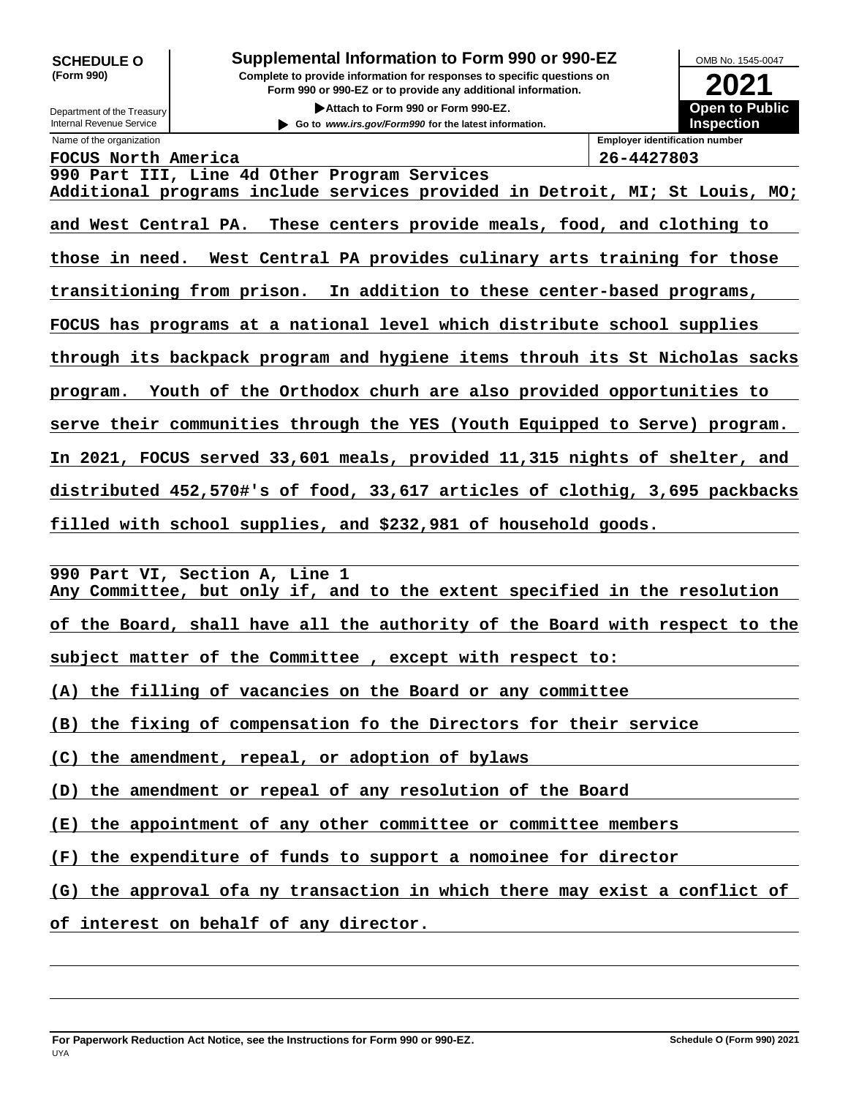# **Supplemental Information to Form 990 or 990-EZ**

**Complete to provide information for responses to specific questions on Form 990 or 990-EZ or to provide any additional information.**

**Attach to Form 990 or Form 990-EZ. Go to** *www.irs.gov/Form990* **for the latest information.**



OMB No. 1545-0047

Internal Revenue Service Name of the organization **Employer identification number Employer identification number Employer identification number** 

Department of the Treasury

### **FOCUS North America 26-4427803**

**990 Part III, Line 4d Other Program Services Additional programs include services provided in Detroit, MI; St Louis, MO;**

**and West Central PA. These centers provide meals, food, and clothing to**

**those in need. West Central PA provides culinary arts training for those** 

**transitioning from prison. In addition to these center-based programs,**

**FOCUS has programs at a national level which distribute school supplies**

**through its backpack program and hygiene items throuh its St Nicholas sacks**

**program. Youth of the Orthodox churh are also provided opportunities to**

**serve their communities through the YES (Youth Equipped to Serve) program.**

**In 2021, FOCUS served 33,601 meals, provided 11,315 nights of shelter, and**

**distributed 452,570#'s of food, 33,617 articles of clothig, 3,695 packbacks**

**filled with school supplies, and \$232,981 of household goods.**

**990 Part VI, Section A, Line 1 Any Committee, but only if, and to the extent specified in the resolution of the Board, shall have all the authority of the Board with respect to the subject matter of the Committee , except with respect to: (A) the filling of vacancies on the Board or any committee (B) the fixing of compensation fo the Directors for their service (C) the amendment, repeal, or adoption of bylaws (D) the amendment or repeal of any resolution of the Board (E) the appointment of any other committee or committee members**

**(F) the expenditure of funds to support a nomoinee for director**

**(G) the approval ofa ny transaction in which there may exist a conflict of** 

**of interest on behalf of any director.**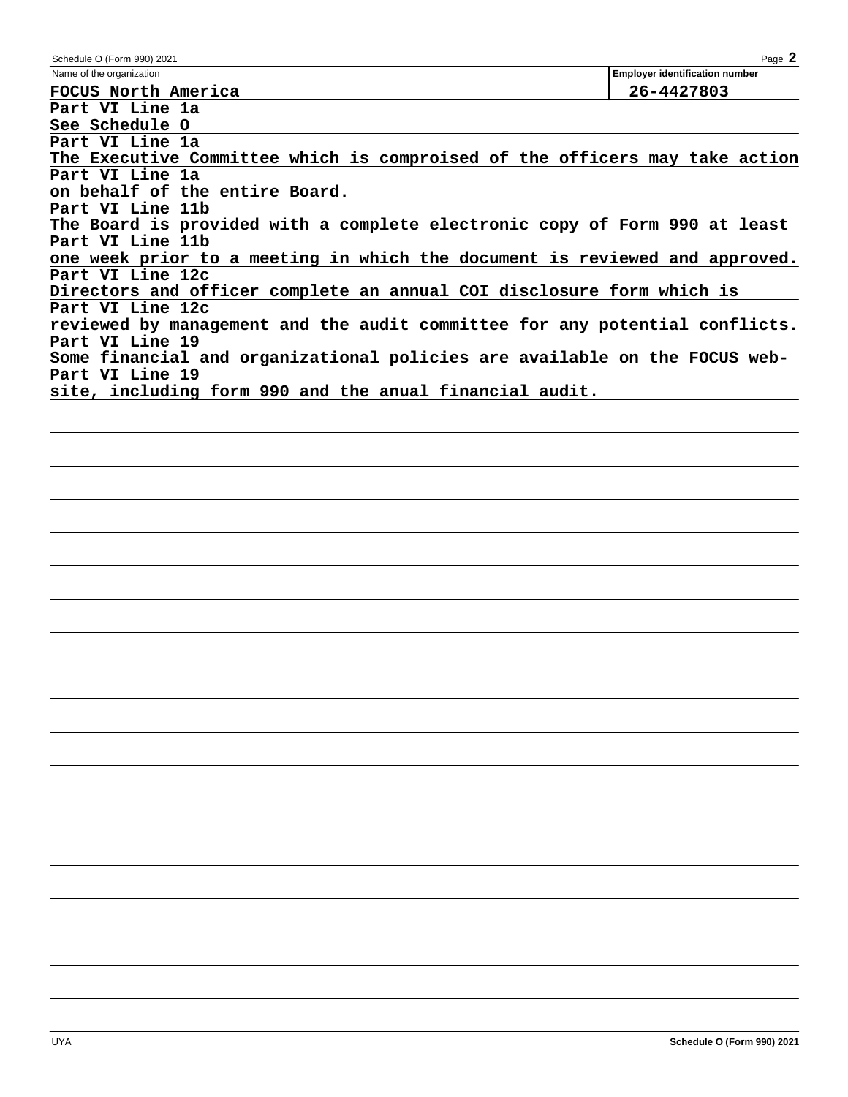| Schedule O (Form 990) 2021                                                  | Page 2                                |
|-----------------------------------------------------------------------------|---------------------------------------|
| Name of the organization                                                    | <b>Employer identification number</b> |
| FOCUS North America                                                         | 26-4427803                            |
| Part VI Line 1a                                                             |                                       |
| See Schedule O                                                              |                                       |
| Part VI Line 1a                                                             |                                       |
| The Executive Committee which is comproised of the officers may take action |                                       |
| Part VI Line 1a                                                             |                                       |
| on behalf of the entire Board.                                              |                                       |
| Part VI Line 11b                                                            |                                       |
| The Board is provided with a complete electronic copy of Form 990 at least  |                                       |
| Part VI Line 11b                                                            |                                       |
| one week prior to a meeting in which the document is reviewed and approved. |                                       |
| Part VI Line 12c                                                            |                                       |
| Directors and officer complete an annual COI disclosure form which is       |                                       |
| Part VI Line 12c                                                            |                                       |
| reviewed by management and the audit committee for any potential conflicts. |                                       |
| Part VI Line 19                                                             |                                       |
| Some financial and organizational policies are available on the FOCUS web-  |                                       |
| Part VI Line 19                                                             |                                       |
| site, including form 990 and the anual financial audit.                     |                                       |
|                                                                             |                                       |

÷.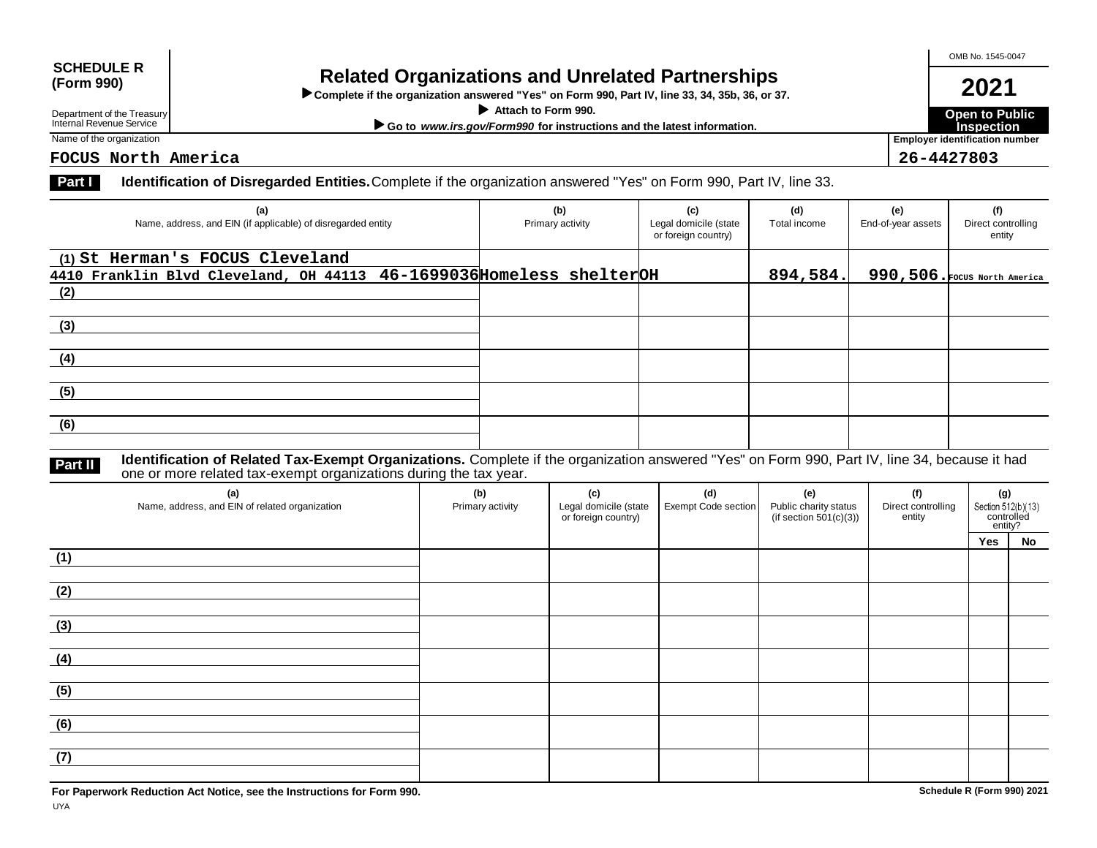| <b>SCHEDULE R</b> |  |
|-------------------|--|
| (Form 990)        |  |

# **Related Organizations and Unrelated Partnerships**

■ Complete if the organization answered "Yes" on Form 990, Part IV, line 33, 34, 35b, 36, or 37.

**Attach to Form 990. Go to** *www.irs.gov/Form990* **for instructions and the latest information.**

Department of the Treasury Internal Revenue Service Name of the organization **Employer identification number Employer identification number** 

**FOCUS North America 26-4427803**

Part I **Identification of Disregarded Entities.** Complete if the organization answered "Yes" on Form 990, Part IV, line 33.

| (a)                                                                 | (b)              | (c)                   | (d)          | (e)                | (f)                           |
|---------------------------------------------------------------------|------------------|-----------------------|--------------|--------------------|-------------------------------|
| Name, address, and EIN (if applicable) of disregarded entity        | Primary activity | Legal domicile (state | Total income | End-of-year assets | Direct controlling            |
|                                                                     |                  | or foreign country)   |              |                    | entity                        |
| (1) St Herman's FOCUS Cleveland                                     |                  |                       |              |                    |                               |
| 4410 Franklin Blvd Cleveland, OH 44113 46-1699036Homeless shelterOH |                  |                       | 894,584.     |                    | 990, 506. FOCUS North America |
| (2)                                                                 |                  |                       |              |                    |                               |
|                                                                     |                  |                       |              |                    |                               |
| (3)                                                                 |                  |                       |              |                    |                               |
|                                                                     |                  |                       |              |                    |                               |
| (4)                                                                 |                  |                       |              |                    |                               |
|                                                                     |                  |                       |              |                    |                               |
| (5)                                                                 |                  |                       |              |                    |                               |
|                                                                     |                  |                       |              |                    |                               |
| (6)                                                                 |                  |                       |              |                    |                               |
|                                                                     |                  |                       |              |                    |                               |
|                                                                     |                  |                       |              |                    |                               |

**Identification of Related Tax-Exempt Organizations. Part II Identification of Related Tax-Exempt Organizations.** Complete if the organization answered "Yes" on Form 990, Part IV, line 34, because it had<br>one or more related tax-exempt organizations during the tax year.

| (a)<br>Name, address, and EIN of related organization | (b)<br>Primary activity | (c)<br>Legal domicile (state<br>or foreign country) | (d)<br>Exempt Code section | (e)<br>Public charity status<br>(if section $501(c)(3)$ ) | (f)<br>Direct controlling<br>entity | (g)<br>Section 512(b)(13)<br>controlled<br>entity? |           |
|-------------------------------------------------------|-------------------------|-----------------------------------------------------|----------------------------|-----------------------------------------------------------|-------------------------------------|----------------------------------------------------|-----------|
|                                                       |                         |                                                     |                            |                                                           |                                     | Yes                                                | <b>No</b> |
| (1)                                                   |                         |                                                     |                            |                                                           |                                     |                                                    |           |
| (2)                                                   |                         |                                                     |                            |                                                           |                                     |                                                    |           |
| (3)                                                   |                         |                                                     |                            |                                                           |                                     |                                                    |           |
| (4)                                                   |                         |                                                     |                            |                                                           |                                     |                                                    |           |
| (5)                                                   |                         |                                                     |                            |                                                           |                                     |                                                    |           |
| (6)                                                   |                         |                                                     |                            |                                                           |                                     |                                                    |           |
| (7)                                                   |                         |                                                     |                            |                                                           |                                     |                                                    |           |

OMB No. 1545-0047

**Open to Public Inspection**

**2021**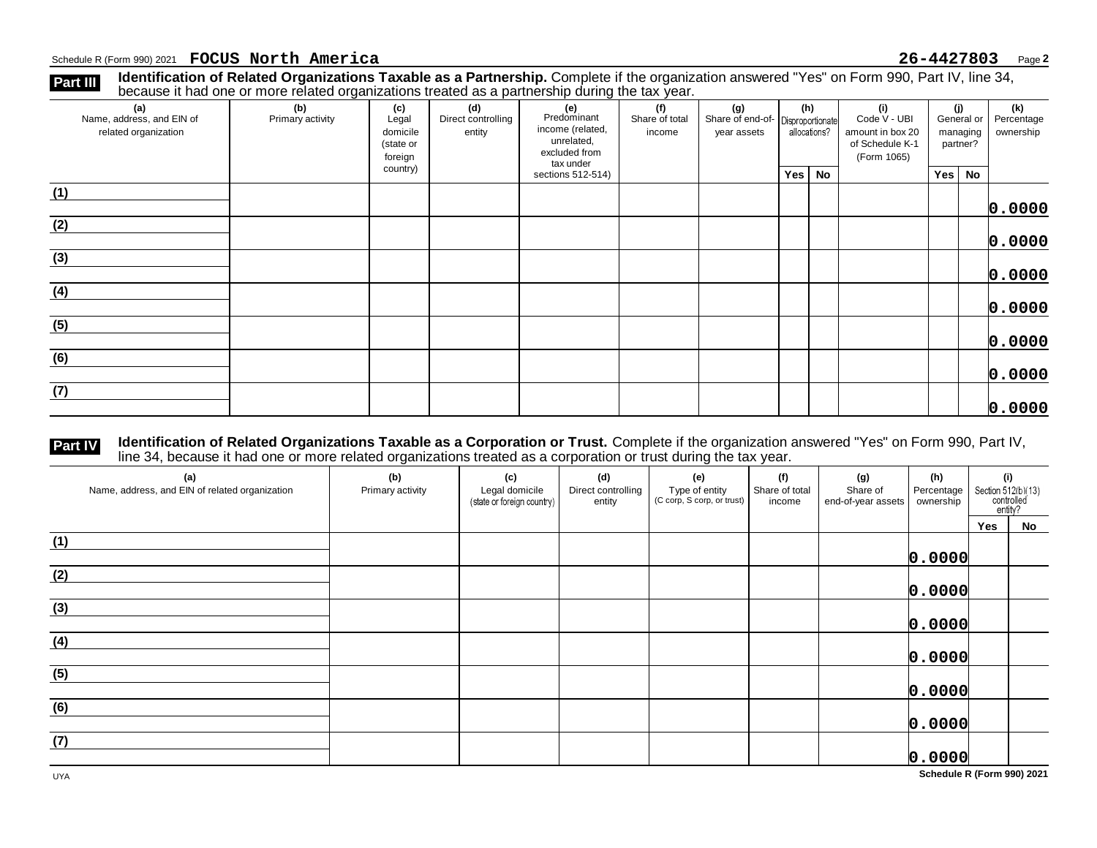# **Schedule R (Form 990) 2021 POCUS North America 26-4427803** Page 2 Identification of Related Organizations Taxable as a Partnership. Complete if the organization answered "Yes" on Form 990, Part IV, line 34,

**Part III**

|                                                          | because it had one or more related organizations treated as a partnership during the tax year. |                                                  |                                     |                                                                                    |                                 |                                                         |     |                     |                                                                           |            |                                           |                                |
|----------------------------------------------------------|------------------------------------------------------------------------------------------------|--------------------------------------------------|-------------------------------------|------------------------------------------------------------------------------------|---------------------------------|---------------------------------------------------------|-----|---------------------|---------------------------------------------------------------------------|------------|-------------------------------------------|--------------------------------|
| (a)<br>Name, address, and EIN of<br>related organization | (b)<br>Primary activity                                                                        | (c)<br>Legal<br>domicile<br>(state or<br>foreign | (d)<br>Direct controlling<br>entity | (e)<br>Predominant<br>income (related,<br>unrelated,<br>excluded from<br>tax under | (f)<br>Share of total<br>income | (g)<br>Share of end-of- Disproportionate<br>year assets |     | (h)<br>allocations? | (i)<br>Code V - UBI<br>amount in box 20<br>of Schedule K-1<br>(Form 1065) |            | (i)<br>General or<br>managing<br>partner? | (k)<br>Percentage<br>ownership |
|                                                          |                                                                                                | country)                                         |                                     | sections 512-514)                                                                  |                                 |                                                         | Yes | No                  |                                                                           | $Yes \mid$ | No                                        |                                |
| (1)                                                      |                                                                                                |                                                  |                                     |                                                                                    |                                 |                                                         |     |                     |                                                                           |            |                                           |                                |
|                                                          |                                                                                                |                                                  |                                     |                                                                                    |                                 |                                                         |     |                     |                                                                           |            |                                           | 0.0000                         |
| (2)                                                      |                                                                                                |                                                  |                                     |                                                                                    |                                 |                                                         |     |                     |                                                                           |            |                                           | 0.0000                         |
| (3)                                                      |                                                                                                |                                                  |                                     |                                                                                    |                                 |                                                         |     |                     |                                                                           |            |                                           |                                |
|                                                          |                                                                                                |                                                  |                                     |                                                                                    |                                 |                                                         |     |                     |                                                                           |            |                                           | 0.0000                         |
| (4)                                                      |                                                                                                |                                                  |                                     |                                                                                    |                                 |                                                         |     |                     |                                                                           |            |                                           | 0.0000                         |
| (5)                                                      |                                                                                                |                                                  |                                     |                                                                                    |                                 |                                                         |     |                     |                                                                           |            |                                           |                                |
|                                                          |                                                                                                |                                                  |                                     |                                                                                    |                                 |                                                         |     |                     |                                                                           |            |                                           | 0.0000                         |
| (6)                                                      |                                                                                                |                                                  |                                     |                                                                                    |                                 |                                                         |     |                     |                                                                           |            |                                           | 0.0000                         |
| (7)                                                      |                                                                                                |                                                  |                                     |                                                                                    |                                 |                                                         |     |                     |                                                                           |            |                                           | 0.0000                         |

### **Identification of Related Organizations Taxable as a Corporation or Trust.** Complete if the organization answered "Yes" on Form 990, Part IV, line 34, because it had one or more related organizations treated as a corporation or trust during the tax year. **Part IV**

| (a)<br>Name, address, and EIN of related organization | (b)<br>Primary activity | (c)<br>Legal domicile<br>(state or foreign country) | (d)<br>Direct controlling<br>entity | (e)<br>Type of entity<br>(C corp, S corp, or trust) | (f)<br>Share of total<br>income | (g)<br>Share of<br>end-of-year assets | (h)<br>Percentage<br>ownership | (i)<br>Section 512(b)(13)<br>controlled<br>entity? |           |
|-------------------------------------------------------|-------------------------|-----------------------------------------------------|-------------------------------------|-----------------------------------------------------|---------------------------------|---------------------------------------|--------------------------------|----------------------------------------------------|-----------|
|                                                       |                         |                                                     |                                     |                                                     |                                 |                                       |                                | Yes                                                | <b>No</b> |
| (1)                                                   |                         |                                                     |                                     |                                                     |                                 |                                       | 0.0000                         |                                                    |           |
| (2)                                                   |                         |                                                     |                                     |                                                     |                                 |                                       | 0.0000                         |                                                    |           |
| (3)                                                   |                         |                                                     |                                     |                                                     |                                 |                                       | 0.0000                         |                                                    |           |
| (4)                                                   |                         |                                                     |                                     |                                                     |                                 |                                       | 0.0000                         |                                                    |           |
| (5)                                                   |                         |                                                     |                                     |                                                     |                                 |                                       | 0.0000                         |                                                    |           |
| (6)                                                   |                         |                                                     |                                     |                                                     |                                 |                                       | 0.0000                         |                                                    |           |
| (7)                                                   |                         |                                                     |                                     |                                                     |                                 |                                       | 0.0000                         |                                                    |           |

UYA **Schedule R (Form 990) 2021**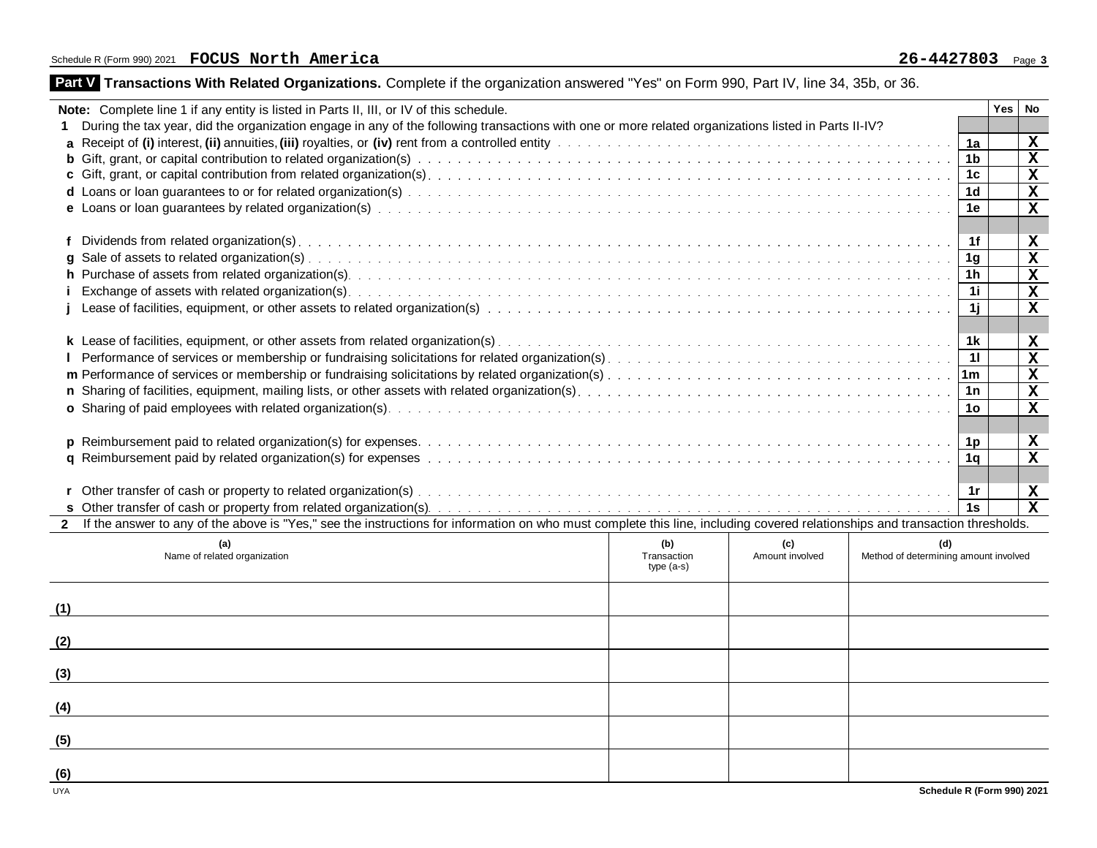## Part V Transactions With Related Organizations. Complete if the organization answered "Yes" on Form 990, Part IV, line 34, 35b, or 36.

|             |                    |     |                                                                                                                                                                                                                                                                                                                                                                                                                                                                                                                                                                                |                                                                            | No                                                                                                                                                                                                                                                          |  |  |  |
|-------------|--------------------|-----|--------------------------------------------------------------------------------------------------------------------------------------------------------------------------------------------------------------------------------------------------------------------------------------------------------------------------------------------------------------------------------------------------------------------------------------------------------------------------------------------------------------------------------------------------------------------------------|----------------------------------------------------------------------------|-------------------------------------------------------------------------------------------------------------------------------------------------------------------------------------------------------------------------------------------------------------|--|--|--|
|             |                    |     |                                                                                                                                                                                                                                                                                                                                                                                                                                                                                                                                                                                |                                                                            |                                                                                                                                                                                                                                                             |  |  |  |
|             |                    |     | 1a                                                                                                                                                                                                                                                                                                                                                                                                                                                                                                                                                                             |                                                                            | X                                                                                                                                                                                                                                                           |  |  |  |
|             |                    |     | 1b                                                                                                                                                                                                                                                                                                                                                                                                                                                                                                                                                                             |                                                                            | $\mathbf{x}$                                                                                                                                                                                                                                                |  |  |  |
|             |                    |     | 1c                                                                                                                                                                                                                                                                                                                                                                                                                                                                                                                                                                             |                                                                            | $\mathbf{x}$                                                                                                                                                                                                                                                |  |  |  |
|             |                    |     | 1 <sub>d</sub>                                                                                                                                                                                                                                                                                                                                                                                                                                                                                                                                                                 |                                                                            | X                                                                                                                                                                                                                                                           |  |  |  |
|             |                    |     |                                                                                                                                                                                                                                                                                                                                                                                                                                                                                                                                                                                |                                                                            |                                                                                                                                                                                                                                                             |  |  |  |
|             |                    |     |                                                                                                                                                                                                                                                                                                                                                                                                                                                                                                                                                                                |                                                                            |                                                                                                                                                                                                                                                             |  |  |  |
|             |                    |     |                                                                                                                                                                                                                                                                                                                                                                                                                                                                                                                                                                                |                                                                            | X                                                                                                                                                                                                                                                           |  |  |  |
| f           |                    |     |                                                                                                                                                                                                                                                                                                                                                                                                                                                                                                                                                                                |                                                                            |                                                                                                                                                                                                                                                             |  |  |  |
|             |                    |     |                                                                                                                                                                                                                                                                                                                                                                                                                                                                                                                                                                                |                                                                            | $\mathbf x$<br>$\mathbf x$                                                                                                                                                                                                                                  |  |  |  |
|             |                    |     |                                                                                                                                                                                                                                                                                                                                                                                                                                                                                                                                                                                |                                                                            | $\mathbf x$                                                                                                                                                                                                                                                 |  |  |  |
|             |                    |     |                                                                                                                                                                                                                                                                                                                                                                                                                                                                                                                                                                                |                                                                            | $\mathbf x$                                                                                                                                                                                                                                                 |  |  |  |
|             |                    |     |                                                                                                                                                                                                                                                                                                                                                                                                                                                                                                                                                                                |                                                                            |                                                                                                                                                                                                                                                             |  |  |  |
|             |                    |     |                                                                                                                                                                                                                                                                                                                                                                                                                                                                                                                                                                                |                                                                            |                                                                                                                                                                                                                                                             |  |  |  |
|             |                    |     |                                                                                                                                                                                                                                                                                                                                                                                                                                                                                                                                                                                |                                                                            | $\mathbf{x}$                                                                                                                                                                                                                                                |  |  |  |
|             |                    |     |                                                                                                                                                                                                                                                                                                                                                                                                                                                                                                                                                                                |                                                                            | $\mathbf{x}$                                                                                                                                                                                                                                                |  |  |  |
|             |                    |     |                                                                                                                                                                                                                                                                                                                                                                                                                                                                                                                                                                                |                                                                            | X                                                                                                                                                                                                                                                           |  |  |  |
|             |                    |     |                                                                                                                                                                                                                                                                                                                                                                                                                                                                                                                                                                                |                                                                            |                                                                                                                                                                                                                                                             |  |  |  |
|             |                    |     | 1o                                                                                                                                                                                                                                                                                                                                                                                                                                                                                                                                                                             |                                                                            | X                                                                                                                                                                                                                                                           |  |  |  |
|             |                    |     |                                                                                                                                                                                                                                                                                                                                                                                                                                                                                                                                                                                |                                                                            |                                                                                                                                                                                                                                                             |  |  |  |
|             |                    |     | 1p                                                                                                                                                                                                                                                                                                                                                                                                                                                                                                                                                                             |                                                                            | X                                                                                                                                                                                                                                                           |  |  |  |
|             |                    |     | 1q                                                                                                                                                                                                                                                                                                                                                                                                                                                                                                                                                                             |                                                                            | $\mathbf x$                                                                                                                                                                                                                                                 |  |  |  |
|             |                    |     |                                                                                                                                                                                                                                                                                                                                                                                                                                                                                                                                                                                |                                                                            |                                                                                                                                                                                                                                                             |  |  |  |
|             |                    |     | 1r                                                                                                                                                                                                                                                                                                                                                                                                                                                                                                                                                                             |                                                                            | $\mathbf x$                                                                                                                                                                                                                                                 |  |  |  |
|             |                    |     |                                                                                                                                                                                                                                                                                                                                                                                                                                                                                                                                                                                |                                                                            | $\mathbf x$                                                                                                                                                                                                                                                 |  |  |  |
|             |                    |     |                                                                                                                                                                                                                                                                                                                                                                                                                                                                                                                                                                                |                                                                            |                                                                                                                                                                                                                                                             |  |  |  |
|             |                    |     |                                                                                                                                                                                                                                                                                                                                                                                                                                                                                                                                                                                |                                                                            |                                                                                                                                                                                                                                                             |  |  |  |
|             | Amount involved    |     |                                                                                                                                                                                                                                                                                                                                                                                                                                                                                                                                                                                |                                                                            |                                                                                                                                                                                                                                                             |  |  |  |
| $type(a-s)$ |                    |     |                                                                                                                                                                                                                                                                                                                                                                                                                                                                                                                                                                                |                                                                            |                                                                                                                                                                                                                                                             |  |  |  |
|             |                    |     |                                                                                                                                                                                                                                                                                                                                                                                                                                                                                                                                                                                |                                                                            |                                                                                                                                                                                                                                                             |  |  |  |
|             |                    |     |                                                                                                                                                                                                                                                                                                                                                                                                                                                                                                                                                                                |                                                                            |                                                                                                                                                                                                                                                             |  |  |  |
|             |                    |     |                                                                                                                                                                                                                                                                                                                                                                                                                                                                                                                                                                                |                                                                            |                                                                                                                                                                                                                                                             |  |  |  |
|             |                    |     |                                                                                                                                                                                                                                                                                                                                                                                                                                                                                                                                                                                |                                                                            |                                                                                                                                                                                                                                                             |  |  |  |
|             |                    |     |                                                                                                                                                                                                                                                                                                                                                                                                                                                                                                                                                                                |                                                                            |                                                                                                                                                                                                                                                             |  |  |  |
|             |                    |     |                                                                                                                                                                                                                                                                                                                                                                                                                                                                                                                                                                                |                                                                            |                                                                                                                                                                                                                                                             |  |  |  |
|             |                    |     |                                                                                                                                                                                                                                                                                                                                                                                                                                                                                                                                                                                |                                                                            |                                                                                                                                                                                                                                                             |  |  |  |
|             |                    |     |                                                                                                                                                                                                                                                                                                                                                                                                                                                                                                                                                                                |                                                                            |                                                                                                                                                                                                                                                             |  |  |  |
|             |                    |     |                                                                                                                                                                                                                                                                                                                                                                                                                                                                                                                                                                                |                                                                            |                                                                                                                                                                                                                                                             |  |  |  |
|             |                    |     |                                                                                                                                                                                                                                                                                                                                                                                                                                                                                                                                                                                |                                                                            |                                                                                                                                                                                                                                                             |  |  |  |
|             |                    |     |                                                                                                                                                                                                                                                                                                                                                                                                                                                                                                                                                                                |                                                                            |                                                                                                                                                                                                                                                             |  |  |  |
|             |                    |     |                                                                                                                                                                                                                                                                                                                                                                                                                                                                                                                                                                                |                                                                            |                                                                                                                                                                                                                                                             |  |  |  |
|             |                    |     |                                                                                                                                                                                                                                                                                                                                                                                                                                                                                                                                                                                |                                                                            |                                                                                                                                                                                                                                                             |  |  |  |
|             |                    |     |                                                                                                                                                                                                                                                                                                                                                                                                                                                                                                                                                                                |                                                                            |                                                                                                                                                                                                                                                             |  |  |  |
|             | (b)<br>Transaction | (c) | During the tax year, did the organization engage in any of the following transactions with one or more related organizations listed in Parts II-IV?<br><b>c</b> Gift, grant, or capital contribution from related organization(s).<br>Performance of services or membership or fundraising solicitations for related organization(s).<br>Reimbursement paid by related organization(s) for expenses enterprise on the content of the content of the content of the content of the content of the content of the content of the content of the content of the content of<br>(d) | 1e<br>1f<br>1 <sub>g</sub><br>1h<br>1i<br>1j<br>1k<br>11<br>1m<br>1n<br>1s | Yes<br>$\mathbf x$<br>$\mathbf{x}$<br>If the answer to any of the above is "Yes," see the instructions for information on who must complete this line, including covered relationships and transaction thresholds.<br>Method of determining amount involved |  |  |  |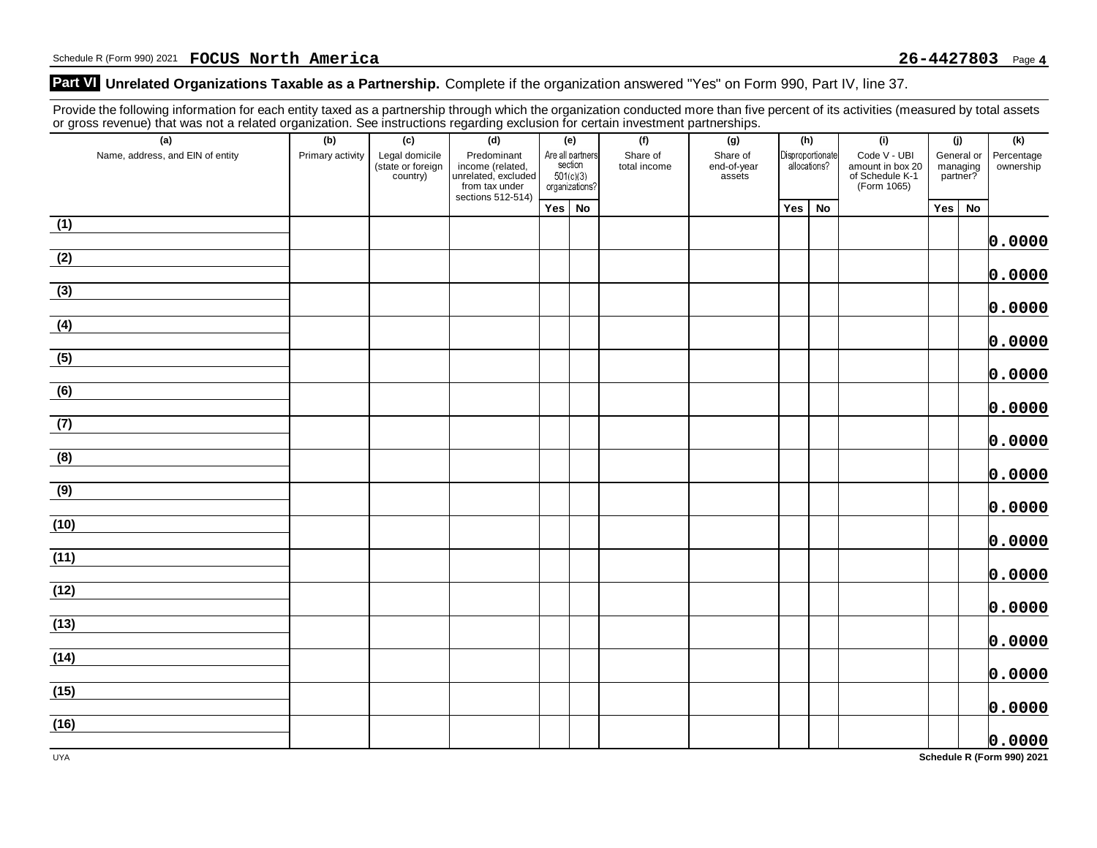## Part VI Unrelated Organizations Taxable as a Partnership. Complete if the organization answered "Yes" on Form 990, Part IV, line 37.

Provide the following information for each entity taxed as a partnership through which the organization conducted more than five percent of its activities (measured by total assets or gross revenue) that was not a related organization. See instructions regarding exclusion for certain investment partnerships.

| or groco romacy that may not a rolated organization. Oco moltacione regarding exercision for contain invectivity partneroinper<br>(a) | (b)              | (c)                                             | (d)                                                                                           |               | (e)                                                        | (f)                      | (g)                               |     | (h)                              | (i)                                                                | (j)                                | $\overline{(\mathsf{k})}$ |
|---------------------------------------------------------------------------------------------------------------------------------------|------------------|-------------------------------------------------|-----------------------------------------------------------------------------------------------|---------------|------------------------------------------------------------|--------------------------|-----------------------------------|-----|----------------------------------|--------------------------------------------------------------------|------------------------------------|---------------------------|
| Name, address, and EIN of entity                                                                                                      | Primary activity | Legal domicile<br>(state or foreign<br>country) | Predominant<br>income (related,<br>unrelated, excluded<br>from tax under<br>sections 512-514) |               | Are all partners<br>section<br>501(c)(3)<br>organizations? | Share of<br>total income | Share of<br>end-of-year<br>assets |     | Disproportionate<br>allocations? | Code V - UBI<br>amount in box 20<br>of Schedule K-1<br>(Form 1065) | General or<br>managing<br>partner? | Percentage<br>ownership   |
|                                                                                                                                       |                  |                                                 |                                                                                               | $Yes \mid No$ |                                                            |                          |                                   | Yes | No                               |                                                                    | $Yes \mid No$                      |                           |
| $\overline{(1)}$                                                                                                                      |                  |                                                 |                                                                                               |               |                                                            |                          |                                   |     |                                  |                                                                    |                                    | 0.0000                    |
| $\overline{(2)}$                                                                                                                      |                  |                                                 |                                                                                               |               |                                                            |                          |                                   |     |                                  |                                                                    |                                    | 0.0000                    |
| $\overline{(3)}$                                                                                                                      |                  |                                                 |                                                                                               |               |                                                            |                          |                                   |     |                                  |                                                                    |                                    | 0.0000                    |
| $\overline{(4)}$                                                                                                                      |                  |                                                 |                                                                                               |               |                                                            |                          |                                   |     |                                  |                                                                    |                                    |                           |
| $\overline{(5)}$                                                                                                                      |                  |                                                 |                                                                                               |               |                                                            |                          |                                   |     |                                  |                                                                    |                                    | 0.0000                    |
| $\overline{(6)}$                                                                                                                      |                  |                                                 |                                                                                               |               |                                                            |                          |                                   |     |                                  |                                                                    |                                    | 0.0000                    |
| $\overline{(7)}$                                                                                                                      |                  |                                                 |                                                                                               |               |                                                            |                          |                                   |     |                                  |                                                                    |                                    | 0.0000                    |
| $\overline{(8)}$                                                                                                                      |                  |                                                 |                                                                                               |               |                                                            |                          |                                   |     |                                  |                                                                    |                                    | 0.0000                    |
| $\overline{(9)}$                                                                                                                      |                  |                                                 |                                                                                               |               |                                                            |                          |                                   |     |                                  |                                                                    |                                    | 0.0000                    |
| (10)                                                                                                                                  |                  |                                                 |                                                                                               |               |                                                            |                          |                                   |     |                                  |                                                                    |                                    | 0.0000                    |
| (11)                                                                                                                                  |                  |                                                 |                                                                                               |               |                                                            |                          |                                   |     |                                  |                                                                    |                                    | 0.0000                    |
|                                                                                                                                       |                  |                                                 |                                                                                               |               |                                                            |                          |                                   |     |                                  |                                                                    |                                    | 0.0000                    |
| (12)                                                                                                                                  |                  |                                                 |                                                                                               |               |                                                            |                          |                                   |     |                                  |                                                                    |                                    | 0.0000                    |
| (13)                                                                                                                                  |                  |                                                 |                                                                                               |               |                                                            |                          |                                   |     |                                  |                                                                    |                                    | 0.0000                    |
| (14)                                                                                                                                  |                  |                                                 |                                                                                               |               |                                                            |                          |                                   |     |                                  |                                                                    |                                    | 0.0000                    |
| (15)                                                                                                                                  |                  |                                                 |                                                                                               |               |                                                            |                          |                                   |     |                                  |                                                                    |                                    | 0.0000                    |
| (16)                                                                                                                                  |                  |                                                 |                                                                                               |               |                                                            |                          |                                   |     |                                  |                                                                    |                                    | 0.0000                    |

UYA **Schedule R (Form 990) 2021**